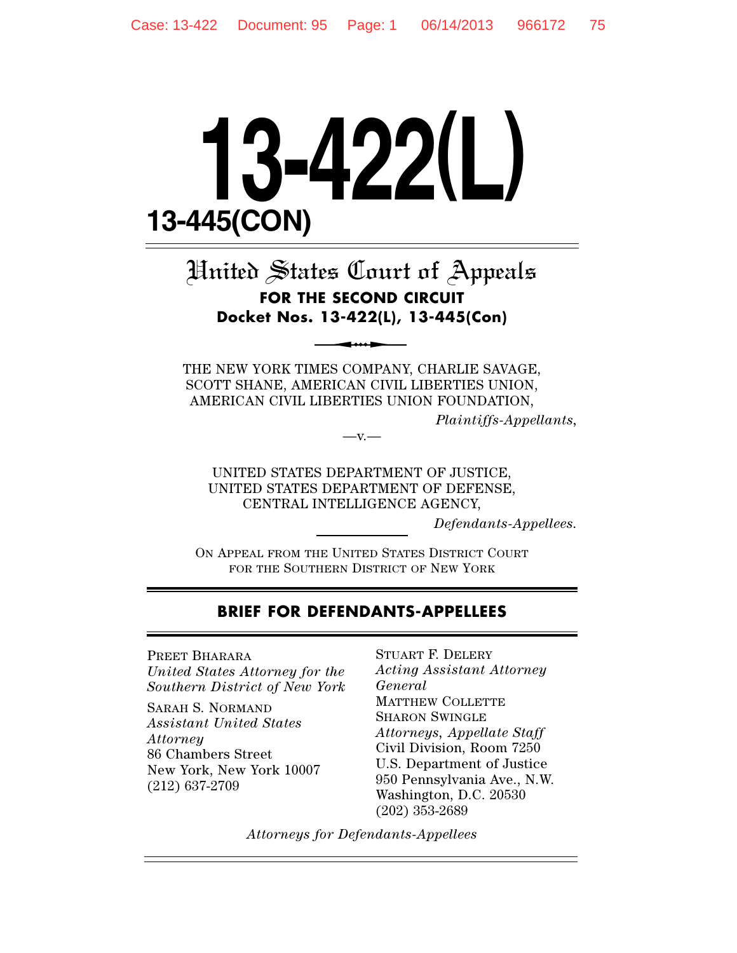# **13-422(L) 13-445(CON)**

# United States Court of Appeals **FOR THE SECOND CIRCUIT Docket Nos. 13-422(L), 13-445(Con)**

THE NEW YORK TIMES COMPANY, CHARLIE SAVAGE, SCOTT SHANE, AMERICAN CIVIL LIBERTIES UNION, AMERICAN CIVIL LIBERTIES UNION FOUNDATION,

 $-V.$ 

*Plaintiffs-Appellants,*

UNITED STATES DEPARTMENT OF JUSTICE, UNITED STATES DEPARTMENT OF DEFENSE, CENTRAL INTELLIGENCE AGENCY,

*Defendants-Appellees.*

ON APPEAL FROM THE UNITED STATES DISTRICT COURT FOR THE SOUTHERN DISTRICT OF NEW YORK

## **BRIEF FOR DEFENDANTS-APPELLEES**

PREET BHARARA *United States Attorney for the Southern District of New York*

SARAH S. NORMAND *Assistant United States Attorney* 86 Chambers Street New York, New York 10007 (212) 637-2709

STUART F. DELERY *Acting Assistant Attorney General* MATTHEW COLLETTE SHARON SWINGLE *Attorneys, Appellate Staff* Civil Division, Room 7250 U.S. Department of Justice 950 Pennsylvania Ave., N.W. Washington, D.C. 20530 (202) 353-2689

*Attorneys for Defendants-Appellees*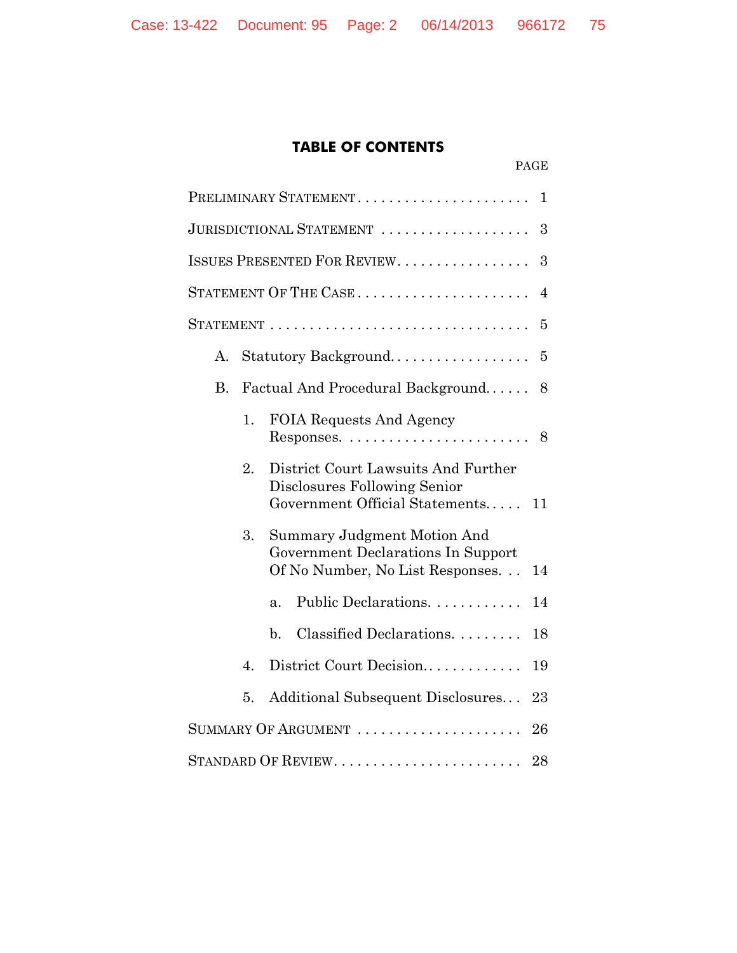# **TABLE OF CONTENTS**

PAGE

|           |                               | PRELIMINARY STATEMENT<br>$\mathbf{1}$                                                                             |  |
|-----------|-------------------------------|-------------------------------------------------------------------------------------------------------------------|--|
|           | JURISDICTIONAL STATEMENT<br>3 |                                                                                                                   |  |
|           |                               | <b>ISSUES PRESENTED FOR REVIEW</b><br>3                                                                           |  |
|           |                               | STATEMENT OF THE $\text{CASE}\dots\dots\dots\dots\dots\dots\dots\dots$<br>$\overline{4}$                          |  |
|           |                               | 5                                                                                                                 |  |
| A.        |                               | Statutory Background<br>5                                                                                         |  |
| <b>B.</b> |                               | Factual And Procedural Background<br>8                                                                            |  |
|           | 1.                            | <b>FOIA Requests And Agency</b><br>$Respones. \ldots \ldots \ldots \ldots \ldots \ldots \ldots$<br>8              |  |
|           | 2.                            | District Court Lawsuits And Further<br>Disclosures Following Senior<br>Government Official Statements<br>11       |  |
|           | 3.                            | <b>Summary Judgment Motion And</b><br>Government Declarations In Support<br>Of No Number, No List Responses<br>14 |  |
|           |                               | Public Declarations.<br>14<br>$\mathbf{a}$ .                                                                      |  |
|           |                               | Classified Declarations.<br>$\mathbf{b}$ .<br>18                                                                  |  |
|           | 4.                            | District Court Decision<br>19                                                                                     |  |
|           | 5.                            | Additional Subsequent Disclosures<br>23                                                                           |  |
|           |                               | SUMMARY OF ARGUMENT $\,\dots\, \dots\, \dots\, \dots\, \dots\, \dots\, \dots$<br>26                               |  |
|           |                               | 28                                                                                                                |  |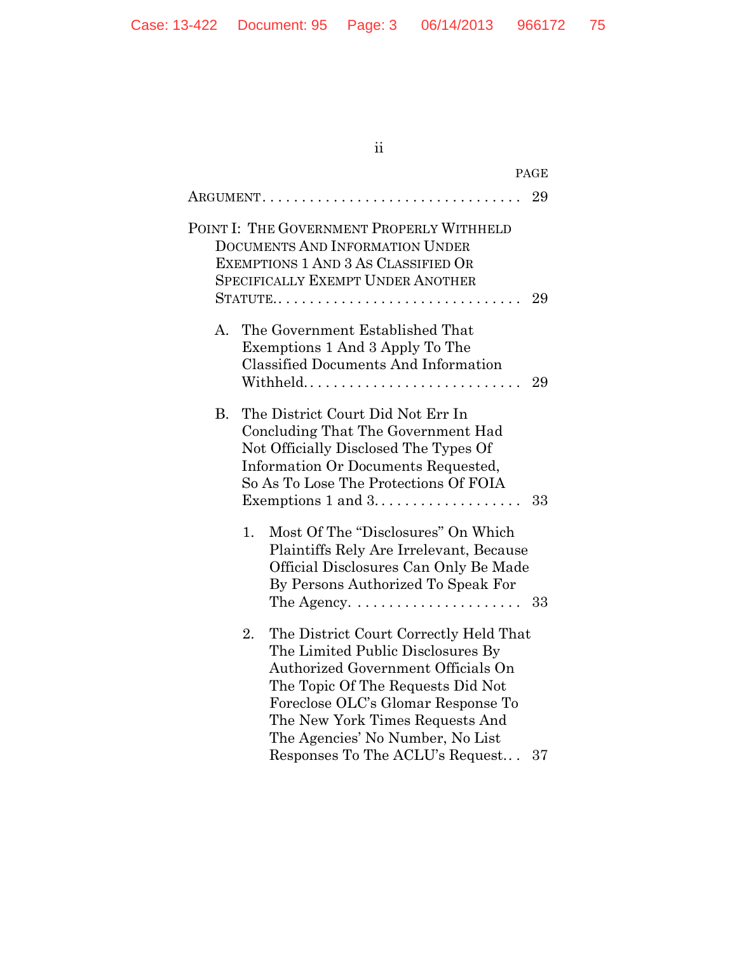# ii

|           | PAGE                                                                                                                                                                                                                                                                                                               |
|-----------|--------------------------------------------------------------------------------------------------------------------------------------------------------------------------------------------------------------------------------------------------------------------------------------------------------------------|
|           | 29<br>$\operatorname{ARGUMENT.} \ldots \ldots \ldots \ldots \ldots \ldots \ldots \ldots \ldots \ldots$                                                                                                                                                                                                             |
|           | POINT I: THE GOVERNMENT PROPERLY WITHHELD<br><b>DOCUMENTS AND INFORMATION UNDER</b><br>EXEMPTIONS 1 AND 3 AS CLASSIFIED OR<br><b>SPECIFICALLY EXEMPT UNDER ANOTHER</b><br>STATUTE<br>29                                                                                                                            |
| А.        | The Government Established That<br>Exemptions 1 And 3 Apply To The<br><b>Classified Documents And Information</b><br>Withheld<br>29                                                                                                                                                                                |
| <b>B.</b> | The District Court Did Not Err In<br>Concluding That The Government Had<br>Not Officially Disclosed The Types Of<br>Information Or Documents Requested,<br>So As To Lose The Protections Of FOIA<br>33                                                                                                             |
|           | Most Of The "Disclosures" On Which<br>1.<br>Plaintiffs Rely Are Irrelevant, Because<br>Official Disclosures Can Only Be Made<br>By Persons Authorized To Speak For<br>The Agency. $\dots \dots \dots \dots \dots \dots \dots$<br>- 33                                                                              |
|           | The District Court Correctly Held That<br>2.<br>The Limited Public Disclosures By<br>Authorized Government Officials On<br>The Topic Of The Requests Did Not<br>Foreclose OLC's Glomar Response To<br>The New York Times Requests And<br>The Agencies' No Number, No List<br>Responses To The ACLU's Request<br>37 |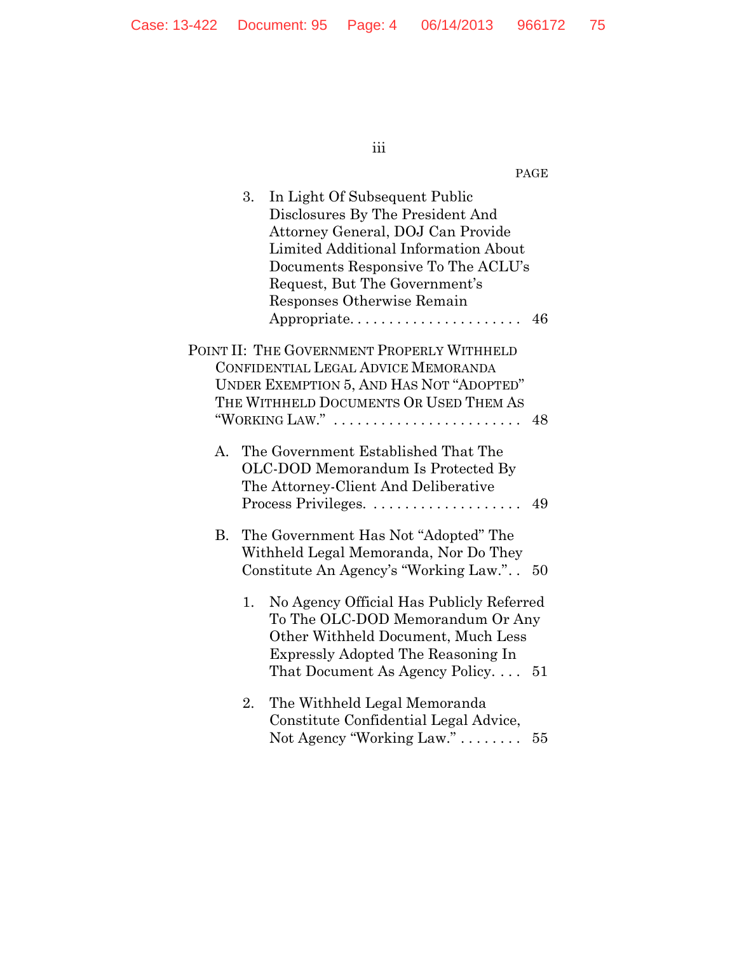iii

## PAGE

|    | 3. | In Light Of Subsequent Public<br>Disclosures By The President And<br>Attorney General, DOJ Can Provide<br>Limited Additional Information About<br>Documents Responsive To The ACLU's<br>Request, But The Government's<br>Responses Otherwise Remain<br>Appropriate | 46 |
|----|----|--------------------------------------------------------------------------------------------------------------------------------------------------------------------------------------------------------------------------------------------------------------------|----|
|    |    |                                                                                                                                                                                                                                                                    |    |
|    |    | POINT II: THE GOVERNMENT PROPERLY WITHHELD<br>CONFIDENTIAL LEGAL ADVICE MEMORANDA<br>UNDER EXEMPTION 5, AND HAS NOT "ADOPTED"<br>THE WITHHELD DOCUMENTS OR USED THEM AS                                                                                            |    |
|    |    | "WORKING LAW."                                                                                                                                                                                                                                                     | 48 |
| A. |    | The Government Established That The<br>OLC-DOD Memorandum Is Protected By<br>The Attorney-Client And Deliberative                                                                                                                                                  | 49 |
| В. |    | The Government Has Not "Adopted" The<br>Withheld Legal Memoranda, Nor Do They<br>Constitute An Agency's "Working Law."                                                                                                                                             | 50 |
|    | 1. | No Agency Official Has Publicly Referred<br>To The OLC-DOD Memorandum Or Any<br>Other Withheld Document, Much Less<br><b>Expressly Adopted The Reasoning In</b><br>That Document As Agency Policy $51$                                                             |    |
|    | 2. | The Withheld Legal Memoranda<br>Constitute Confidential Legal Advice,<br>Not Agency "Working Law."                                                                                                                                                                 | 55 |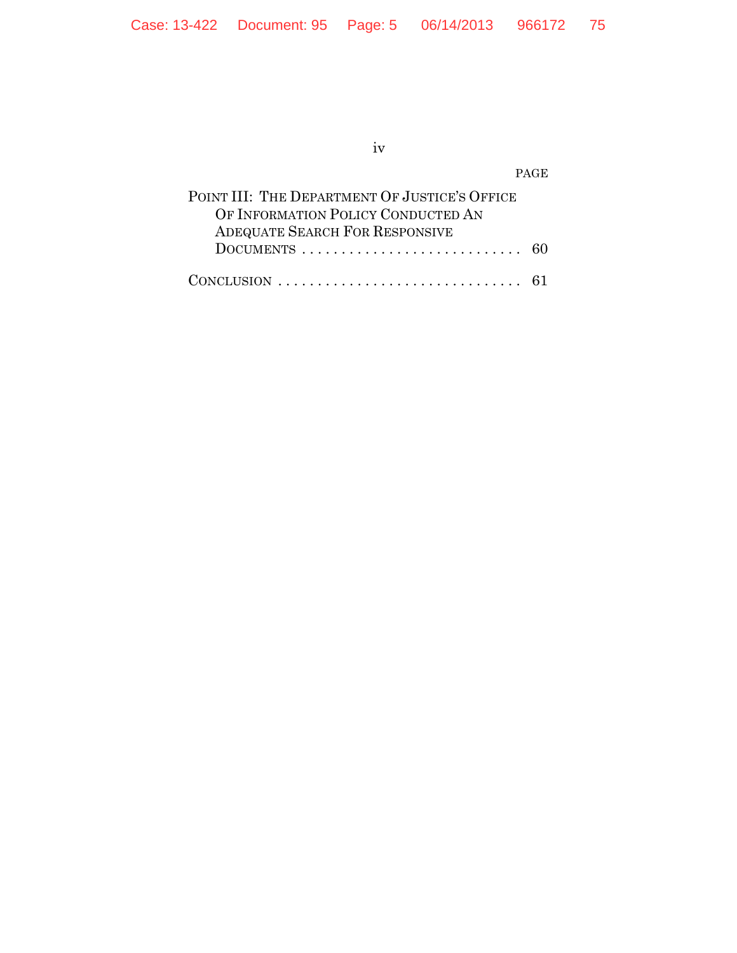iv

PAGE

| POINT III: THE DEPARTMENT OF JUSTICE'S OFFICE                                         |  |
|---------------------------------------------------------------------------------------|--|
| OF INFORMATION POLICY CONDUCTED AN                                                    |  |
| <b>ADEQUATE SEARCH FOR RESPONSIVE</b>                                                 |  |
| DOCUMENTS $\ldots \ldots \ldots \ldots \ldots \ldots \ldots \ldots \ldots 60$         |  |
|                                                                                       |  |
| CONCLUSION $\ldots \ldots \ldots \ldots \ldots \ldots \ldots \ldots \ldots \ldots 61$ |  |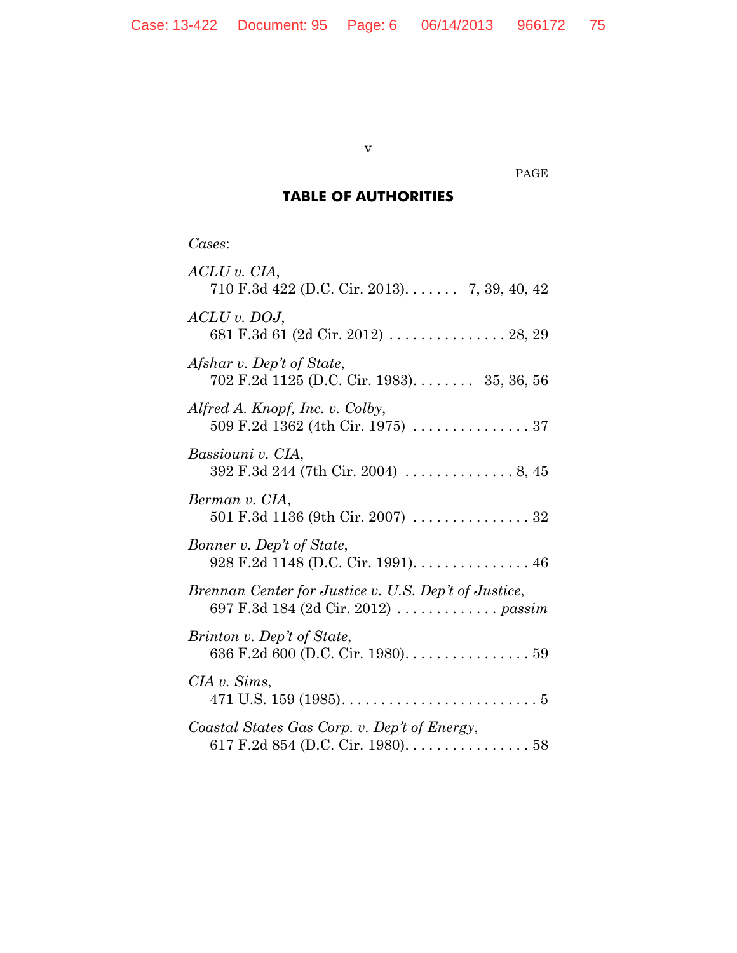v

#### PAGE

# **TABLE OF AUTHORITIES**

*Cases*:

| $ACLU$ v. $CIA$ ,<br>710 F.3d 422 (D.C. Cir. 2013). 7, 39, 40, 42                            |
|----------------------------------------------------------------------------------------------|
| $ACLU$ v. DOJ,<br>681 F.3d 61 (2d Cir. 2012)  28, 29                                         |
| Afshar v. Dep't of State,<br>702 F.2d 1125 (D.C. Cir. 1983). 35, 36, 56                      |
| Alfred A. Knopf, Inc. v. Colby,                                                              |
| Bassiouni v. CIA,<br>392 F.3d 244 (7th Cir. 2004)  8, 45                                     |
| Berman v. CIA,<br>501 F.3d 1136 (9th Cir. 2007) $\ldots \ldots \ldots \ldots 32$             |
| Bonner v. Dep't of State,<br>$928$ F.2d 1148 (D.C. Cir. 1991). 46                            |
| Brennan Center for Justice v. U.S. Dep't of Justice,<br>697 F.3d 184 (2d Cir. 2012)  passim  |
| Brinton v. Dep't of State,<br>636 F.2d 600 (D.C. Cir. 1980). 59                              |
| CIA v. Sims,<br>471 U.S. 159 (1985). $\dots \dots \dots \dots \dots \dots \dots \dots \dots$ |
| Coastal States Gas Corp. v. Dep't of Energy,<br>617 F.2d 854 (D.C. Cir. 1980). 58            |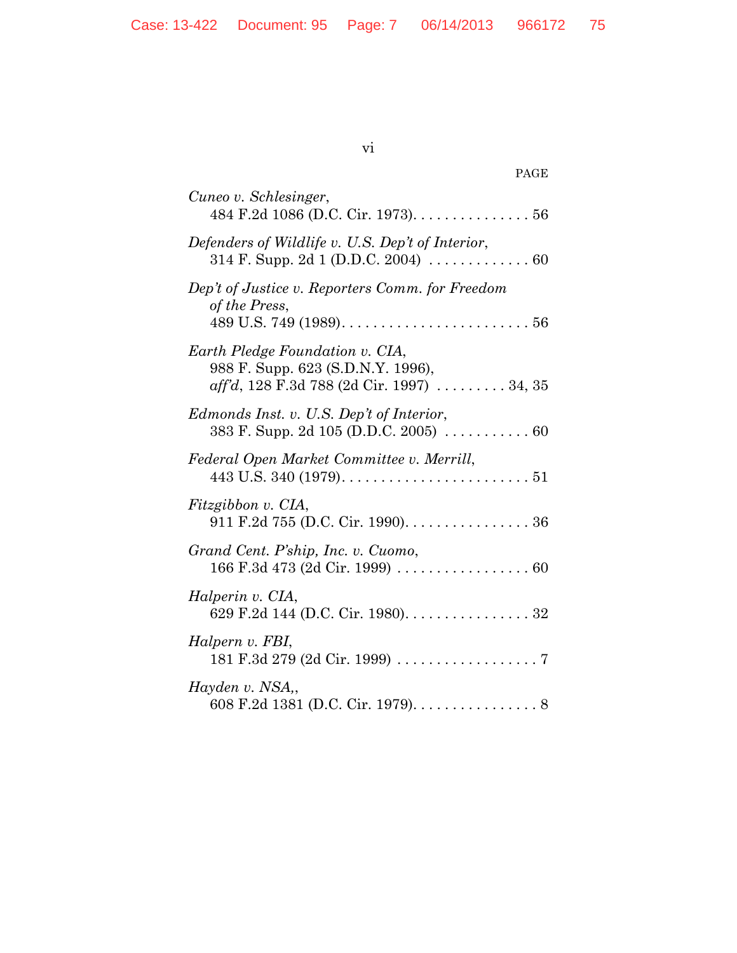vi

| PAGE                                                                                                                      |
|---------------------------------------------------------------------------------------------------------------------------|
| Cuneo v. Schlesinger,<br>484 F.2d 1086 (D.C. Cir. 1973). $\dots \dots \dots \dots 56$                                     |
| Defenders of Wildlife v. U.S. Dep't of Interior,<br>314 F. Supp. 2d 1 (D.D.C. 2004) $\ldots \ldots \ldots \ldots$ 60      |
| Dep't of Justice v. Reporters Comm. for Freedom<br>of the Press,                                                          |
| Earth Pledge Foundation v. CIA,<br>988 F. Supp. 623 (S.D.N.Y. 1996),<br>$\alpha$ ff'd, 128 F.3d 788 (2d Cir. 1997) 34, 35 |
| Edmonds Inst. v. U.S. Dep't of Interior,<br>383 F. Supp. 2d 105 (D.D.C. 2005)  60                                         |
| Federal Open Market Committee v. Merrill,                                                                                 |
| Fitzgibbon v. CIA,<br>911 F.2d 755 (D.C. Cir. 1990). 36                                                                   |
| Grand Cent. P'ship, Inc. v. Cuomo,                                                                                        |
| Halperin v. CIA,<br>629 F.2d 144 (D.C. Cir. 1980). 32                                                                     |
| Halpern v. FBI,<br>$181 \text{ F}.3d 279 (2d \text{ Cir. } 1999) \ldots \ldots \ldots \ldots \ldots \ldots 7$             |
| Hayden v. NSA,<br>608 F.2d 1381 (D.C. Cir. 1979). 8                                                                       |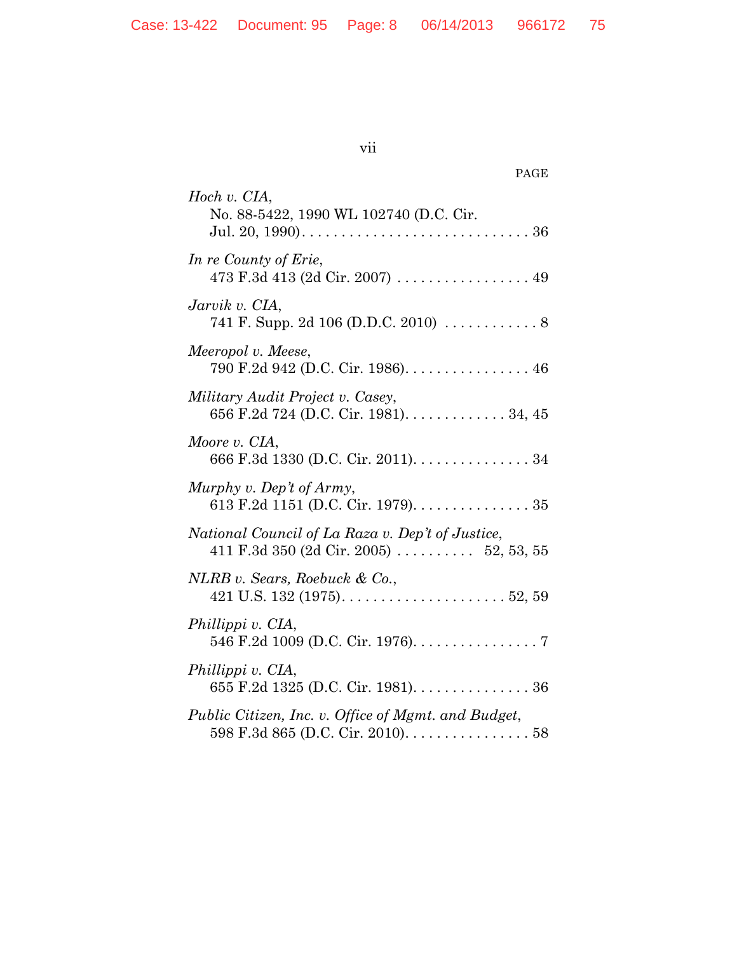*Hoch v. CIA*,

*Jarvik v. CIA*,

*In re County of Erie*,

vii

| ch v. CIA,<br>No. 88-5422, 1990 WL 102740 (D.C. Cir.                         |  |
|------------------------------------------------------------------------------|--|
| re County of Erie,<br>473 F.3d 413 (2d Cir. 2007) 49                         |  |
| rvik v. CIA,<br>741 F. Supp. 2d 106 (D.D.C. 2010) $\ldots \ldots \ldots$ . 8 |  |

PAGE

# 741 F. Supp. 2d 106 (D.D.C. 2010) ............ 8 *Meeropol v. Meese*, 790 F.2d 942 (D.C. Cir. 1986)................ 46 *Military Audit Project v. Casey*, 656 F.2d 724 (D.C. Cir. 1981)............. 34, 45 *Moore v. CIA*, 666 F.3d 1330 (D.C. Cir. 2011)............... 34 *Murphy v. Dep't of Army*, 613 F.2d 1151 (D.C. Cir. 1979)............... 35 *National Council of La Raza v. Dep't of Justice*, 411 F.3d 350 (2d Cir. 2005) .......... 52, 53, 55 *NLRB v. Sears, Roebuck & Co.*, 421 U.S. 132 (1975)..................... 52, 59 *Phillippi v. CIA*, 546 F.2d 1009 (D.C. Cir. 1976)................ 7 *Phillippi v. CIA*, 655 F.2d 1325 (D.C. Cir. 1981)............... 36

*Public Citizen, Inc. v. Office of Mgmt. and Budget*, 598 F.3d 865 (D.C. Cir. 2010)................ 58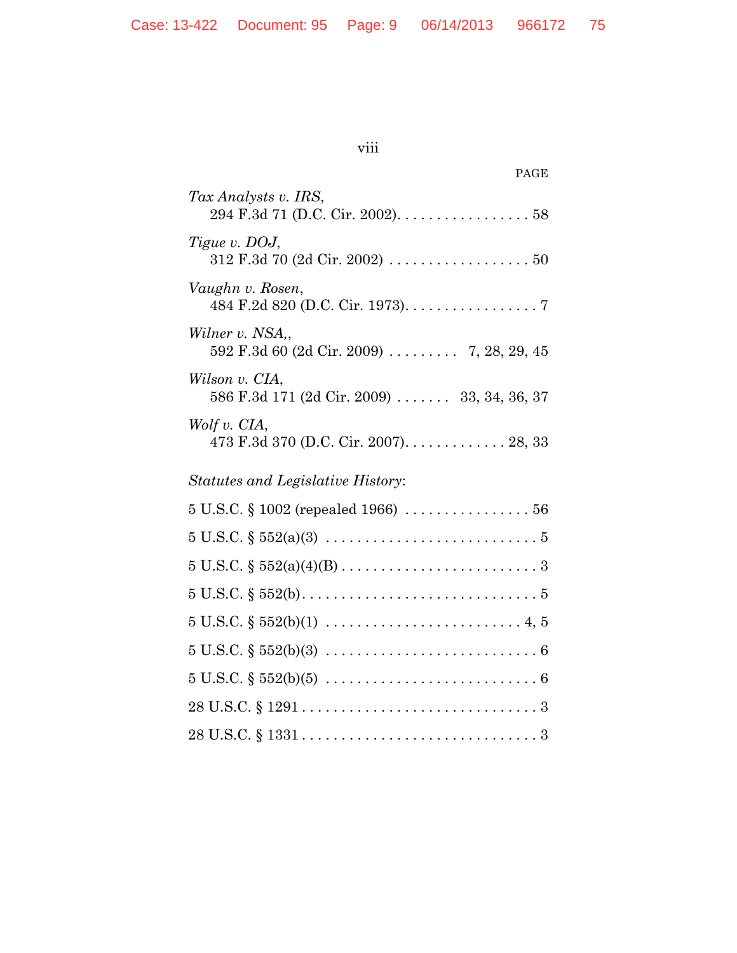| ×<br>I | ×<br>I |  |
|--------|--------|--|
|        |        |  |

| PAGE                                                                                              |
|---------------------------------------------------------------------------------------------------|
| Tax Analysts v. IRS,<br>294 F.3d 71 (D.C. Cir. 2002). 58                                          |
| Tigue v. DOJ,                                                                                     |
| Vaughn v. Rosen,<br>484 F.2d 820 (D.C. Cir. 1973). 7                                              |
| Wilner v. NSA.,<br>592 F.3d 60 (2d Cir. 2009)  7, 28, 29, 45                                      |
| Wilson v. CIA,<br>586 F.3d 171 (2d Cir. 2009)  33, 34, 36, 37                                     |
| Wolf v. CIA,<br>473 F.3d 370 (D.C. Cir. 2007). 28, 33                                             |
| <i>Statutes and Legislative History:</i>                                                          |
|                                                                                                   |
| $5 \text{ U.S.C. } \S 552(a)(3) \ldots \ldots \ldots \ldots \ldots \ldots \ldots \ldots \ldots 5$ |
|                                                                                                   |
|                                                                                                   |
|                                                                                                   |
|                                                                                                   |
|                                                                                                   |
|                                                                                                   |

28 U.S.C. § 1331 .............................. 3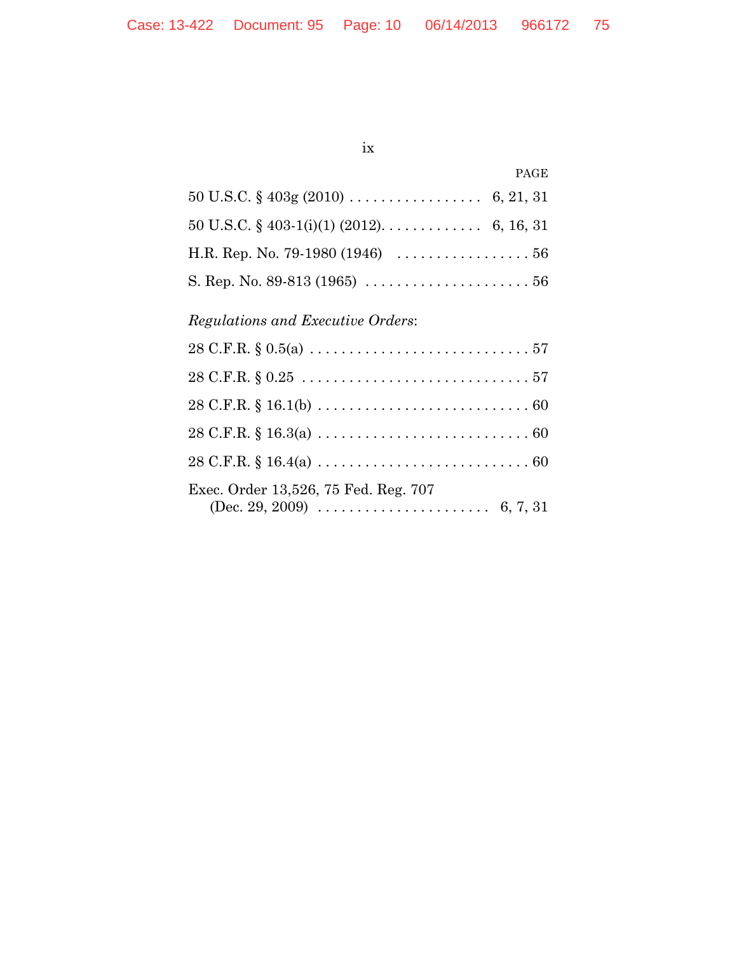## ix

| 50 U.S.C. § 403-1(i)(1) (2012). 6, 16, 31                             |  |
|-----------------------------------------------------------------------|--|
| H.R. Rep. No. 79-1980 (1946) $\dots \dots \dots \dots \dots \dots 56$ |  |
|                                                                       |  |

# *Regulations and Executive Orders*:

| Exec. Order 13,526, 75 Fed. Reg. 707 |
|--------------------------------------|
|                                      |
|                                      |
|                                      |
|                                      |
|                                      |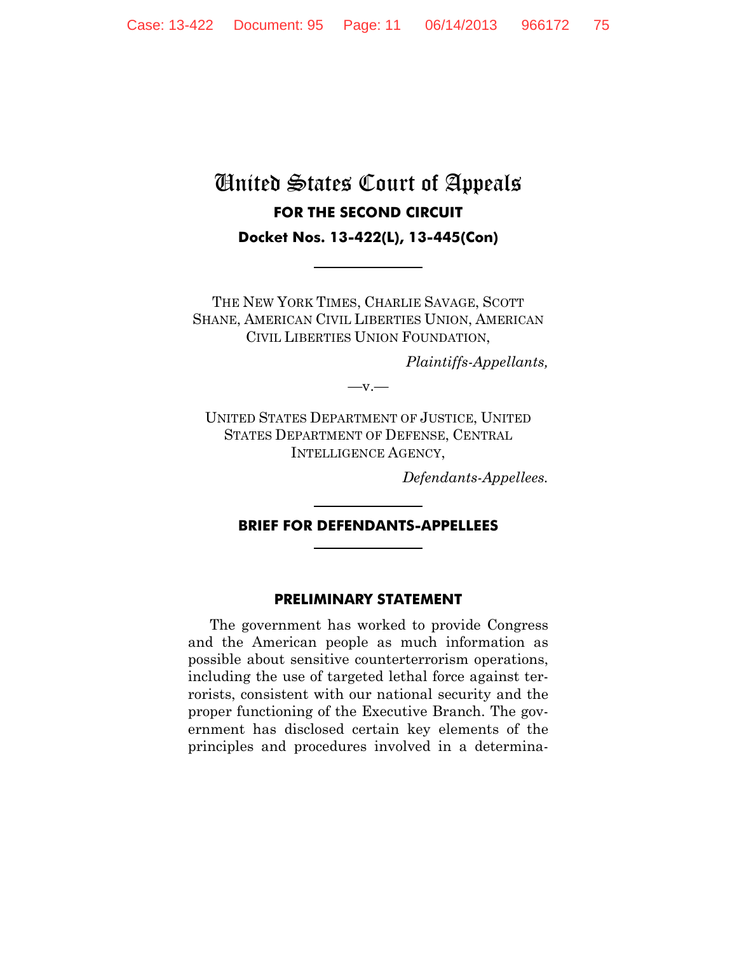# United States Court of Appeals **FOR THE SECOND CIRCUIT Docket Nos. 13-422(L), 13-445(Con)**

THE NEW YORK TIMES, CHARLIE SAVAGE, SCOTT SHANE, AMERICAN CIVIL LIBERTIES UNION, AMERICAN CIVIL LIBERTIES UNION FOUNDATION,

*Plaintiffs-Appellants,*

 $-v =$ 

UNITED STATES DEPARTMENT OF JUSTICE, UNITED STATES DEPARTMENT OF DEFENSE, CENTRAL INTELLIGENCE AGENCY,

*Defendants-Appellees.*

#### **BRIEF FOR DEFENDANTS-APPELLEES**

#### **PRELIMINARY STATEMENT**

The government has worked to provide Congress and the American people as much information as possible about sensitive counterterrorism operations, including the use of targeted lethal force against terrorists, consistent with our national security and the proper functioning of the Executive Branch. The government has disclosed certain key elements of the principles and procedures involved in a determina-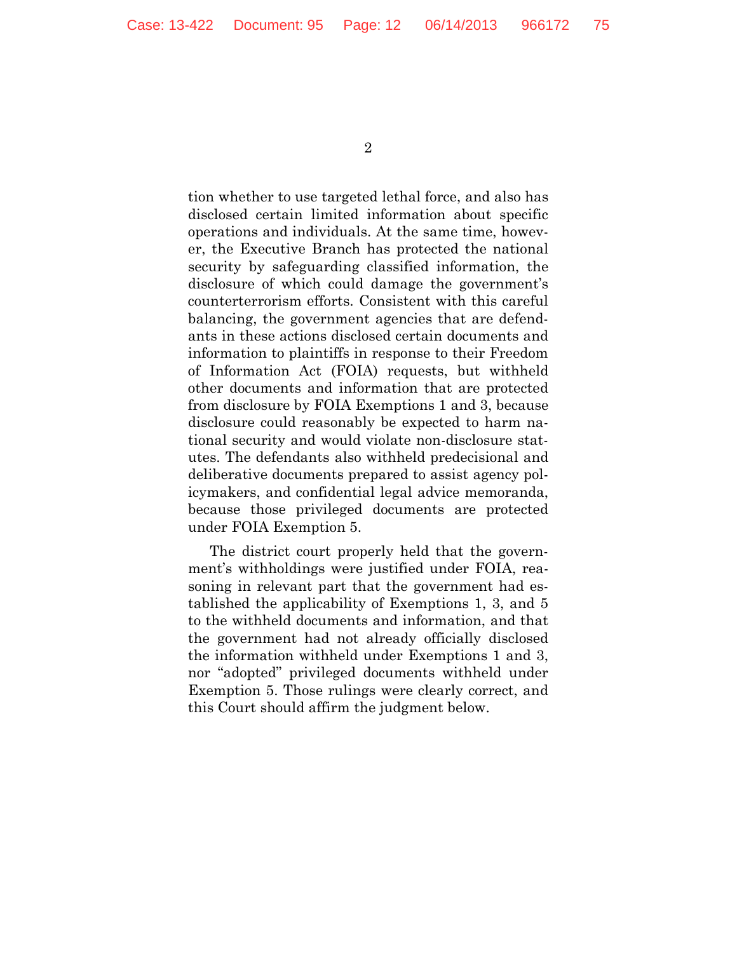tion whether to use targeted lethal force, and also has disclosed certain limited information about specific operations and individuals. At the same time, however, the Executive Branch has protected the national security by safeguarding classified information, the disclosure of which could damage the government's counterterrorism efforts. Consistent with this careful balancing, the government agencies that are defendants in these actions disclosed certain documents and information to plaintiffs in response to their Freedom of Information Act (FOIA) requests, but withheld other documents and information that are protected from disclosure by FOIA Exemptions 1 and 3, because disclosure could reasonably be expected to harm national security and would violate non-disclosure statutes. The defendants also withheld predecisional and deliberative documents prepared to assist agency policymakers, and confidential legal advice memoranda, because those privileged documents are protected under FOIA Exemption 5.

The district court properly held that the government's withholdings were justified under FOIA, reasoning in relevant part that the government had established the applicability of Exemptions 1, 3, and 5 to the withheld documents and information, and that the government had not already officially disclosed the information withheld under Exemptions 1 and 3, nor "adopted" privileged documents withheld under Exemption 5. Those rulings were clearly correct, and this Court should affirm the judgment below.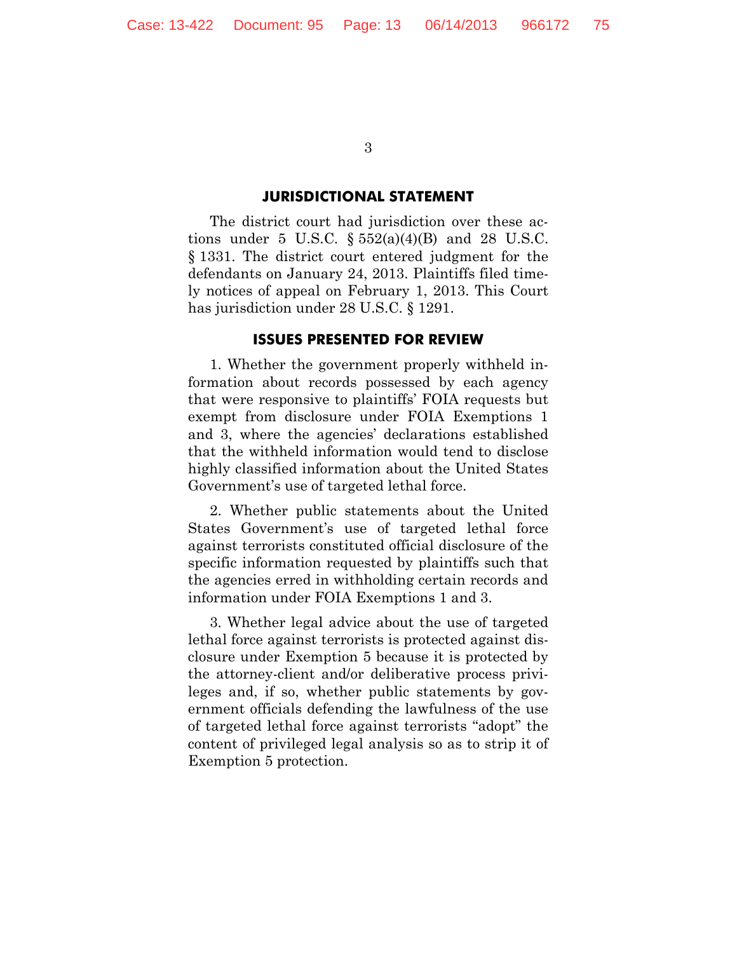#### **JURISDICTIONAL STATEMENT**

The district court had jurisdiction over these actions under 5 U.S.C.  $\S 552(a)(4)(B)$  and 28 U.S.C. § 1331. The district court entered judgment for the defendants on January 24, 2013. Plaintiffs filed timely notices of appeal on February 1, 2013. This Court has jurisdiction under 28 U.S.C. § 1291.

#### **ISSUES PRESENTED FOR REVIEW**

1. Whether the government properly withheld information about records possessed by each agency that were responsive to plaintiffs' FOIA requests but exempt from disclosure under FOIA Exemptions 1 and 3, where the agencies' declarations established that the withheld information would tend to disclose highly classified information about the United States Government's use of targeted lethal force.

2. Whether public statements about the United States Government's use of targeted lethal force against terrorists constituted official disclosure of the specific information requested by plaintiffs such that the agencies erred in withholding certain records and information under FOIA Exemptions 1 and 3.

3. Whether legal advice about the use of targeted lethal force against terrorists is protected against disclosure under Exemption 5 because it is protected by the attorney-client and/or deliberative process privileges and, if so, whether public statements by government officials defending the lawfulness of the use of targeted lethal force against terrorists "adopt" the content of privileged legal analysis so as to strip it of Exemption 5 protection.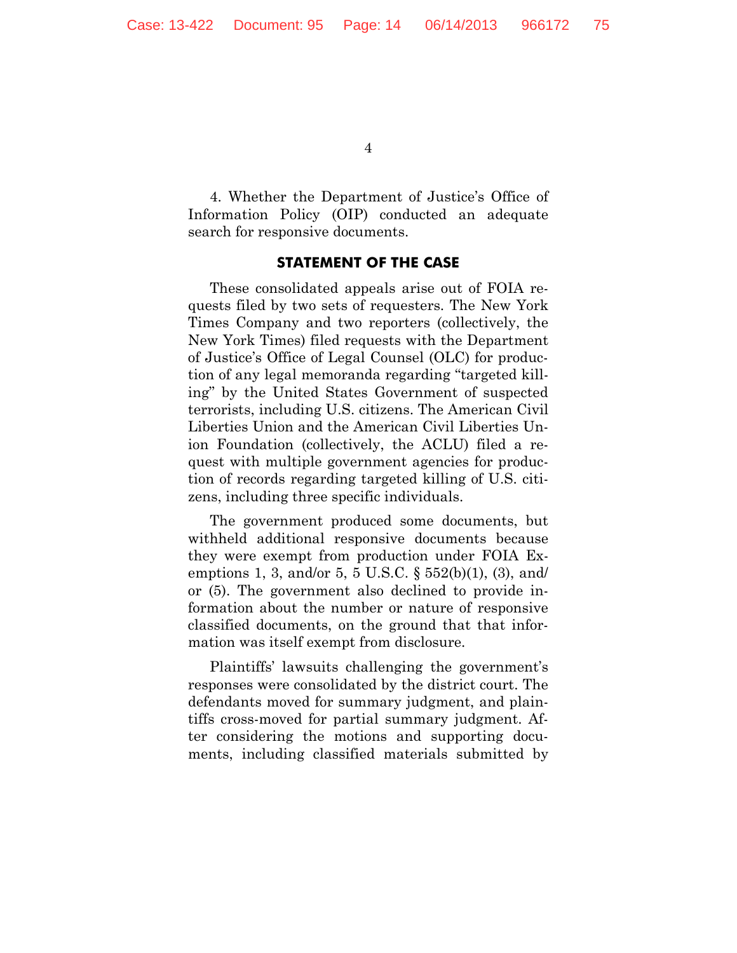4. Whether the Department of Justice's Office of Information Policy (OIP) conducted an adequate search for responsive documents.

#### **STATEMENT OF THE CASE**

These consolidated appeals arise out of FOIA requests filed by two sets of requesters. The New York Times Company and two reporters (collectively, the New York Times) filed requests with the Department of Justice's Office of Legal Counsel (OLC) for production of any legal memoranda regarding "targeted killing" by the United States Government of suspected terrorists, including U.S. citizens. The American Civil Liberties Union and the American Civil Liberties Union Foundation (collectively, the ACLU) filed a request with multiple government agencies for production of records regarding targeted killing of U.S. citizens, including three specific individuals.

The government produced some documents, but withheld additional responsive documents because they were exempt from production under FOIA Exemptions 1, 3, and/or 5, 5 U.S.C. § 552(b)(1), (3), and/ or (5). The government also declined to provide information about the number or nature of responsive classified documents, on the ground that that information was itself exempt from disclosure.

Plaintiffs' lawsuits challenging the government's responses were consolidated by the district court. The defendants moved for summary judgment, and plaintiffs cross-moved for partial summary judgment. After considering the motions and supporting documents, including classified materials submitted by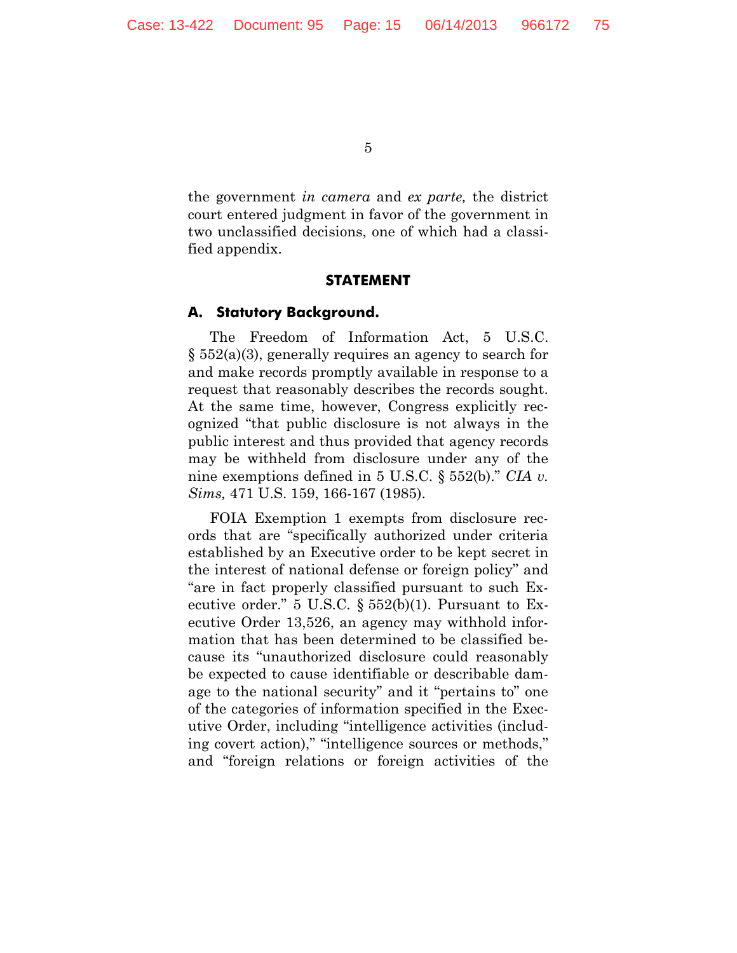the government *in camera* and *ex parte,* the district court entered judgment in favor of the government in two unclassified decisions, one of which had a classified appendix.

#### **STATEMENT**

#### **A. Statutory Background.**

The Freedom of Information Act, 5 U.S.C. § 552(a)(3), generally requires an agency to search for and make records promptly available in response to a request that reasonably describes the records sought. At the same time, however, Congress explicitly recognized "that public disclosure is not always in the public interest and thus provided that agency records may be withheld from disclosure under any of the nine exemptions defined in 5 U.S.C. § 552(b)." *CIA v. Sims,* 471 U.S. 159, 166-167 (1985).

FOIA Exemption 1 exempts from disclosure records that are "specifically authorized under criteria established by an Executive order to be kept secret in the interest of national defense or foreign policy" and "are in fact properly classified pursuant to such Executive order." 5 U.S.C.  $\S 552(b)(1)$ . Pursuant to Executive Order 13,526, an agency may withhold information that has been determined to be classified because its "unauthorized disclosure could reasonably be expected to cause identifiable or describable damage to the national security" and it "pertains to" one of the categories of information specified in the Executive Order, including "intelligence activities (including covert action)," "intelligence sources or methods," and "foreign relations or foreign activities of the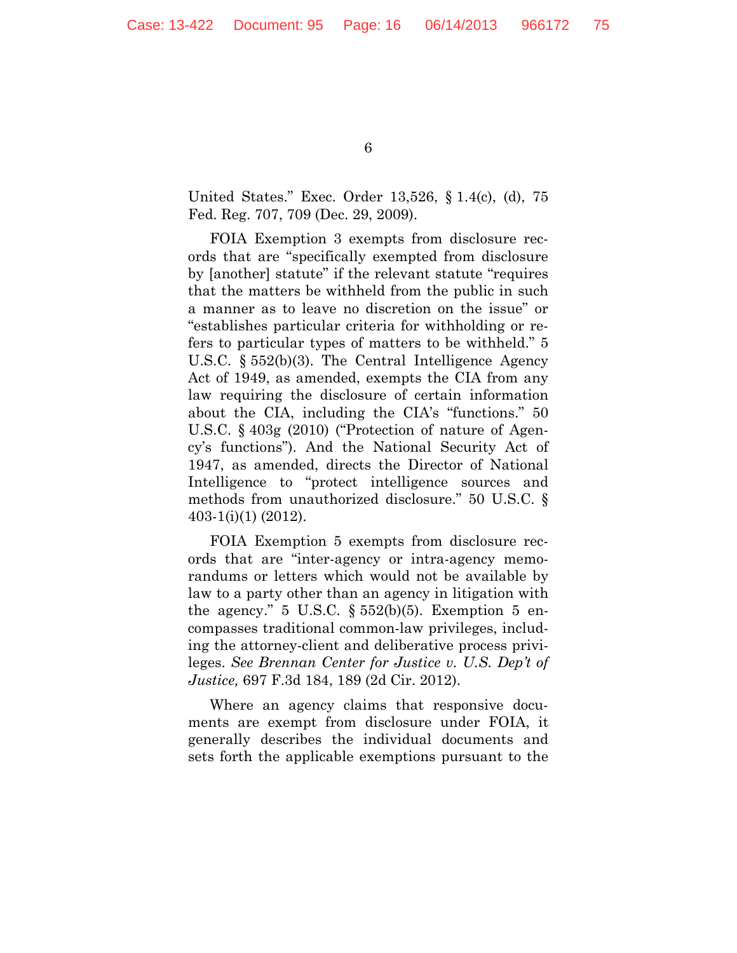United States." Exec. Order 13,526, § 1.4(c), (d), 75 Fed. Reg. 707, 709 (Dec. 29, 2009).

FOIA Exemption 3 exempts from disclosure records that are "specifically exempted from disclosure by [another] statute" if the relevant statute "requires that the matters be withheld from the public in such a manner as to leave no discretion on the issue" or "establishes particular criteria for withholding or refers to particular types of matters to be withheld." 5 U.S.C. § 552(b)(3). The Central Intelligence Agency Act of 1949, as amended, exempts the CIA from any law requiring the disclosure of certain information about the CIA, including the CIA's "functions." 50 U.S.C. § 403g (2010) ("Protection of nature of Agency's functions"). And the National Security Act of 1947, as amended, directs the Director of National Intelligence to "protect intelligence sources and methods from unauthorized disclosure." 50 U.S.C. § 403-1(i)(1) (2012).

FOIA Exemption 5 exempts from disclosure records that are "inter-agency or intra-agency memorandums or letters which would not be available by law to a party other than an agency in litigation with the agency." 5 U.S.C.  $\S 552(b)(5)$ . Exemption 5 encompasses traditional common-law privileges, including the attorney-client and deliberative process privileges. *See Brennan Center for Justice v. U.S. Dep't of Justice,* 697 F.3d 184, 189 (2d Cir. 2012).

Where an agency claims that responsive documents are exempt from disclosure under FOIA, it generally describes the individual documents and sets forth the applicable exemptions pursuant to the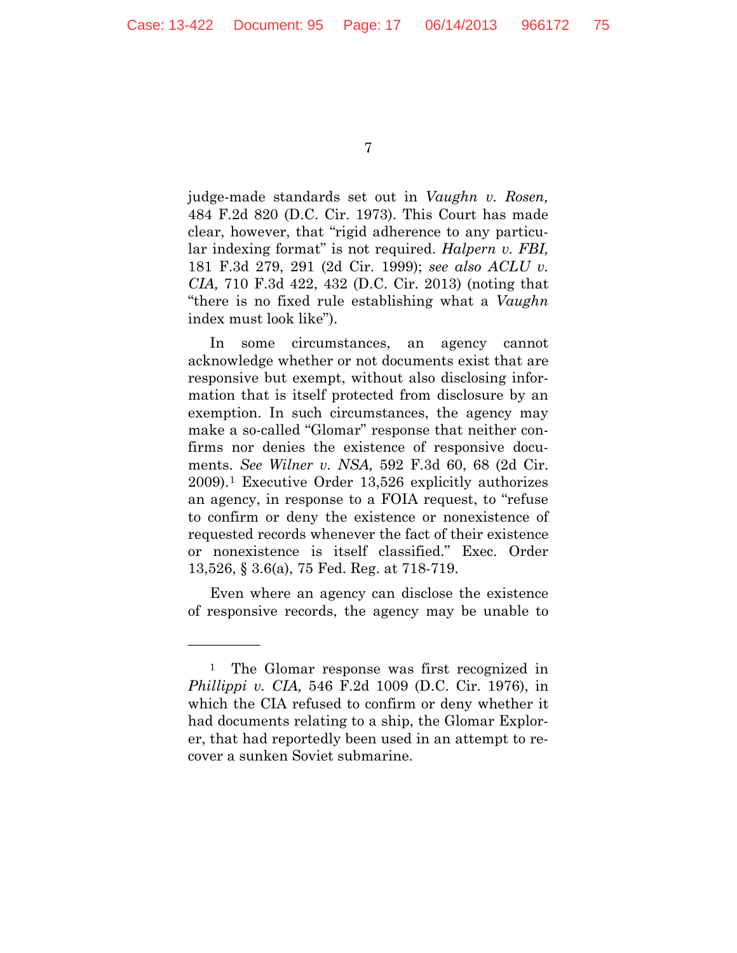judge-made standards set out in *Vaughn v. Rosen,* 484 F.2d 820 (D.C. Cir. 1973). This Court has made clear, however, that "rigid adherence to any particular indexing format" is not required. *Halpern v. FBI,*  181 F.3d 279, 291 (2d Cir. 1999); *see also ACLU v. CIA,* 710 F.3d 422, 432 (D.C. Cir. 2013) (noting that "there is no fixed rule establishing what a *Vaughn*  index must look like").

In some circumstances, an agency cannot acknowledge whether or not documents exist that are responsive but exempt, without also disclosing information that is itself protected from disclosure by an exemption. In such circumstances, the agency may make a so-called "Glomar" response that neither confirms nor denies the existence of responsive documents. *See Wilner v. NSA,* 592 F.3d 60, 68 (2d Cir. 2009).[1](#page-16-0) Executive Order 13,526 explicitly authorizes an agency, in response to a FOIA request, to "refuse to confirm or deny the existence or nonexistence of requested records whenever the fact of their existence or nonexistence is itself classified." Exec. Order 13,526, § 3.6(a), 75 Fed. Reg. at 718-719.

Even where an agency can disclose the existence of responsive records, the agency may be unable to

—————

<span id="page-16-0"></span><sup>&</sup>lt;sup>1</sup> The Glomar response was first recognized in *Phillippi v. CIA,* 546 F.2d 1009 (D.C. Cir. 1976), in which the CIA refused to confirm or deny whether it had documents relating to a ship, the Glomar Explorer, that had reportedly been used in an attempt to recover a sunken Soviet submarine.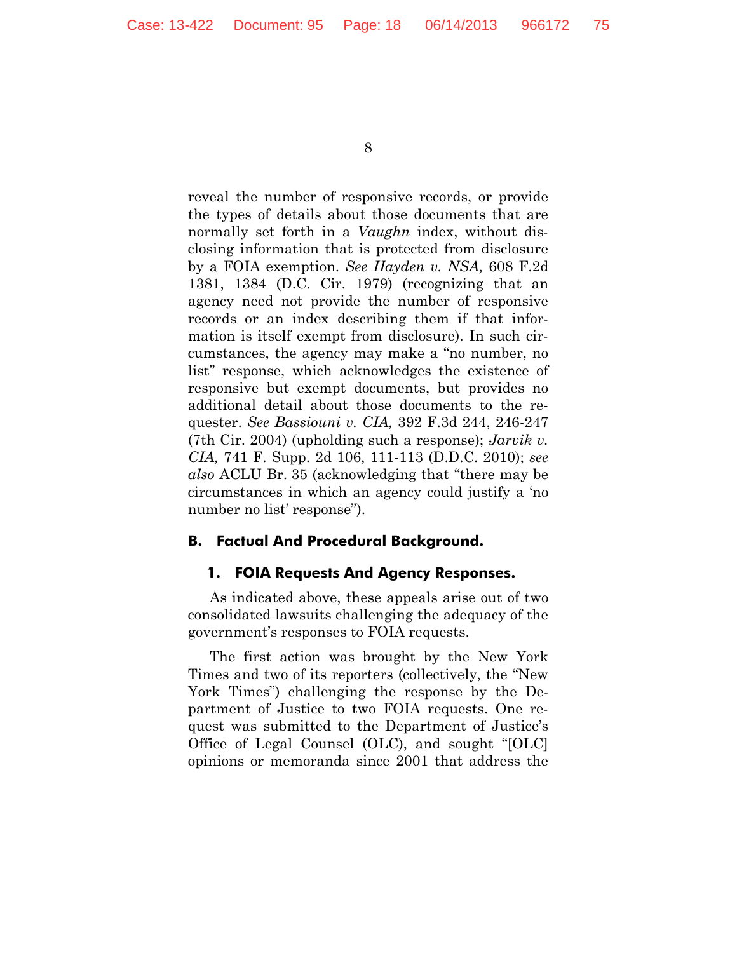reveal the number of responsive records, or provide the types of details about those documents that are normally set forth in a *Vaughn* index, without disclosing information that is protected from disclosure by a FOIA exemption. *See Hayden v. NSA,* 608 F.2d 1381, 1384 (D.C. Cir. 1979) (recognizing that an agency need not provide the number of responsive records or an index describing them if that information is itself exempt from disclosure). In such circumstances, the agency may make a "no number, no list" response, which acknowledges the existence of responsive but exempt documents, but provides no additional detail about those documents to the requester. *See Bassiouni v. CIA,* 392 F.3d 244, 246-247 (7th Cir. 2004) (upholding such a response); *Jarvik v. CIA,* 741 F. Supp. 2d 106, 111-113 (D.D.C. 2010); *see also* ACLU Br. 35 (acknowledging that "there may be circumstances in which an agency could justify a 'no number no list' response").

## **B. Factual And Procedural Background.**

#### **1. FOIA Requests And Agency Responses.**

As indicated above, these appeals arise out of two consolidated lawsuits challenging the adequacy of the government's responses to FOIA requests.

The first action was brought by the New York Times and two of its reporters (collectively, the "New York Times") challenging the response by the Department of Justice to two FOIA requests. One request was submitted to the Department of Justice's Office of Legal Counsel (OLC), and sought "[OLC] opinions or memoranda since 2001 that address the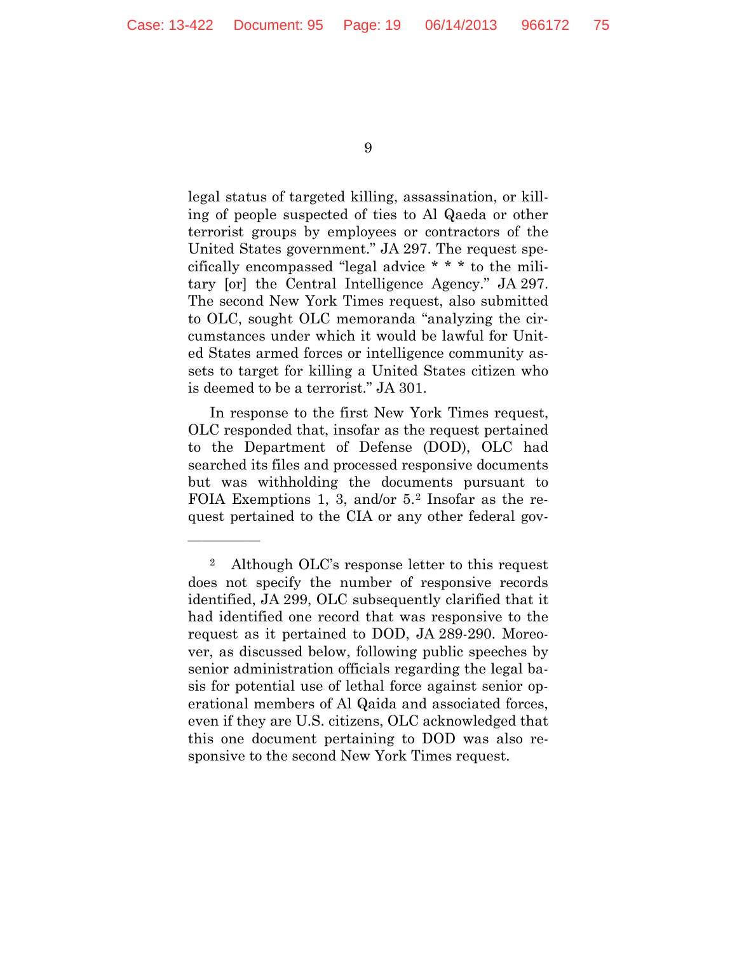—————

9

legal status of targeted killing, assassination, or killing of people suspected of ties to Al Qaeda or other terrorist groups by employees or contractors of the United States government." JA 297. The request specifically encompassed "legal advice \* \* \* to the military [or] the Central Intelligence Agency." JA 297. The second New York Times request, also submitted to OLC, sought OLC memoranda "analyzing the circumstances under which it would be lawful for United States armed forces or intelligence community assets to target for killing a United States citizen who is deemed to be a terrorist." JA 301.

In response to the first New York Times request, OLC responded that, insofar as the request pertained to the Department of Defense (DOD), OLC had searched its files and processed responsive documents but was withholding the documents pursuant to FOIA Exemptions 1, 3, and/or 5.[2](#page-18-0) Insofar as the request pertained to the CIA or any other federal gov-

<span id="page-18-0"></span><sup>2</sup> Although OLC's response letter to this request does not specify the number of responsive records identified, JA 299, OLC subsequently clarified that it had identified one record that was responsive to the request as it pertained to DOD, JA 289-290. Moreover, as discussed below, following public speeches by senior administration officials regarding the legal basis for potential use of lethal force against senior operational members of Al Qaida and associated forces, even if they are U.S. citizens, OLC acknowledged that this one document pertaining to DOD was also responsive to the second New York Times request.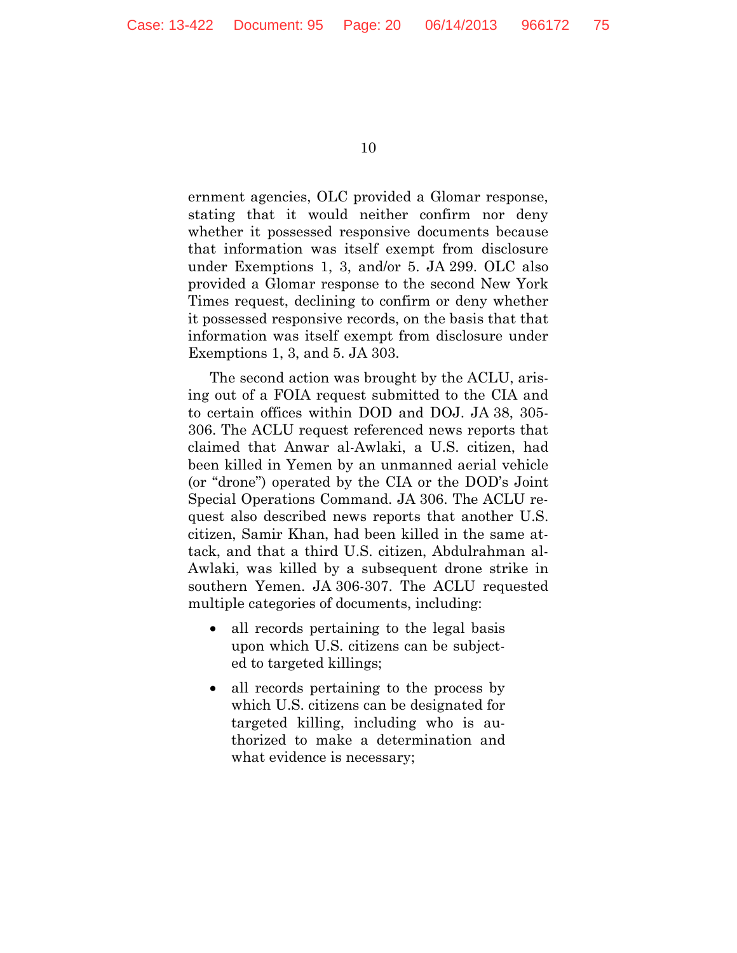ernment agencies, OLC provided a Glomar response, stating that it would neither confirm nor deny whether it possessed responsive documents because that information was itself exempt from disclosure under Exemptions 1, 3, and/or 5. JA 299. OLC also provided a Glomar response to the second New York Times request, declining to confirm or deny whether it possessed responsive records, on the basis that that information was itself exempt from disclosure under Exemptions 1, 3, and 5. JA 303.

The second action was brought by the ACLU, arising out of a FOIA request submitted to the CIA and to certain offices within DOD and DOJ. JA 38, 305- 306. The ACLU request referenced news reports that claimed that Anwar al-Awlaki, a U.S. citizen, had been killed in Yemen by an unmanned aerial vehicle (or "drone") operated by the CIA or the DOD's Joint Special Operations Command. JA 306. The ACLU request also described news reports that another U.S. citizen, Samir Khan, had been killed in the same attack, and that a third U.S. citizen, Abdulrahman al-Awlaki, was killed by a subsequent drone strike in southern Yemen. JA 306-307. The ACLU requested multiple categories of documents, including:

- all records pertaining to the legal basis upon which U.S. citizens can be subjected to targeted killings;
- all records pertaining to the process by which U.S. citizens can be designated for targeted killing, including who is authorized to make a determination and what evidence is necessary;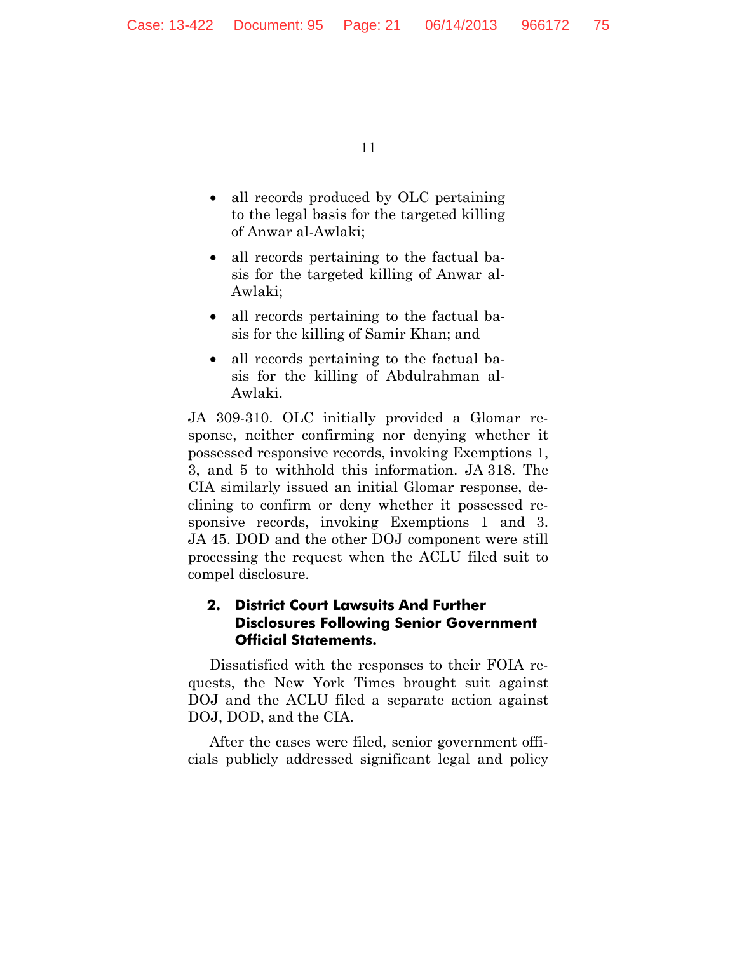- all records produced by OLC pertaining to the legal basis for the targeted killing of Anwar al-Awlaki;
- all records pertaining to the factual basis for the targeted killing of Anwar al-Awlaki;
- all records pertaining to the factual basis for the killing of Samir Khan; and
- all records pertaining to the factual basis for the killing of Abdulrahman al-Awlaki.

JA 309-310. OLC initially provided a Glomar response, neither confirming nor denying whether it possessed responsive records, invoking Exemptions 1, 3, and 5 to withhold this information. JA 318. The CIA similarly issued an initial Glomar response, declining to confirm or deny whether it possessed responsive records, invoking Exemptions 1 and 3. JA 45. DOD and the other DOJ component were still processing the request when the ACLU filed suit to compel disclosure.

## **2. District Court Lawsuits And Further Disclosures Following Senior Government Official Statements.**

Dissatisfied with the responses to their FOIA requests, the New York Times brought suit against DOJ and the ACLU filed a separate action against DOJ, DOD, and the CIA.

After the cases were filed, senior government officials publicly addressed significant legal and policy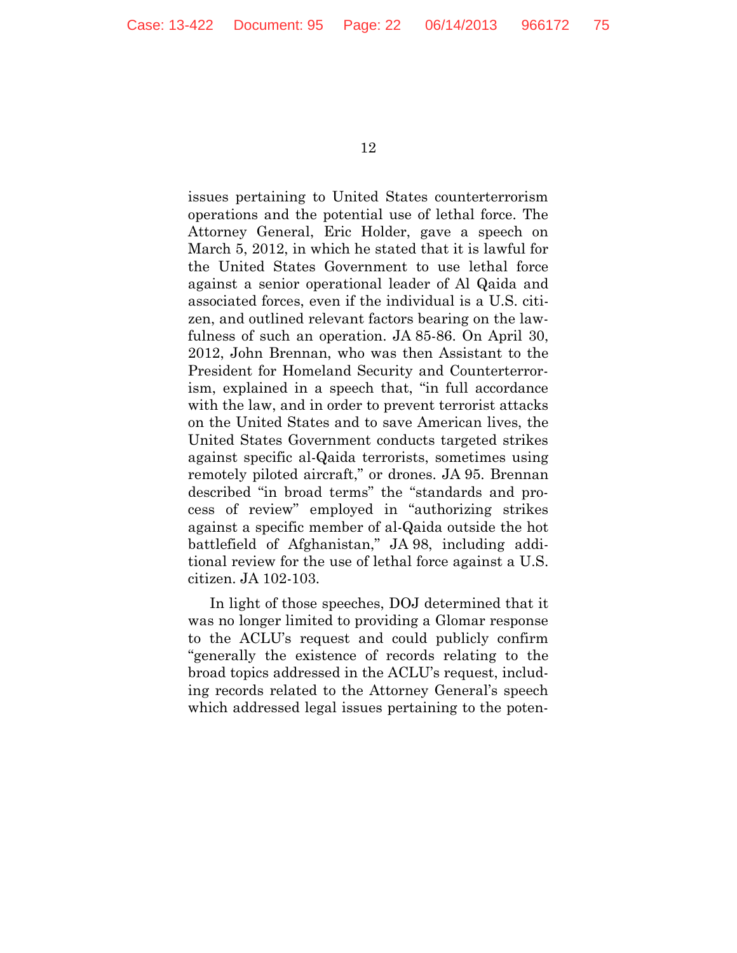issues pertaining to United States counterterrorism operations and the potential use of lethal force. The Attorney General, Eric Holder, gave a speech on March 5, 2012, in which he stated that it is lawful for the United States Government to use lethal force against a senior operational leader of Al Qaida and associated forces, even if the individual is a U.S. citizen, and outlined relevant factors bearing on the lawfulness of such an operation. JA 85-86. On April 30, 2012, John Brennan, who was then Assistant to the President for Homeland Security and Counterterrorism, explained in a speech that, "in full accordance with the law, and in order to prevent terrorist attacks on the United States and to save American lives, the United States Government conducts targeted strikes against specific al-Qaida terrorists, sometimes using remotely piloted aircraft," or drones. JA 95. Brennan described "in broad terms" the "standards and process of review" employed in "authorizing strikes against a specific member of al-Qaida outside the hot battlefield of Afghanistan," JA 98, including additional review for the use of lethal force against a U.S. citizen. JA 102-103.

In light of those speeches, DOJ determined that it was no longer limited to providing a Glomar response to the ACLU's request and could publicly confirm "generally the existence of records relating to the broad topics addressed in the ACLU's request, including records related to the Attorney General's speech which addressed legal issues pertaining to the poten-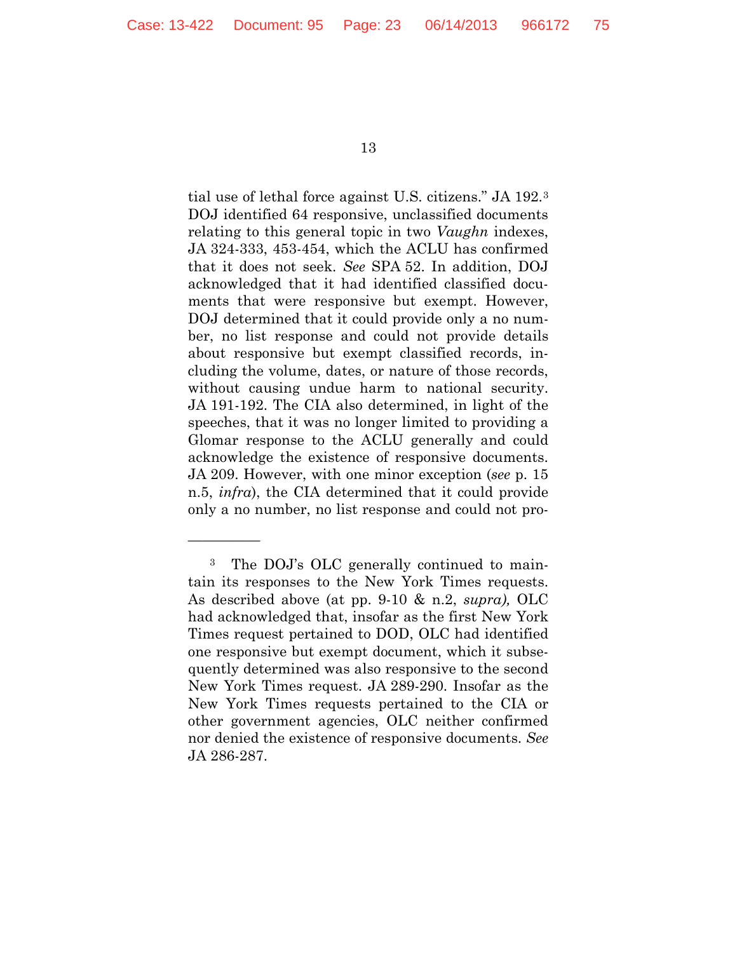—————

13

tial use of lethal force against U.S. citizens." JA 192.[3](#page-22-0) DOJ identified 64 responsive, unclassified documents relating to this general topic in two *Vaughn* indexes, JA 324-333, 453-454, which the ACLU has confirmed that it does not seek. *See* SPA 52. In addition, DOJ acknowledged that it had identified classified documents that were responsive but exempt. However, DOJ determined that it could provide only a no number, no list response and could not provide details about responsive but exempt classified records, including the volume, dates, or nature of those records, without causing undue harm to national security. JA 191-192. The CIA also determined, in light of the speeches, that it was no longer limited to providing a Glomar response to the ACLU generally and could acknowledge the existence of responsive documents. JA 209. However, with one minor exception (*see* p. 15 n.5, *infra*), the CIA determined that it could provide only a no number, no list response and could not pro-

<span id="page-22-0"></span><sup>3</sup> The DOJ's OLC generally continued to maintain its responses to the New York Times requests. As described above (at pp. 9-10 & n.2, *supra),* OLC had acknowledged that, insofar as the first New York Times request pertained to DOD, OLC had identified one responsive but exempt document, which it subsequently determined was also responsive to the second New York Times request. JA 289-290. Insofar as the New York Times requests pertained to the CIA or other government agencies, OLC neither confirmed nor denied the existence of responsive documents. *See*  JA 286-287.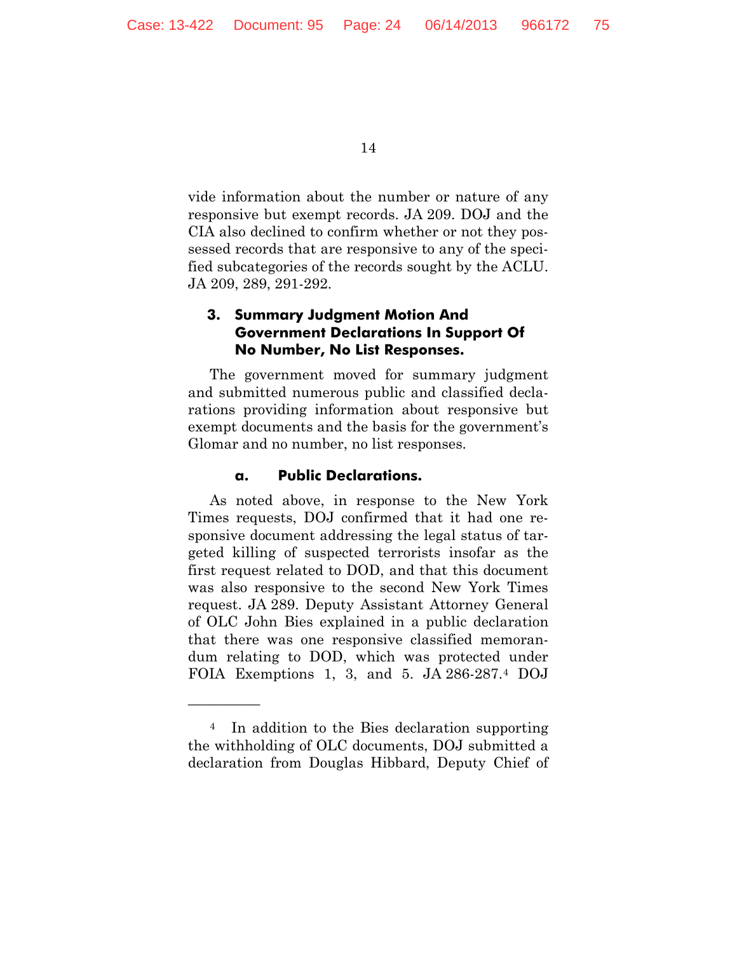vide information about the number or nature of any responsive but exempt records. JA 209. DOJ and the CIA also declined to confirm whether or not they possessed records that are responsive to any of the specified subcategories of the records sought by the ACLU. JA 209, 289, 291-292.

## **3. Summary Judgment Motion And Government Declarations In Support Of No Number, No List Responses.**

The government moved for summary judgment and submitted numerous public and classified declarations providing information about responsive but exempt documents and the basis for the government's Glomar and no number, no list responses.

#### **a. Public Declarations.**

—————

As noted above, in response to the New York Times requests, DOJ confirmed that it had one responsive document addressing the legal status of targeted killing of suspected terrorists insofar as the first request related to DOD, and that this document was also responsive to the second New York Times request. JA 289. Deputy Assistant Attorney General of OLC John Bies explained in a public declaration that there was one responsive classified memorandum relating to DOD, which was protected under FOIA Exemptions 1, 3, and 5. JA 286-287.[4](#page-23-0) DOJ

<span id="page-23-0"></span><sup>4</sup> In addition to the Bies declaration supporting the withholding of OLC documents, DOJ submitted a declaration from Douglas Hibbard, Deputy Chief of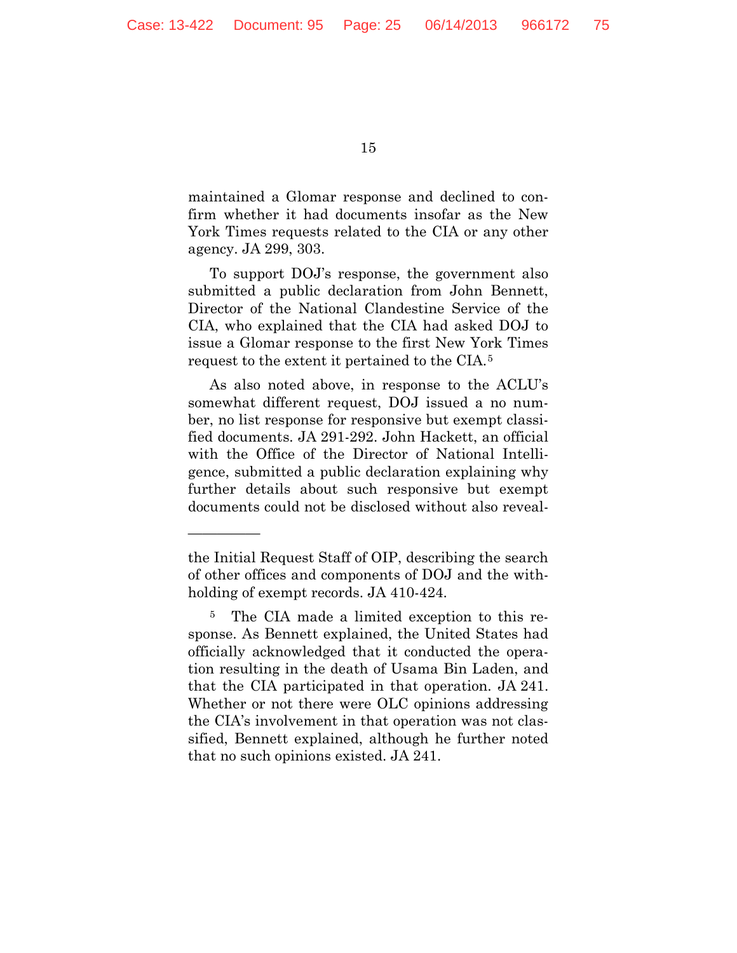—————

15

maintained a Glomar response and declined to confirm whether it had documents insofar as the New York Times requests related to the CIA or any other agency. JA 299, 303.

To support DOJ's response, the government also submitted a public declaration from John Bennett, Director of the National Clandestine Service of the CIA, who explained that the CIA had asked DOJ to issue a Glomar response to the first New York Times request to the extent it pertained to the CIA.[5](#page-24-0)

As also noted above, in response to the ACLU's somewhat different request, DOJ issued a no number, no list response for responsive but exempt classified documents. JA 291-292. John Hackett, an official with the Office of the Director of National Intelligence, submitted a public declaration explaining why further details about such responsive but exempt documents could not be disclosed without also reveal-

the Initial Request Staff of OIP, describing the search of other offices and components of DOJ and the withholding of exempt records. JA 410-424.

<span id="page-24-0"></span><sup>5</sup> The CIA made a limited exception to this response. As Bennett explained, the United States had officially acknowledged that it conducted the operation resulting in the death of Usama Bin Laden, and that the CIA participated in that operation. JA 241. Whether or not there were OLC opinions addressing the CIA's involvement in that operation was not classified, Bennett explained, although he further noted that no such opinions existed. JA 241.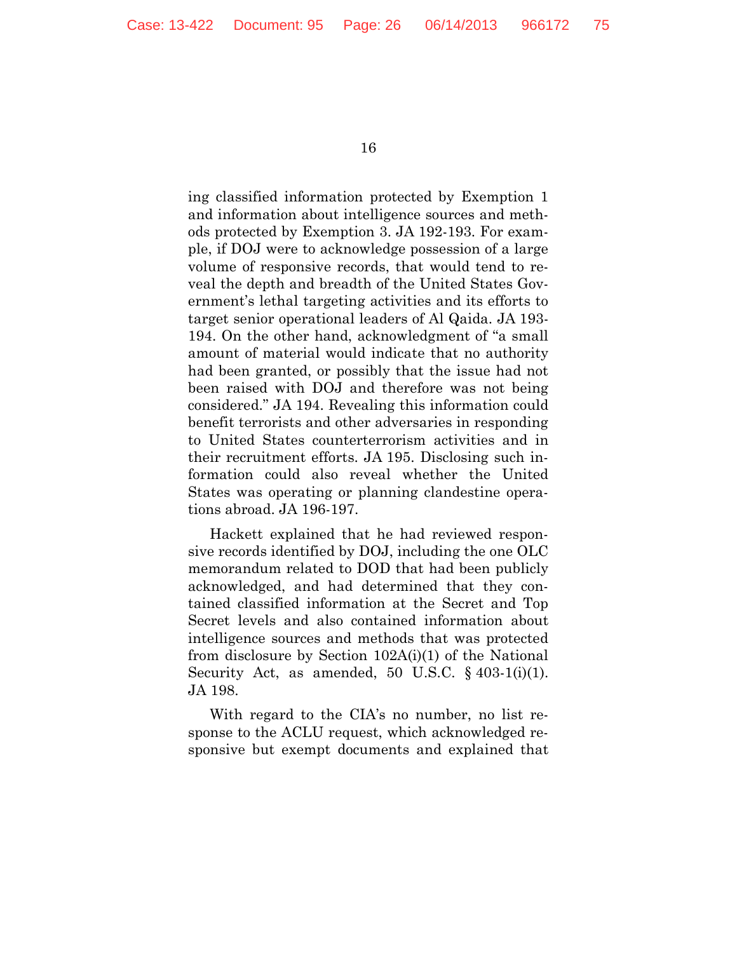ing classified information protected by Exemption 1 and information about intelligence sources and methods protected by Exemption 3. JA 192-193. For example, if DOJ were to acknowledge possession of a large volume of responsive records, that would tend to reveal the depth and breadth of the United States Government's lethal targeting activities and its efforts to target senior operational leaders of Al Qaida. JA 193- 194. On the other hand, acknowledgment of "a small amount of material would indicate that no authority had been granted, or possibly that the issue had not been raised with DOJ and therefore was not being considered." JA 194. Revealing this information could benefit terrorists and other adversaries in responding to United States counterterrorism activities and in their recruitment efforts. JA 195. Disclosing such information could also reveal whether the United States was operating or planning clandestine operations abroad. JA 196-197.

Hackett explained that he had reviewed responsive records identified by DOJ, including the one OLC memorandum related to DOD that had been publicly acknowledged, and had determined that they contained classified information at the Secret and Top Secret levels and also contained information about intelligence sources and methods that was protected from disclosure by Section 102A(i)(1) of the National Security Act, as amended, 50 U.S.C.  $\S$  403-1(i)(1). JA 198.

With regard to the CIA's no number, no list response to the ACLU request, which acknowledged responsive but exempt documents and explained that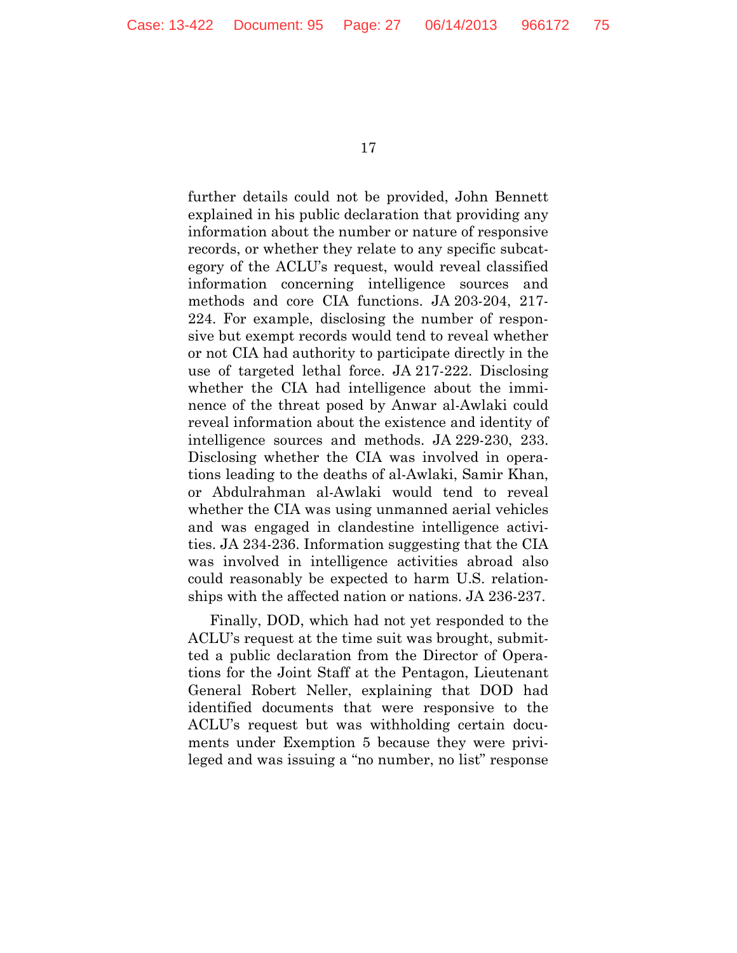further details could not be provided, John Bennett explained in his public declaration that providing any information about the number or nature of responsive records, or whether they relate to any specific subcategory of the ACLU's request, would reveal classified information concerning intelligence sources and methods and core CIA functions. JA 203-204, 217- 224. For example, disclosing the number of responsive but exempt records would tend to reveal whether or not CIA had authority to participate directly in the use of targeted lethal force. JA 217-222. Disclosing whether the CIA had intelligence about the imminence of the threat posed by Anwar al-Awlaki could reveal information about the existence and identity of intelligence sources and methods. JA 229-230, 233. Disclosing whether the CIA was involved in operations leading to the deaths of al-Awlaki, Samir Khan, or Abdulrahman al-Awlaki would tend to reveal whether the CIA was using unmanned aerial vehicles and was engaged in clandestine intelligence activities. JA 234-236. Information suggesting that the CIA was involved in intelligence activities abroad also could reasonably be expected to harm U.S. relationships with the affected nation or nations. JA 236-237.

Finally, DOD, which had not yet responded to the ACLU's request at the time suit was brought, submitted a public declaration from the Director of Operations for the Joint Staff at the Pentagon, Lieutenant General Robert Neller, explaining that DOD had identified documents that were responsive to the ACLU's request but was withholding certain documents under Exemption 5 because they were privileged and was issuing a "no number, no list" response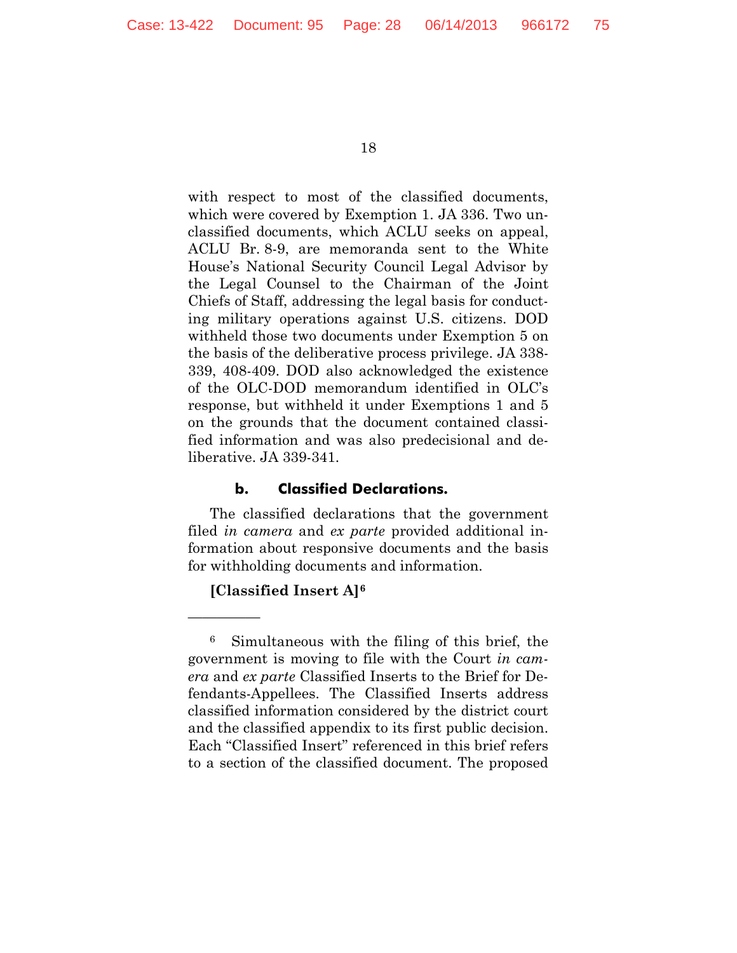with respect to most of the classified documents, which were covered by Exemption 1. JA 336. Two unclassified documents, which ACLU seeks on appeal, ACLU Br. 8-9, are memoranda sent to the White House's National Security Council Legal Advisor by the Legal Counsel to the Chairman of the Joint Chiefs of Staff, addressing the legal basis for conducting military operations against U.S. citizens. DOD withheld those two documents under Exemption 5 on the basis of the deliberative process privilege. JA 338- 339, 408-409. DOD also acknowledged the existence of the OLC-DOD memorandum identified in OLC's response, but withheld it under Exemptions 1 and 5 on the grounds that the document contained classified information and was also predecisional and deliberative. JA 339-341.

#### **b. Classified Declarations.**

The classified declarations that the government filed *in camera* and *ex parte* provided additional information about responsive documents and the basis for withholding documents and information.

## **[Classified Insert A][6](#page-27-0)**

—————

<span id="page-27-0"></span><sup>6</sup> Simultaneous with the filing of this brief, the government is moving to file with the Court *in camera* and *ex parte* Classified Inserts to the Brief for Defendants-Appellees. The Classified Inserts address classified information considered by the district court and the classified appendix to its first public decision. Each "Classified Insert" referenced in this brief refers to a section of the classified document. The proposed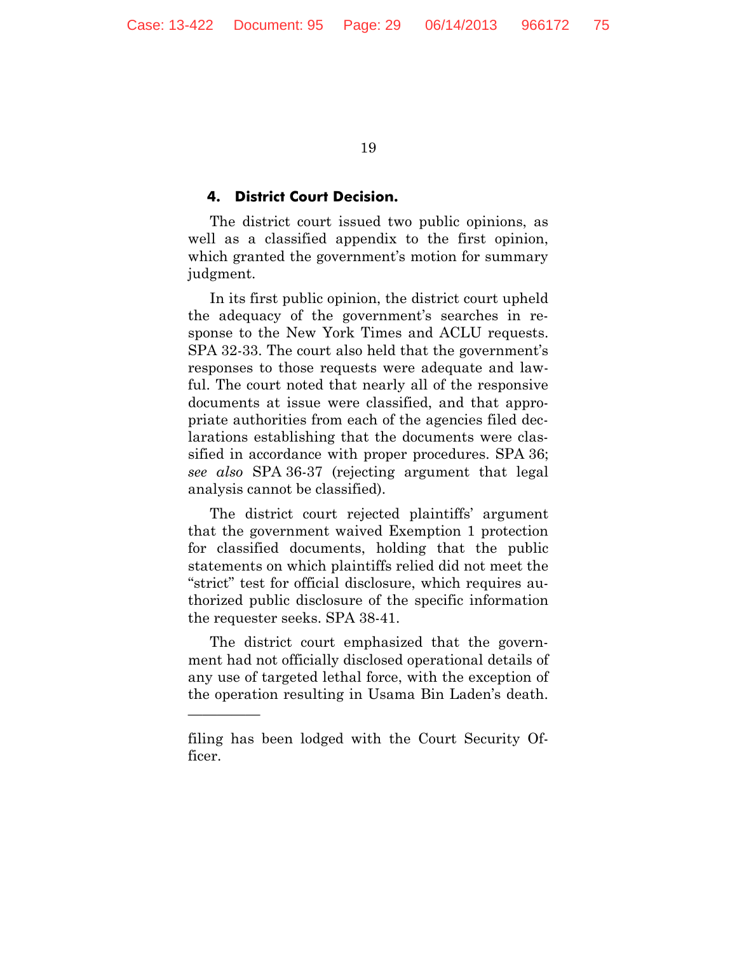#### **4. District Court Decision.**

The district court issued two public opinions, as well as a classified appendix to the first opinion, which granted the government's motion for summary judgment.

In its first public opinion, the district court upheld the adequacy of the government's searches in response to the New York Times and ACLU requests. SPA 32-33. The court also held that the government's responses to those requests were adequate and lawful. The court noted that nearly all of the responsive documents at issue were classified, and that appropriate authorities from each of the agencies filed declarations establishing that the documents were classified in accordance with proper procedures. SPA 36; *see also* SPA 36-37 (rejecting argument that legal analysis cannot be classified).

The district court rejected plaintiffs' argument that the government waived Exemption 1 protection for classified documents, holding that the public statements on which plaintiffs relied did not meet the "strict" test for official disclosure, which requires authorized public disclosure of the specific information the requester seeks. SPA 38-41.

The district court emphasized that the government had not officially disclosed operational details of any use of targeted lethal force, with the exception of the operation resulting in Usama Bin Laden's death.

—————

filing has been lodged with the Court Security Officer.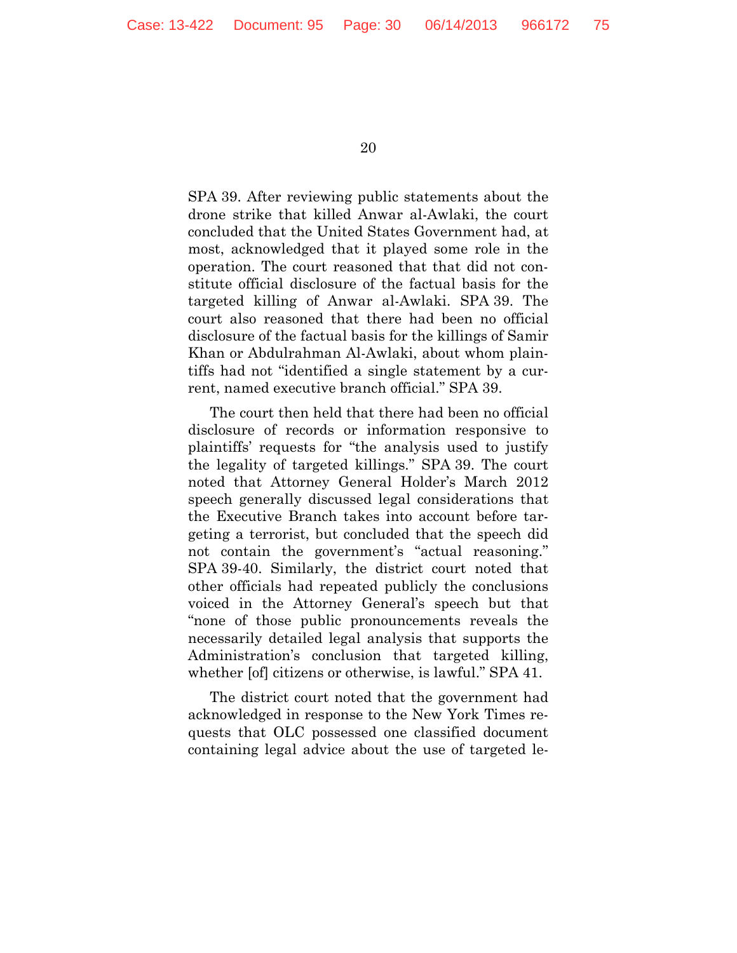SPA 39. After reviewing public statements about the drone strike that killed Anwar al-Awlaki, the court concluded that the United States Government had, at most, acknowledged that it played some role in the operation. The court reasoned that that did not constitute official disclosure of the factual basis for the targeted killing of Anwar al-Awlaki. SPA 39. The court also reasoned that there had been no official disclosure of the factual basis for the killings of Samir Khan or Abdulrahman Al-Awlaki, about whom plaintiffs had not "identified a single statement by a current, named executive branch official." SPA 39.

The court then held that there had been no official disclosure of records or information responsive to plaintiffs' requests for "the analysis used to justify the legality of targeted killings." SPA 39. The court noted that Attorney General Holder's March 2012 speech generally discussed legal considerations that the Executive Branch takes into account before targeting a terrorist, but concluded that the speech did not contain the government's "actual reasoning." SPA 39-40. Similarly, the district court noted that other officials had repeated publicly the conclusions voiced in the Attorney General's speech but that "none of those public pronouncements reveals the necessarily detailed legal analysis that supports the Administration's conclusion that targeted killing, whether [of] citizens or otherwise, is lawful." SPA 41.

The district court noted that the government had acknowledged in response to the New York Times requests that OLC possessed one classified document containing legal advice about the use of targeted le-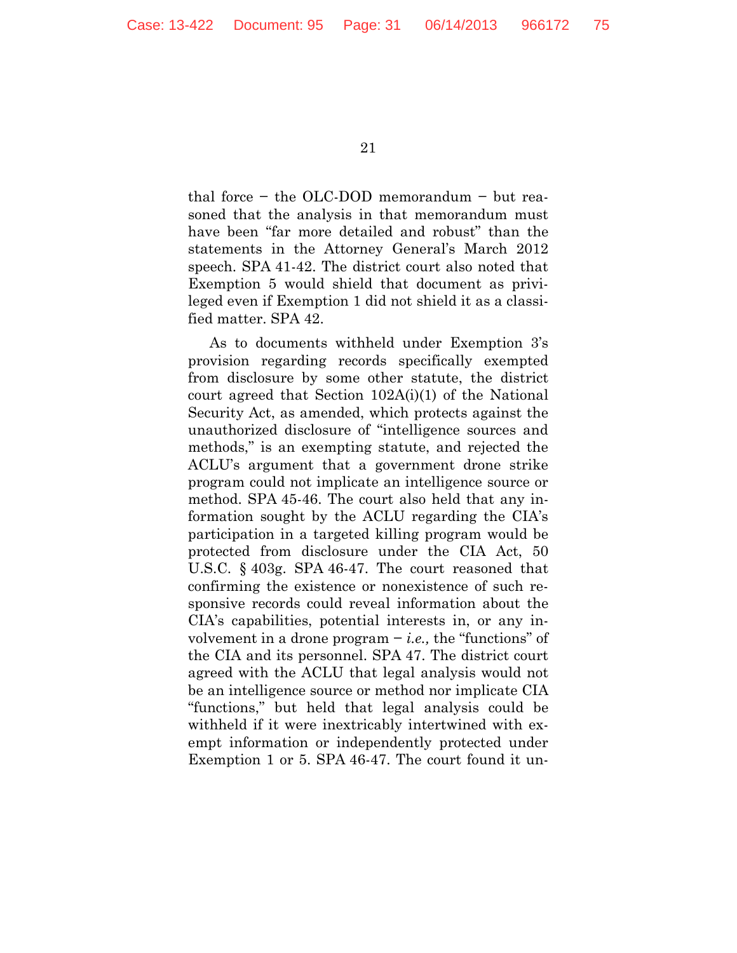thal force − the OLC-DOD memorandum − but reasoned that the analysis in that memorandum must have been "far more detailed and robust" than the statements in the Attorney General's March 2012 speech. SPA 41-42. The district court also noted that Exemption 5 would shield that document as privileged even if Exemption 1 did not shield it as a classified matter. SPA 42.

As to documents withheld under Exemption 3's provision regarding records specifically exempted from disclosure by some other statute, the district court agreed that Section 102A(i)(1) of the National Security Act, as amended, which protects against the unauthorized disclosure of "intelligence sources and methods," is an exempting statute, and rejected the ACLU's argument that a government drone strike program could not implicate an intelligence source or method. SPA 45-46. The court also held that any information sought by the ACLU regarding the CIA's participation in a targeted killing program would be protected from disclosure under the CIA Act, 50 U.S.C. § 403g. SPA 46-47. The court reasoned that confirming the existence or nonexistence of such responsive records could reveal information about the CIA's capabilities, potential interests in, or any involvement in a drone program − *i.e.,* the "functions" of the CIA and its personnel. SPA 47. The district court agreed with the ACLU that legal analysis would not be an intelligence source or method nor implicate CIA "functions," but held that legal analysis could be withheld if it were inextricably intertwined with exempt information or independently protected under Exemption 1 or 5. SPA 46-47. The court found it un-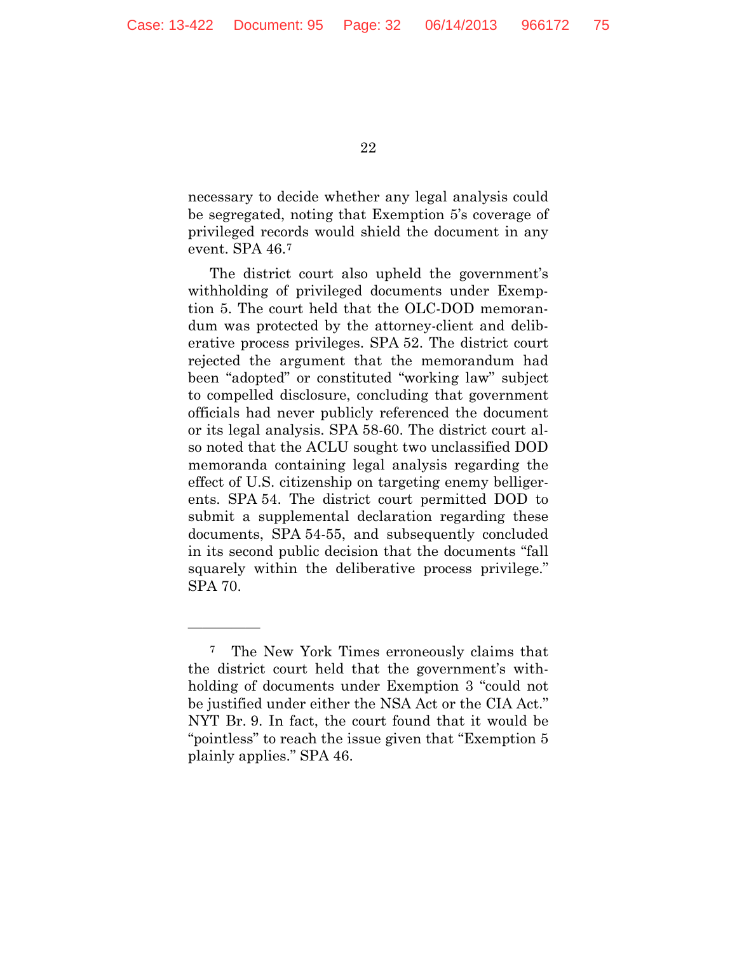necessary to decide whether any legal analysis could be segregated, noting that Exemption 5's coverage of privileged records would shield the document in any event. SPA 46.[7](#page-31-0)

The district court also upheld the government's withholding of privileged documents under Exemption 5. The court held that the OLC-DOD memorandum was protected by the attorney-client and deliberative process privileges. SPA 52. The district court rejected the argument that the memorandum had been "adopted" or constituted "working law" subject to compelled disclosure, concluding that government officials had never publicly referenced the document or its legal analysis. SPA 58-60. The district court also noted that the ACLU sought two unclassified DOD memoranda containing legal analysis regarding the effect of U.S. citizenship on targeting enemy belligerents. SPA 54. The district court permitted DOD to submit a supplemental declaration regarding these documents, SPA 54-55, and subsequently concluded in its second public decision that the documents "fall squarely within the deliberative process privilege." SPA 70.

—————

<span id="page-31-0"></span><sup>7</sup> The New York Times erroneously claims that the district court held that the government's withholding of documents under Exemption 3 "could not be justified under either the NSA Act or the CIA Act." NYT Br. 9. In fact, the court found that it would be "pointless" to reach the issue given that "Exemption 5 plainly applies." SPA 46.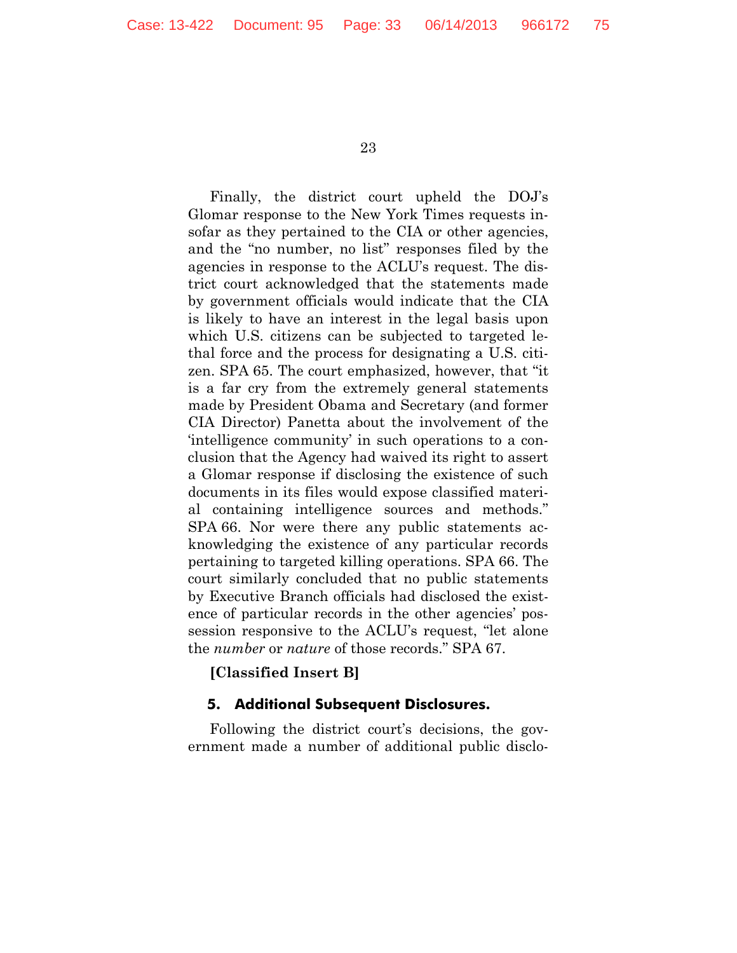Finally, the district court upheld the DOJ's Glomar response to the New York Times requests insofar as they pertained to the CIA or other agencies, and the "no number, no list" responses filed by the agencies in response to the ACLU's request. The district court acknowledged that the statements made by government officials would indicate that the CIA is likely to have an interest in the legal basis upon which U.S. citizens can be subjected to targeted lethal force and the process for designating a U.S. citizen. SPA 65. The court emphasized, however, that "it is a far cry from the extremely general statements made by President Obama and Secretary (and former CIA Director) Panetta about the involvement of the 'intelligence community' in such operations to a conclusion that the Agency had waived its right to assert a Glomar response if disclosing the existence of such documents in its files would expose classified material containing intelligence sources and methods." SPA 66. Nor were there any public statements acknowledging the existence of any particular records pertaining to targeted killing operations. SPA 66. The court similarly concluded that no public statements by Executive Branch officials had disclosed the existence of particular records in the other agencies' possession responsive to the ACLU's request, "let alone the *number* or *nature* of those records." SPA 67.

#### **[Classified Insert B]**

#### **5. Additional Subsequent Disclosures.**

Following the district court's decisions, the government made a number of additional public disclo-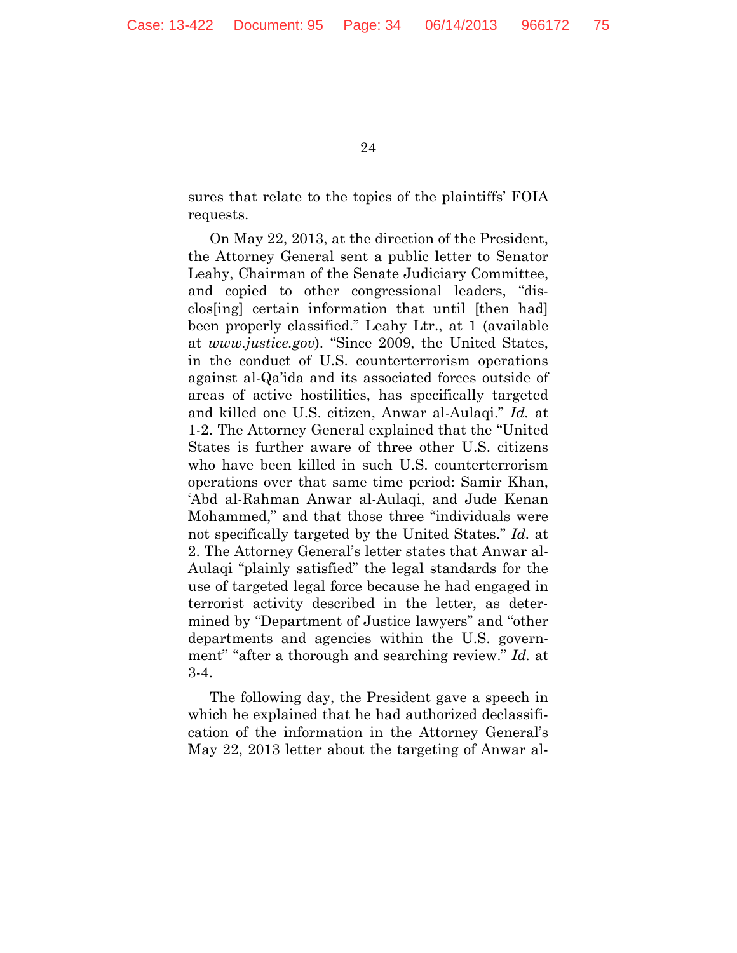sures that relate to the topics of the plaintiffs' FOIA requests.

On May 22, 2013, at the direction of the President, the Attorney General sent a public letter to Senator Leahy, Chairman of the Senate Judiciary Committee, and copied to other congressional leaders, "disclos[ing] certain information that until [then had] been properly classified." Leahy Ltr., at 1 (available at *www.justice.gov*). "Since 2009, the United States, in the conduct of U.S. counterterrorism operations against al-Qa'ida and its associated forces outside of areas of active hostilities, has specifically targeted and killed one U.S. citizen, Anwar al-Aulaqi." *Id.* at 1-2. The Attorney General explained that the "United States is further aware of three other U.S. citizens who have been killed in such U.S. counterterrorism operations over that same time period: Samir Khan, 'Abd al-Rahman Anwar al-Aulaqi, and Jude Kenan Mohammed," and that those three "individuals were not specifically targeted by the United States." *Id.* at 2. The Attorney General's letter states that Anwar al-Aulaqi "plainly satisfied" the legal standards for the use of targeted legal force because he had engaged in terrorist activity described in the letter, as determined by "Department of Justice lawyers" and "other departments and agencies within the U.S. government" "after a thorough and searching review." *Id.* at 3-4.

The following day, the President gave a speech in which he explained that he had authorized declassification of the information in the Attorney General's May 22, 2013 letter about the targeting of Anwar al-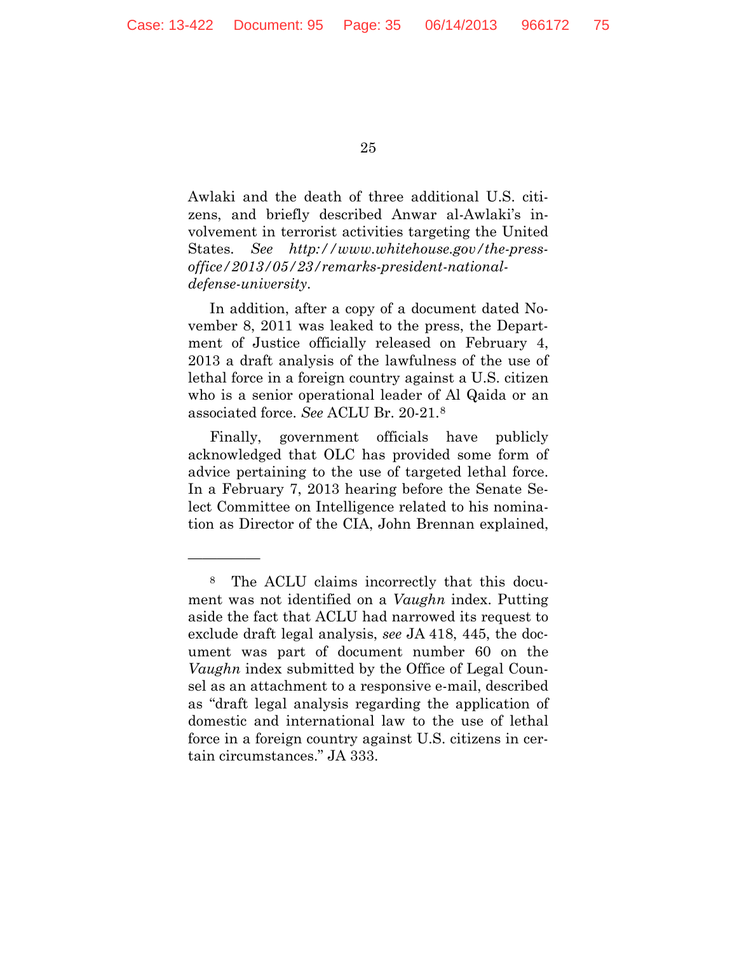—————

25

Awlaki and the death of three additional U.S. citizens, and briefly described Anwar al-Awlaki's involvement in terrorist activities targeting the United States. *See http://www.whitehouse.gov/the-pressoffice/2013/05/23/remarks-president-nationaldefense-university*.

In addition, after a copy of a document dated November 8, 2011 was leaked to the press, the Department of Justice officially released on February 4, 2013 a draft analysis of the lawfulness of the use of lethal force in a foreign country against a U.S. citizen who is a senior operational leader of Al Qaida or an associated force. *See* ACLU Br. 20-21.[8](#page-34-0)

Finally, government officials have publicly acknowledged that OLC has provided some form of advice pertaining to the use of targeted lethal force. In a February 7, 2013 hearing before the Senate Select Committee on Intelligence related to his nomination as Director of the CIA, John Brennan explained,

<span id="page-34-0"></span><sup>8</sup> The ACLU claims incorrectly that this document was not identified on a *Vaughn* index. Putting aside the fact that ACLU had narrowed its request to exclude draft legal analysis, *see* JA 418, 445, the document was part of document number 60 on the *Vaughn* index submitted by the Office of Legal Counsel as an attachment to a responsive e-mail, described as "draft legal analysis regarding the application of domestic and international law to the use of lethal force in a foreign country against U.S. citizens in certain circumstances." JA 333.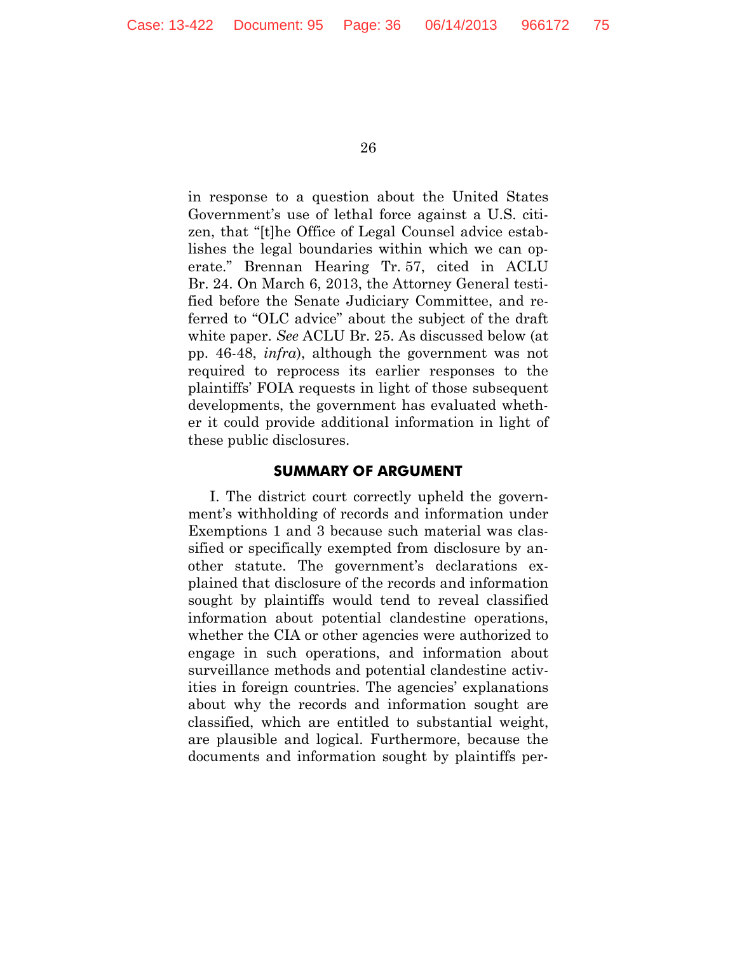in response to a question about the United States Government's use of lethal force against a U.S. citizen, that "[t]he Office of Legal Counsel advice establishes the legal boundaries within which we can operate." Brennan Hearing Tr. 57, cited in ACLU Br. 24. On March 6, 2013, the Attorney General testified before the Senate Judiciary Committee, and referred to "OLC advice" about the subject of the draft white paper. *See* ACLU Br. 25. As discussed below (at pp. 46-48, *infra*), although the government was not required to reprocess its earlier responses to the plaintiffs' FOIA requests in light of those subsequent developments, the government has evaluated whether it could provide additional information in light of these public disclosures.

#### **SUMMARY OF ARGUMENT**

I. The district court correctly upheld the government's withholding of records and information under Exemptions 1 and 3 because such material was classified or specifically exempted from disclosure by another statute. The government's declarations explained that disclosure of the records and information sought by plaintiffs would tend to reveal classified information about potential clandestine operations, whether the CIA or other agencies were authorized to engage in such operations, and information about surveillance methods and potential clandestine activities in foreign countries. The agencies' explanations about why the records and information sought are classified, which are entitled to substantial weight, are plausible and logical. Furthermore, because the documents and information sought by plaintiffs per-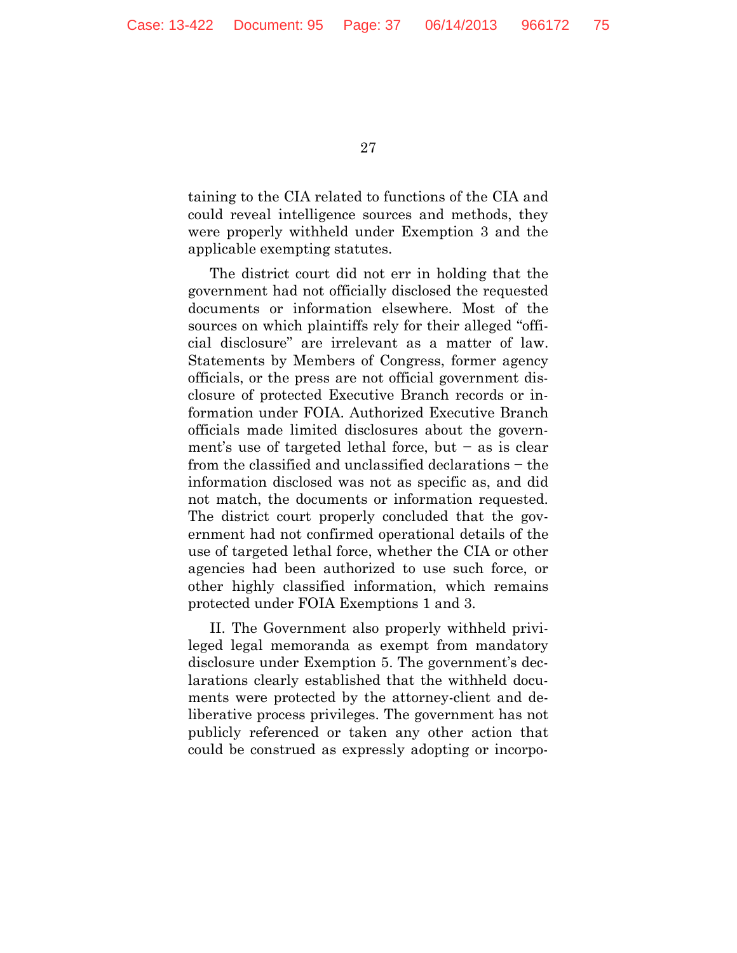taining to the CIA related to functions of the CIA and could reveal intelligence sources and methods, they were properly withheld under Exemption 3 and the applicable exempting statutes.

The district court did not err in holding that the government had not officially disclosed the requested documents or information elsewhere. Most of the sources on which plaintiffs rely for their alleged "official disclosure" are irrelevant as a matter of law. Statements by Members of Congress, former agency officials, or the press are not official government disclosure of protected Executive Branch records or information under FOIA. Authorized Executive Branch officials made limited disclosures about the government's use of targeted lethal force, but − as is clear from the classified and unclassified declarations − the information disclosed was not as specific as, and did not match, the documents or information requested. The district court properly concluded that the government had not confirmed operational details of the use of targeted lethal force, whether the CIA or other agencies had been authorized to use such force, or other highly classified information, which remains protected under FOIA Exemptions 1 and 3.

II. The Government also properly withheld privileged legal memoranda as exempt from mandatory disclosure under Exemption 5. The government's declarations clearly established that the withheld documents were protected by the attorney-client and deliberative process privileges. The government has not publicly referenced or taken any other action that could be construed as expressly adopting or incorpo-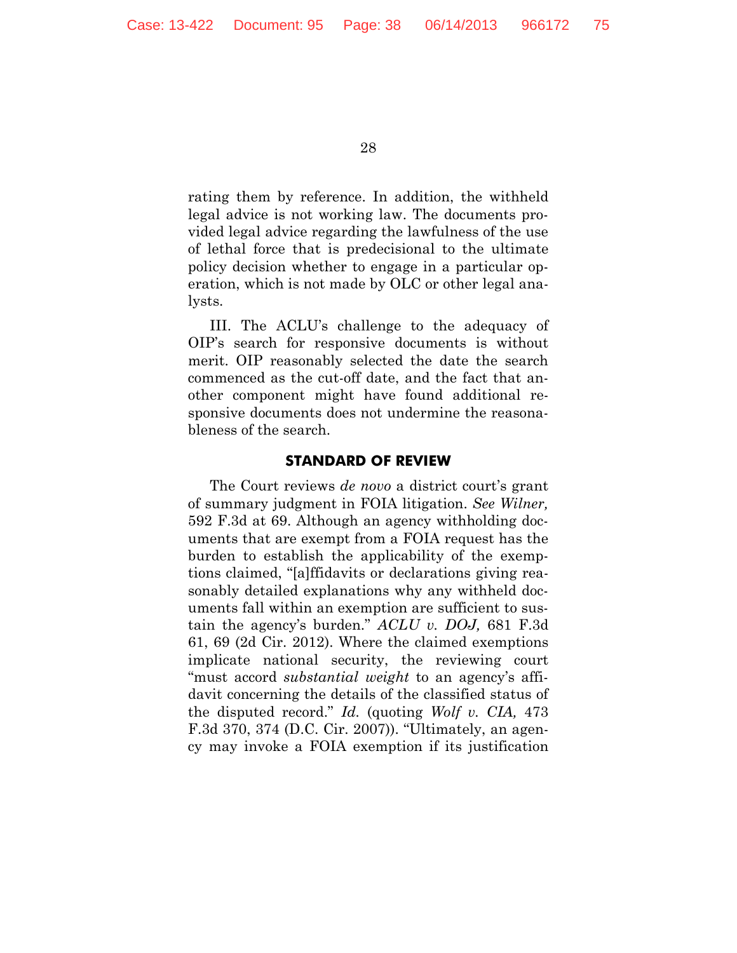rating them by reference. In addition, the withheld legal advice is not working law. The documents provided legal advice regarding the lawfulness of the use of lethal force that is predecisional to the ultimate policy decision whether to engage in a particular operation, which is not made by OLC or other legal analysts.

III. The ACLU's challenge to the adequacy of OIP's search for responsive documents is without merit. OIP reasonably selected the date the search commenced as the cut-off date, and the fact that another component might have found additional responsive documents does not undermine the reasonableness of the search.

#### **STANDARD OF REVIEW**

The Court reviews *de novo* a district court's grant of summary judgment in FOIA litigation. *See Wilner,*  592 F.3d at 69. Although an agency withholding documents that are exempt from a FOIA request has the burden to establish the applicability of the exemptions claimed, "[a]ffidavits or declarations giving reasonably detailed explanations why any withheld documents fall within an exemption are sufficient to sustain the agency's burden." *ACLU v. DOJ,* 681 F.3d 61, 69 (2d Cir. 2012). Where the claimed exemptions implicate national security, the reviewing court "must accord *substantial weight* to an agency's affidavit concerning the details of the classified status of the disputed record." *Id.* (quoting *Wolf v. CIA,* 473 F.3d 370, 374 (D.C. Cir. 2007)). "Ultimately, an agency may invoke a FOIA exemption if its justification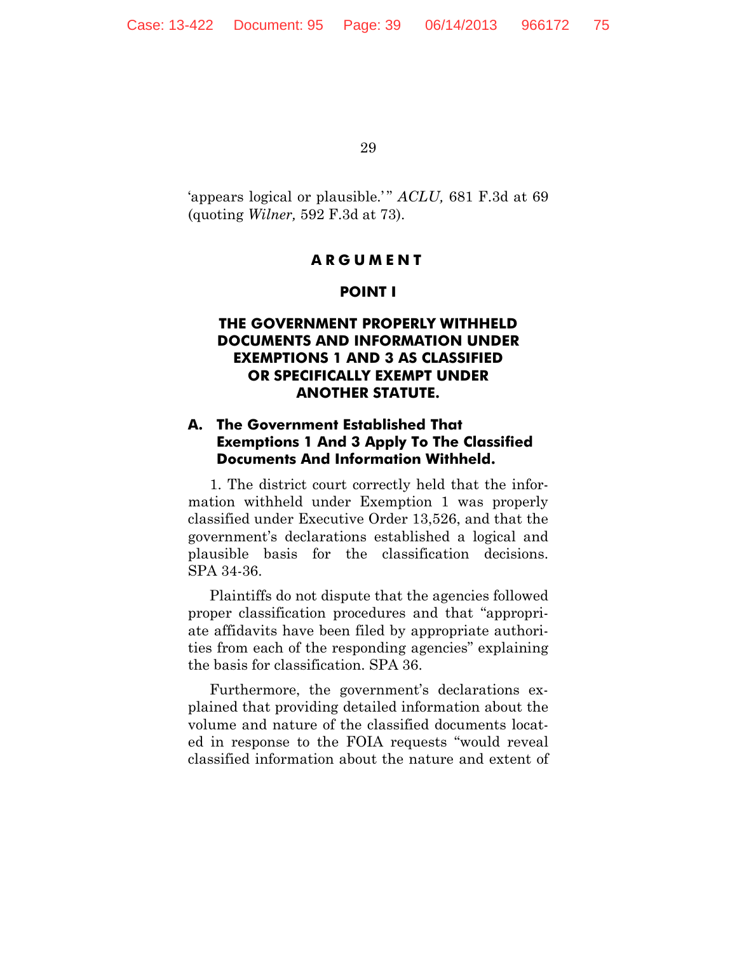'appears logical or plausible.'" *ACLU*, 681 F.3d at 69 (quoting *Wilner,* 592 F.3d at 73).

## **ARGUMENT**

### **POINT I**

## **THE GOVERNMENT PROPERLY WITHHELD DOCUMENTS AND INFORMATION UNDER EXEMPTIONS 1 AND 3 AS CLASSIFIED OR SPECIFICALLY EXEMPT UNDER ANOTHER STATUTE.**

# **A. The Government Established That Exemptions 1 And 3 Apply To The Classified Documents And Information Withheld.**

1. The district court correctly held that the information withheld under Exemption 1 was properly classified under Executive Order 13,526, and that the government's declarations established a logical and plausible basis for the classification decisions. SPA 34-36.

Plaintiffs do not dispute that the agencies followed proper classification procedures and that "appropriate affidavits have been filed by appropriate authorities from each of the responding agencies" explaining the basis for classification. SPA 36.

Furthermore, the government's declarations explained that providing detailed information about the volume and nature of the classified documents located in response to the FOIA requests "would reveal classified information about the nature and extent of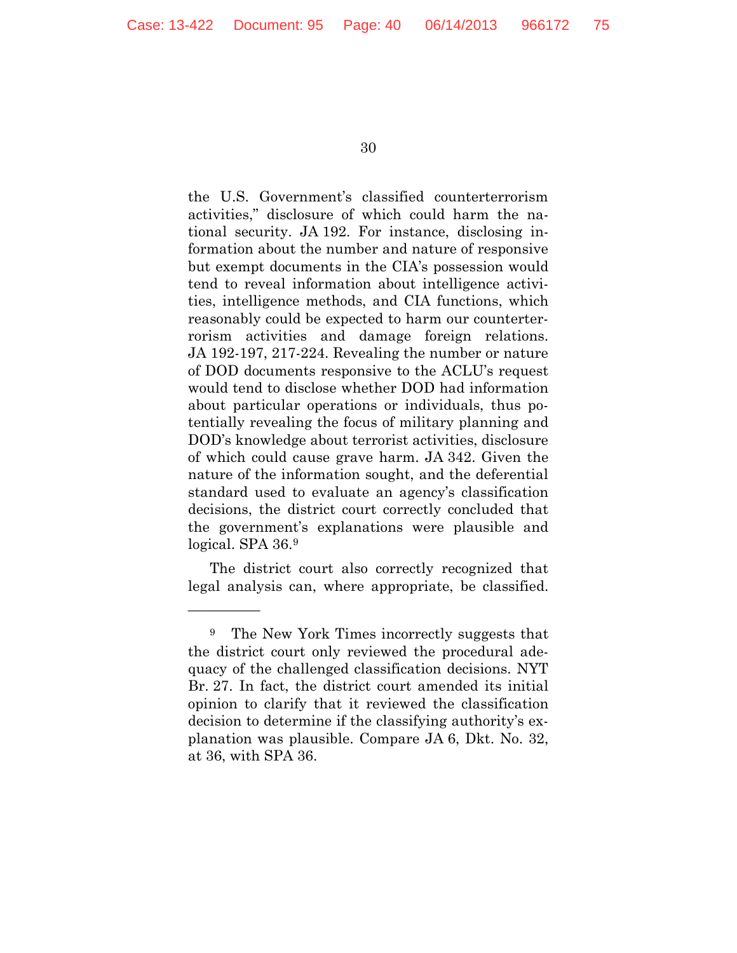the U.S. Government's classified counterterrorism activities," disclosure of which could harm the national security. JA 192. For instance, disclosing information about the number and nature of responsive but exempt documents in the CIA's possession would tend to reveal information about intelligence activities, intelligence methods, and CIA functions, which reasonably could be expected to harm our counterterrorism activities and damage foreign relations. JA 192-197, 217-224. Revealing the number or nature of DOD documents responsive to the ACLU's request would tend to disclose whether DOD had information about particular operations or individuals, thus potentially revealing the focus of military planning and DOD's knowledge about terrorist activities, disclosure of which could cause grave harm. JA 342. Given the nature of the information sought, and the deferential standard used to evaluate an agency's classification decisions, the district court correctly concluded that the government's explanations were plausible and logical. SPA 36[.9](#page-39-0)

The district court also correctly recognized that legal analysis can, where appropriate, be classified.

—————

<span id="page-39-0"></span><sup>9</sup> The New York Times incorrectly suggests that the district court only reviewed the procedural adequacy of the challenged classification decisions. NYT Br. 27. In fact, the district court amended its initial opinion to clarify that it reviewed the classification decision to determine if the classifying authority's explanation was plausible. Compare JA 6, Dkt. No. 32, at 36, with SPA 36.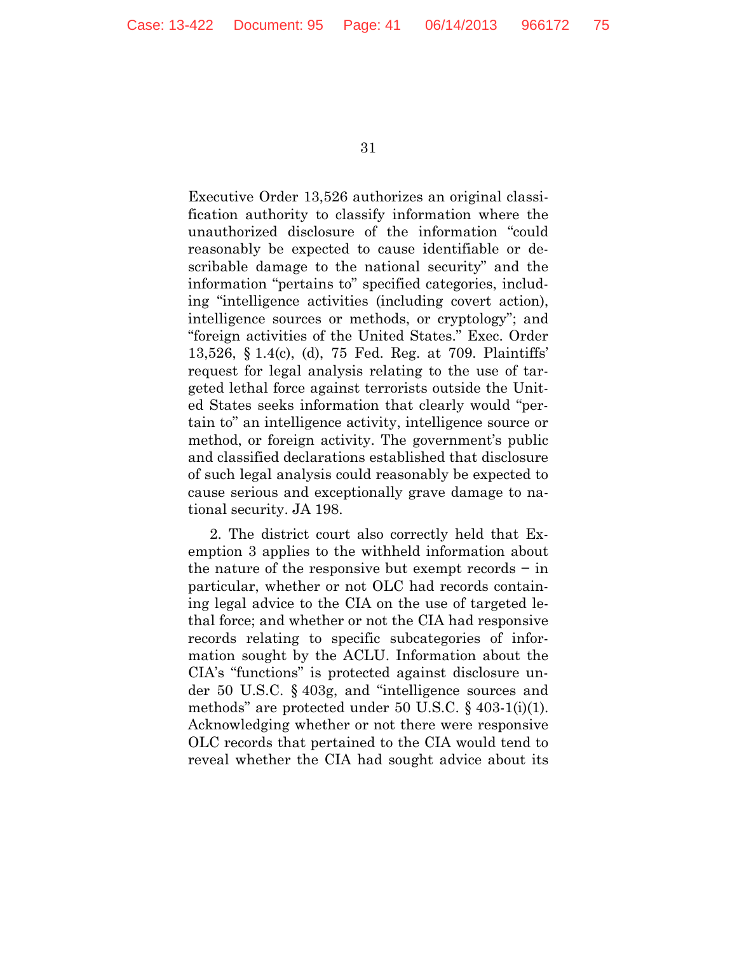Executive Order 13,526 authorizes an original classification authority to classify information where the unauthorized disclosure of the information "could reasonably be expected to cause identifiable or describable damage to the national security" and the information "pertains to" specified categories, including "intelligence activities (including covert action), intelligence sources or methods, or cryptology"; and "foreign activities of the United States." Exec. Order 13,526, § 1.4(c), (d), 75 Fed. Reg. at 709. Plaintiffs' request for legal analysis relating to the use of targeted lethal force against terrorists outside the United States seeks information that clearly would "pertain to" an intelligence activity, intelligence source or method, or foreign activity. The government's public and classified declarations established that disclosure of such legal analysis could reasonably be expected to cause serious and exceptionally grave damage to national security. JA 198.

2. The district court also correctly held that Exemption 3 applies to the withheld information about the nature of the responsive but exempt records − in particular, whether or not OLC had records containing legal advice to the CIA on the use of targeted lethal force; and whether or not the CIA had responsive records relating to specific subcategories of information sought by the ACLU. Information about the CIA's "functions" is protected against disclosure under 50 U.S.C. § 403g, and "intelligence sources and methods" are protected under 50 U.S.C. § 403-1(i)(1). Acknowledging whether or not there were responsive OLC records that pertained to the CIA would tend to reveal whether the CIA had sought advice about its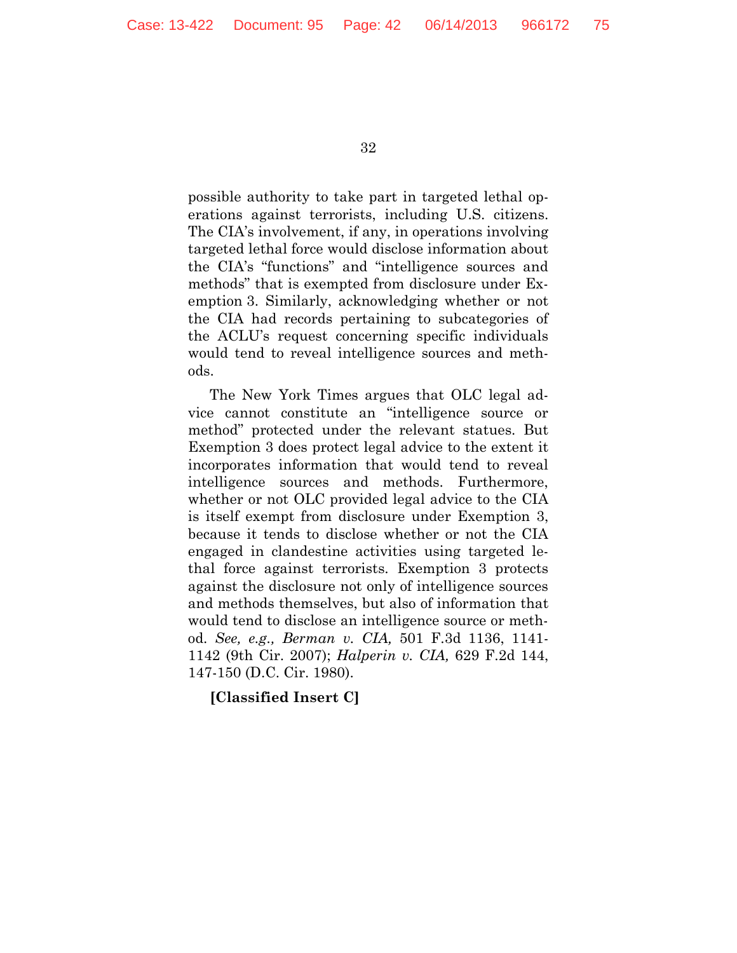possible authority to take part in targeted lethal operations against terrorists, including U.S. citizens. The CIA's involvement, if any, in operations involving targeted lethal force would disclose information about the CIA's "functions" and "intelligence sources and methods" that is exempted from disclosure under Exemption 3. Similarly, acknowledging whether or not the CIA had records pertaining to subcategories of the ACLU's request concerning specific individuals would tend to reveal intelligence sources and methods.

The New York Times argues that OLC legal advice cannot constitute an "intelligence source or method" protected under the relevant statues. But Exemption 3 does protect legal advice to the extent it incorporates information that would tend to reveal intelligence sources and methods. Furthermore, whether or not OLC provided legal advice to the CIA is itself exempt from disclosure under Exemption 3, because it tends to disclose whether or not the CIA engaged in clandestine activities using targeted lethal force against terrorists. Exemption 3 protects against the disclosure not only of intelligence sources and methods themselves, but also of information that would tend to disclose an intelligence source or method. *See, e.g., Berman v. CIA,* 501 F.3d 1136, 1141- 1142 (9th Cir. 2007); *Halperin v. CIA,* 629 F.2d 144, 147-150 (D.C. Cir. 1980).

#### **[Classified Insert C]**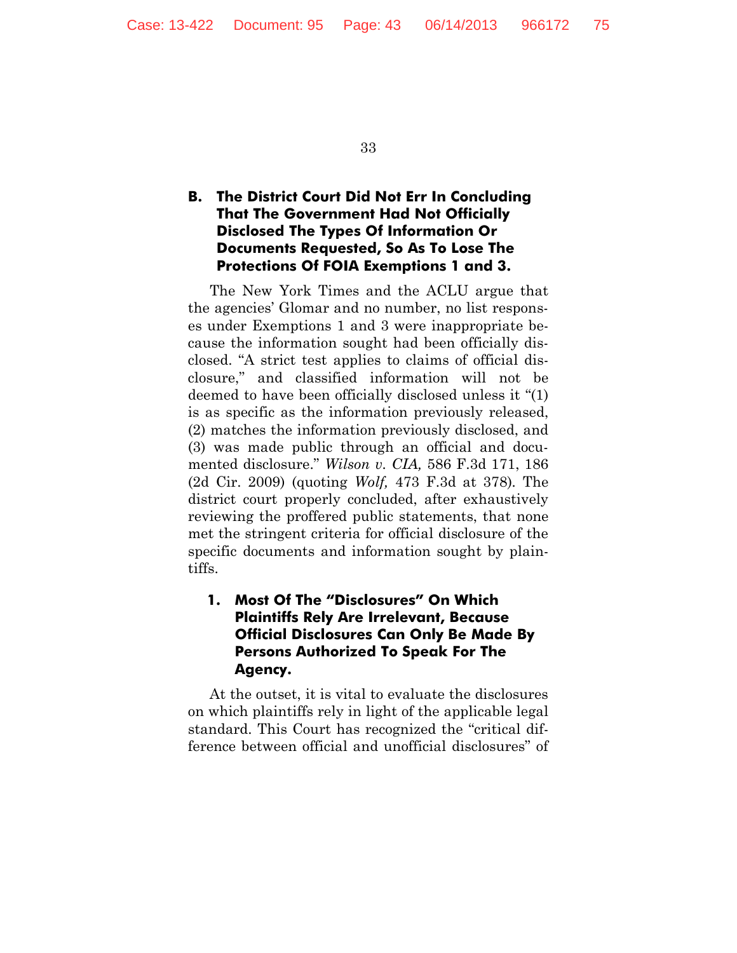# **B. The District Court Did Not Err In Concluding That The Government Had Not Officially Disclosed The Types Of Information Or Documents Requested, So As To Lose The Protections Of FOIA Exemptions 1 and 3.**

The New York Times and the ACLU argue that the agencies' Glomar and no number, no list responses under Exemptions 1 and 3 were inappropriate because the information sought had been officially disclosed. "A strict test applies to claims of official disclosure," and classified information will not be deemed to have been officially disclosed unless it "(1) is as specific as the information previously released, (2) matches the information previously disclosed, and (3) was made public through an official and documented disclosure." *Wilson v. CIA,* 586 F.3d 171, 186 (2d Cir. 2009) (quoting *Wolf,* 473 F.3d at 378)*.* The district court properly concluded, after exhaustively reviewing the proffered public statements, that none met the stringent criteria for official disclosure of the specific documents and information sought by plaintiffs.

# **1. Most Of The "Disclosures" On Which Plaintiffs Rely Are Irrelevant, Because Official Disclosures Can Only Be Made By Persons Authorized To Speak For The Agency.**

At the outset, it is vital to evaluate the disclosures on which plaintiffs rely in light of the applicable legal standard. This Court has recognized the "critical difference between official and unofficial disclosures" of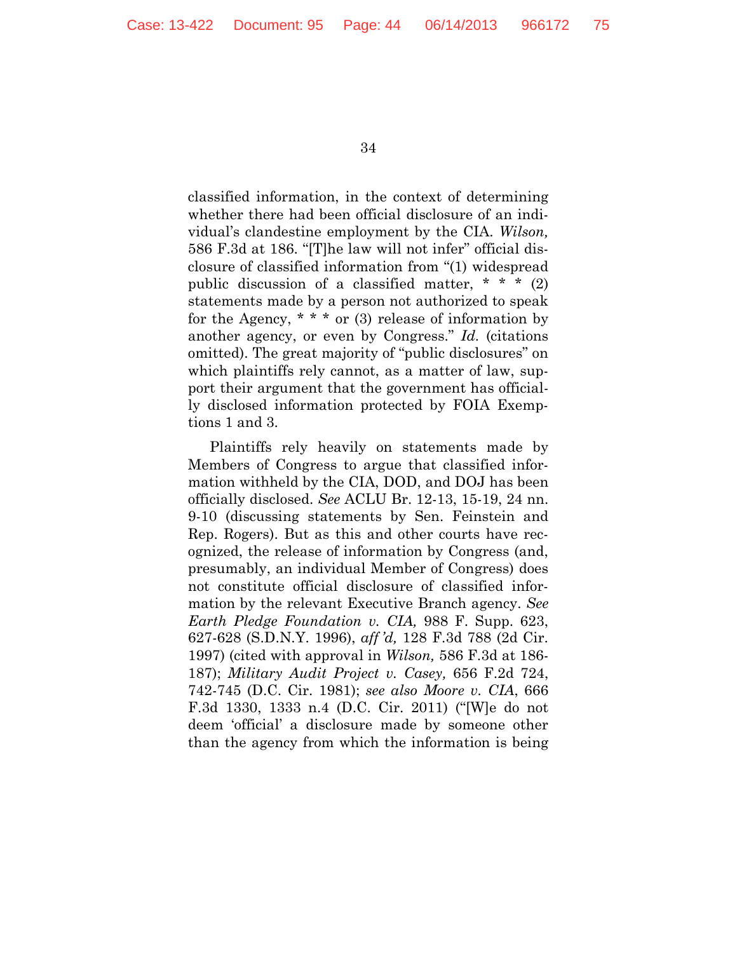classified information, in the context of determining whether there had been official disclosure of an individual's clandestine employment by the CIA. *Wilson,*  586 F.3d at 186. "[T]he law will not infer" official disclosure of classified information from "(1) widespread public discussion of a classified matter,  $* * * (2)$ statements made by a person not authorized to speak for the Agency,  $* * *$  or (3) release of information by another agency, or even by Congress." *Id.* (citations omitted). The great majority of "public disclosures" on which plaintiffs rely cannot, as a matter of law, support their argument that the government has officially disclosed information protected by FOIA Exemptions 1 and 3.

Plaintiffs rely heavily on statements made by Members of Congress to argue that classified information withheld by the CIA, DOD, and DOJ has been officially disclosed. *See* ACLU Br. 12-13, 15-19, 24 nn. 9-10 (discussing statements by Sen. Feinstein and Rep. Rogers). But as this and other courts have recognized, the release of information by Congress (and, presumably, an individual Member of Congress) does not constitute official disclosure of classified information by the relevant Executive Branch agency. *See Earth Pledge Foundation v. CIA,* 988 F. Supp. 623, 627-628 (S.D.N.Y. 1996), *aff 'd,* 128 F.3d 788 (2d Cir. 1997) (cited with approval in *Wilson,* 586 F.3d at 186- 187); *Military Audit Project v. Casey,* 656 F.2d 724, 742-745 (D.C. Cir. 1981); *see also Moore v. CIA*, 666 F.3d 1330, 1333 n.4 (D.C. Cir. 2011) ("[W]e do not deem 'official' a disclosure made by someone other than the agency from which the information is being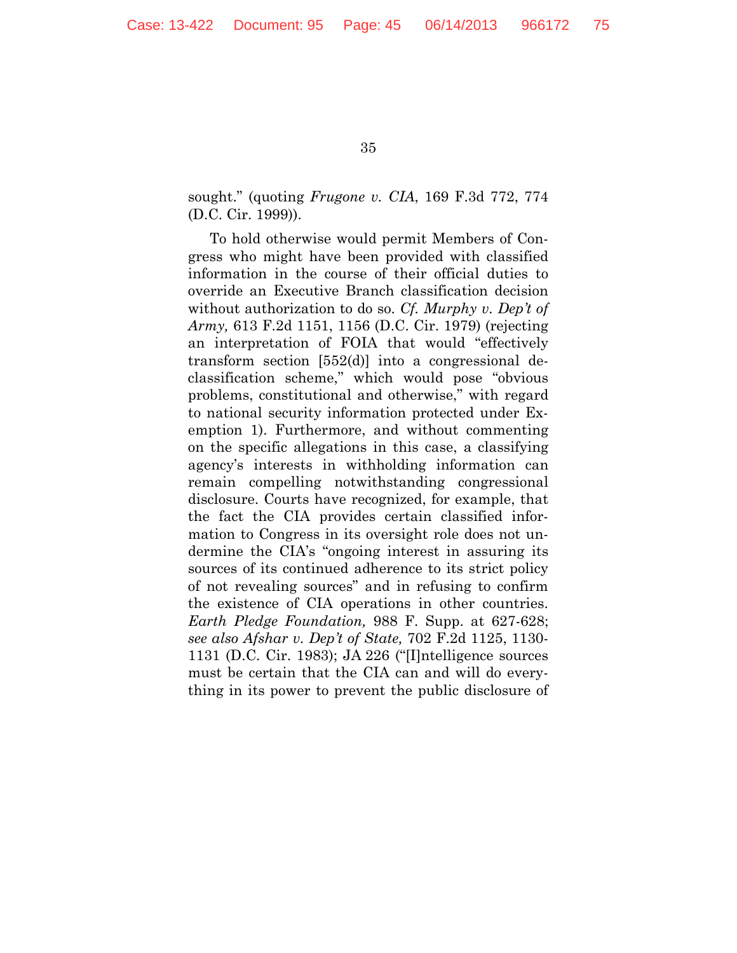sought." (quoting *Frugone v. CIA*, 169 F.3d 772, 774 (D.C. Cir. 1999)).

To hold otherwise would permit Members of Congress who might have been provided with classified information in the course of their official duties to override an Executive Branch classification decision without authorization to do so. *Cf. Murphy v. Dep't of Army,* 613 F.2d 1151, 1156 (D.C. Cir. 1979) (rejecting an interpretation of FOIA that would "effectively transform section [552(d)] into a congressional declassification scheme," which would pose "obvious problems, constitutional and otherwise," with regard to national security information protected under Exemption 1). Furthermore, and without commenting on the specific allegations in this case, a classifying agency's interests in withholding information can remain compelling notwithstanding congressional disclosure. Courts have recognized, for example, that the fact the CIA provides certain classified information to Congress in its oversight role does not undermine the CIA's "ongoing interest in assuring its sources of its continued adherence to its strict policy of not revealing sources" and in refusing to confirm the existence of CIA operations in other countries. *Earth Pledge Foundation,* 988 F. Supp. at 627-628; *see also Afshar v. Dep't of State,* 702 F.2d 1125, 1130- 1131 (D.C. Cir. 1983); JA 226 ("[I]ntelligence sources must be certain that the CIA can and will do everything in its power to prevent the public disclosure of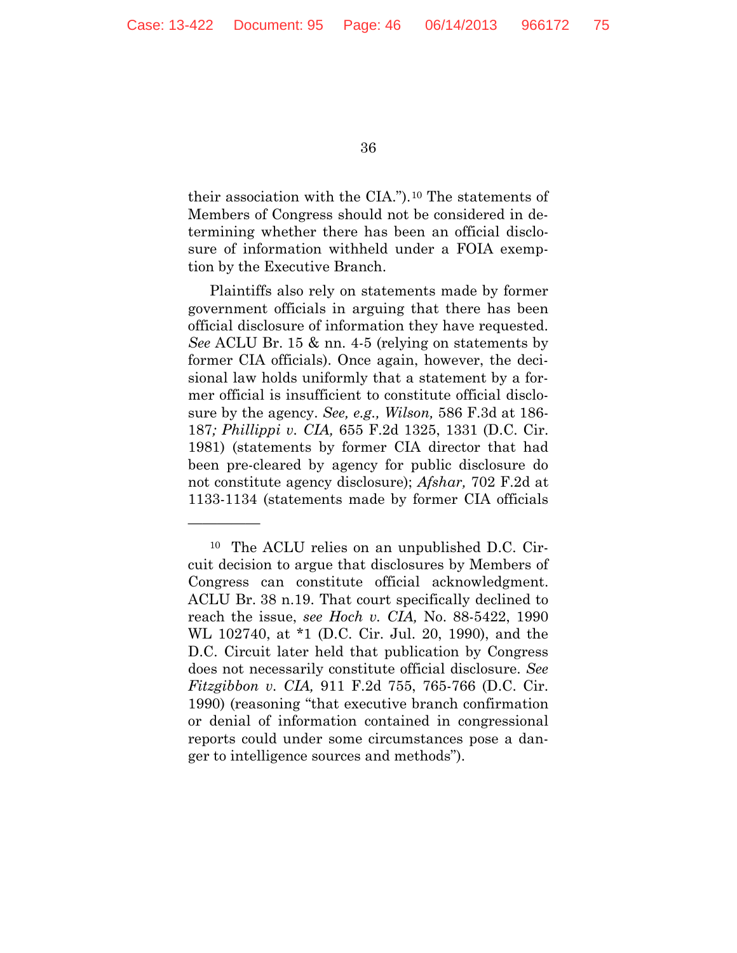—————

36

their association with the CIA.").[10](#page-45-0) The statements of Members of Congress should not be considered in determining whether there has been an official disclosure of information withheld under a FOIA exemption by the Executive Branch.

Plaintiffs also rely on statements made by former government officials in arguing that there has been official disclosure of information they have requested. *See* ACLU Br. 15 & nn. 4-5 (relying on statements by former CIA officials). Once again, however, the decisional law holds uniformly that a statement by a former official is insufficient to constitute official disclosure by the agency. *See, e.g., Wilson,* 586 F.3d at 186- 187*; Phillippi v. CIA,* 655 F.2d 1325, 1331 (D.C. Cir. 1981) (statements by former CIA director that had been pre-cleared by agency for public disclosure do not constitute agency disclosure); *Afshar,* 702 F.2d at 1133-1134 (statements made by former CIA officials

<span id="page-45-0"></span><sup>10</sup> The ACLU relies on an unpublished D.C. Circuit decision to argue that disclosures by Members of Congress can constitute official acknowledgment. ACLU Br. 38 n.19. That court specifically declined to reach the issue, *see Hoch v. CIA,* No. 88-5422, 1990 WL 102740, at \*1 (D.C. Cir. Jul. 20, 1990), and the D.C. Circuit later held that publication by Congress does not necessarily constitute official disclosure. *See Fitzgibbon v. CIA,* 911 F.2d 755, 765-766 (D.C. Cir. 1990) (reasoning "that executive branch confirmation or denial of information contained in congressional reports could under some circumstances pose a danger to intelligence sources and methods").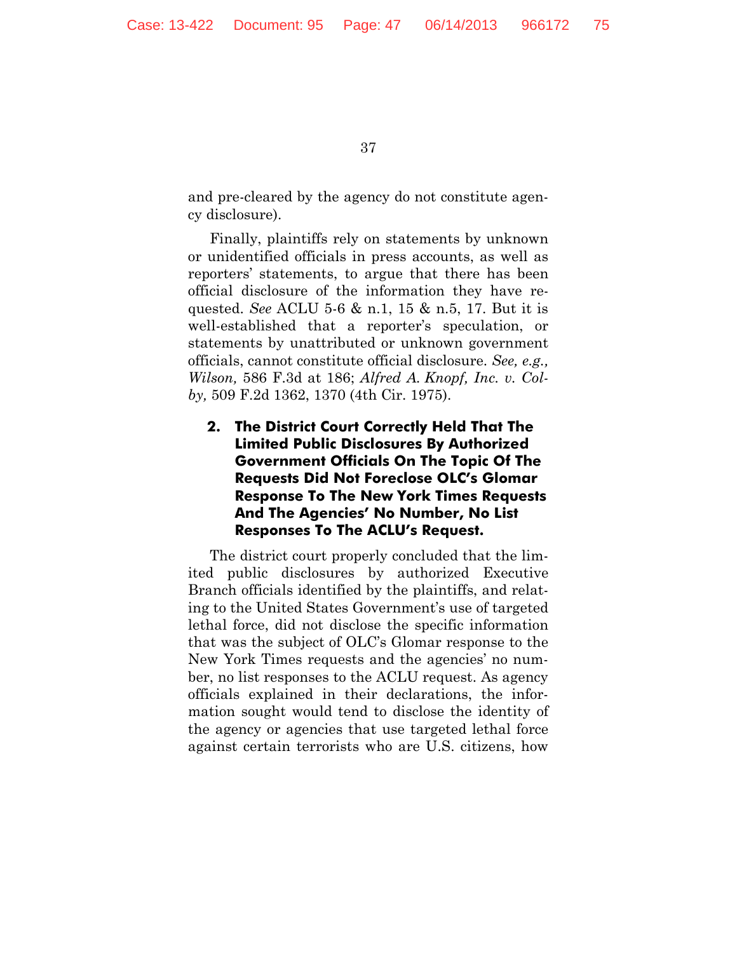and pre-cleared by the agency do not constitute agency disclosure).

Finally, plaintiffs rely on statements by unknown or unidentified officials in press accounts, as well as reporters' statements, to argue that there has been official disclosure of the information they have requested. *See* ACLU 5-6 & n.1, 15 & n.5, 17. But it is well-established that a reporter's speculation, or statements by unattributed or unknown government officials, cannot constitute official disclosure. *See, e.g., Wilson,* 586 F.3d at 186; *Alfred A. Knopf, Inc. v. Colby,* 509 F.2d 1362, 1370 (4th Cir. 1975).

**2. The District Court Correctly Held That The Limited Public Disclosures By Authorized Government Officials On The Topic Of The Requests Did Not Foreclose OLC's Glomar Response To The New York Times Requests And The Agencies' No Number, No List Responses To The ACLU's Request.**

The district court properly concluded that the limited public disclosures by authorized Executive Branch officials identified by the plaintiffs, and relating to the United States Government's use of targeted lethal force, did not disclose the specific information that was the subject of OLC's Glomar response to the New York Times requests and the agencies' no number, no list responses to the ACLU request. As agency officials explained in their declarations, the information sought would tend to disclose the identity of the agency or agencies that use targeted lethal force against certain terrorists who are U.S. citizens, how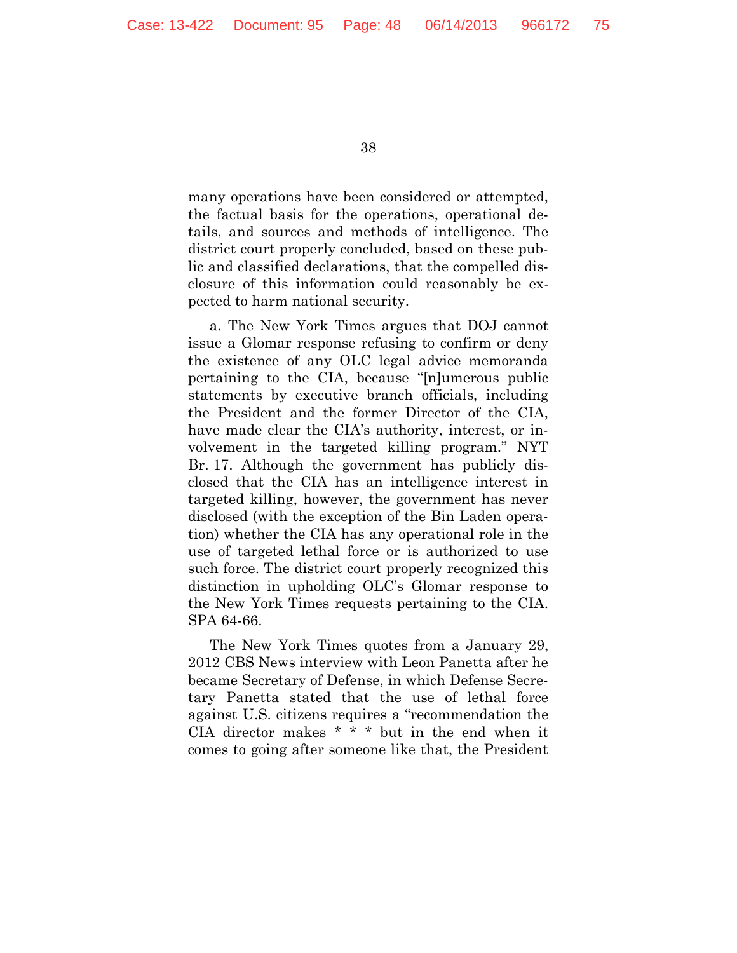many operations have been considered or attempted, the factual basis for the operations, operational details, and sources and methods of intelligence. The district court properly concluded, based on these public and classified declarations, that the compelled disclosure of this information could reasonably be expected to harm national security.

a. The New York Times argues that DOJ cannot issue a Glomar response refusing to confirm or deny the existence of any OLC legal advice memoranda pertaining to the CIA, because "[n]umerous public statements by executive branch officials, including the President and the former Director of the CIA, have made clear the CIA's authority, interest, or involvement in the targeted killing program." NYT Br. 17. Although the government has publicly disclosed that the CIA has an intelligence interest in targeted killing, however, the government has never disclosed (with the exception of the Bin Laden operation) whether the CIA has any operational role in the use of targeted lethal force or is authorized to use such force. The district court properly recognized this distinction in upholding OLC's Glomar response to the New York Times requests pertaining to the CIA. SPA 64-66.

The New York Times quotes from a January 29, 2012 CBS News interview with Leon Panetta after he became Secretary of Defense, in which Defense Secretary Panetta stated that the use of lethal force against U.S. citizens requires a "recommendation the CIA director makes \* \* \* but in the end when it comes to going after someone like that, the President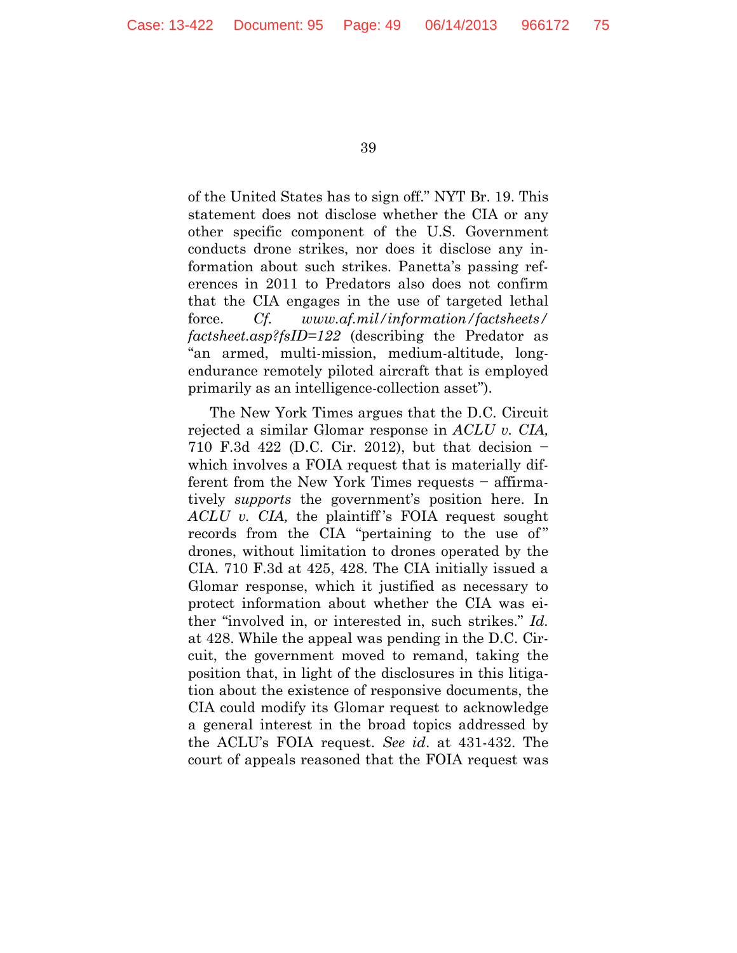of the United States has to sign off." NYT Br. 19. This statement does not disclose whether the CIA or any other specific component of the U.S. Government conducts drone strikes, nor does it disclose any information about such strikes. Panetta's passing references in 2011 to Predators also does not confirm that the CIA engages in the use of targeted lethal force. *Cf. www.af.mil/information/factsheets/ factsheet.asp?fsID=122* (describing the Predator as "an armed, multi-mission, medium-altitude, longendurance remotely piloted aircraft that is employed primarily as an intelligence-collection asset").

The New York Times argues that the D.C. Circuit rejected a similar Glomar response in *ACLU v. CIA,*  710 F.3d 422 (D.C. Cir. 2012), but that decision − which involves a FOIA request that is materially different from the New York Times requests − affirmatively *supports* the government's position here. In *ACLU v. CIA,* the plaintiff 's FOIA request sought records from the CIA "pertaining to the use of" drones, without limitation to drones operated by the CIA. 710 F.3d at 425, 428. The CIA initially issued a Glomar response, which it justified as necessary to protect information about whether the CIA was either "involved in, or interested in, such strikes." *Id.* at 428. While the appeal was pending in the D.C. Circuit, the government moved to remand, taking the position that, in light of the disclosures in this litigation about the existence of responsive documents, the CIA could modify its Glomar request to acknowledge a general interest in the broad topics addressed by the ACLU's FOIA request. *See id*. at 431-432. The court of appeals reasoned that the FOIA request was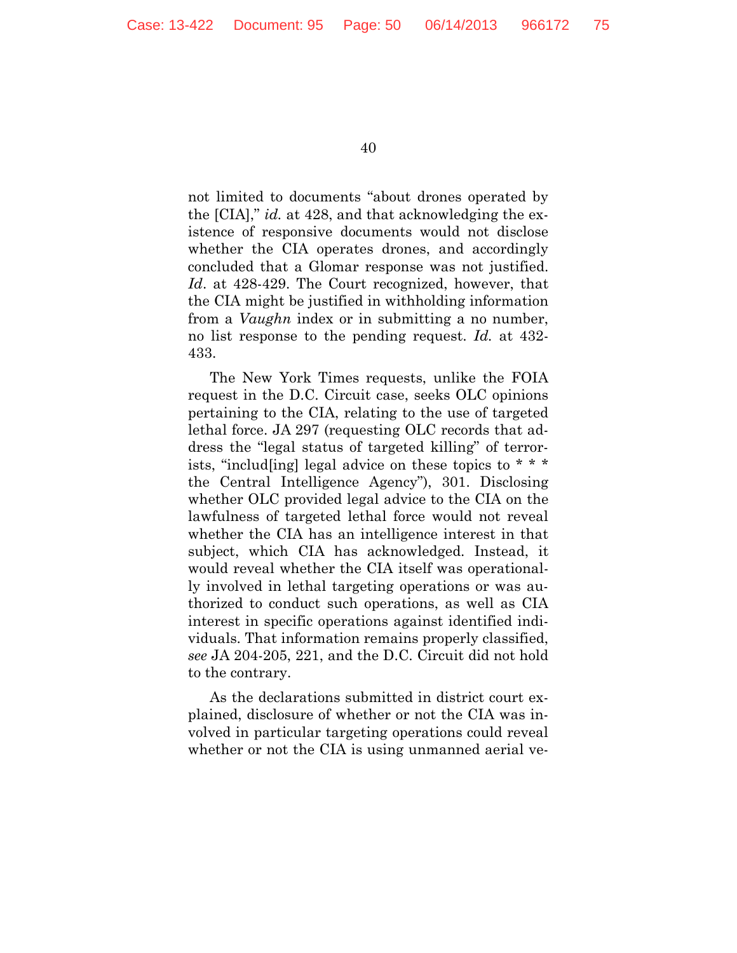not limited to documents "about drones operated by the [CIA]," *id.* at 428, and that acknowledging the existence of responsive documents would not disclose whether the CIA operates drones, and accordingly concluded that a Glomar response was not justified. *Id*. at 428-429. The Court recognized, however, that the CIA might be justified in withholding information from a *Vaughn* index or in submitting a no number, no list response to the pending request. *Id.* at 432- 433.

The New York Times requests, unlike the FOIA request in the D.C. Circuit case, seeks OLC opinions pertaining to the CIA, relating to the use of targeted lethal force. JA 297 (requesting OLC records that address the "legal status of targeted killing" of terrorists, "includ [ing] legal advice on these topics to  $* * *$ the Central Intelligence Agency"), 301. Disclosing whether OLC provided legal advice to the CIA on the lawfulness of targeted lethal force would not reveal whether the CIA has an intelligence interest in that subject, which CIA has acknowledged. Instead, it would reveal whether the CIA itself was operationally involved in lethal targeting operations or was authorized to conduct such operations, as well as CIA interest in specific operations against identified individuals. That information remains properly classified, *see* JA 204-205, 221, and the D.C. Circuit did not hold to the contrary.

As the declarations submitted in district court explained, disclosure of whether or not the CIA was involved in particular targeting operations could reveal whether or not the CIA is using unmanned aerial ve-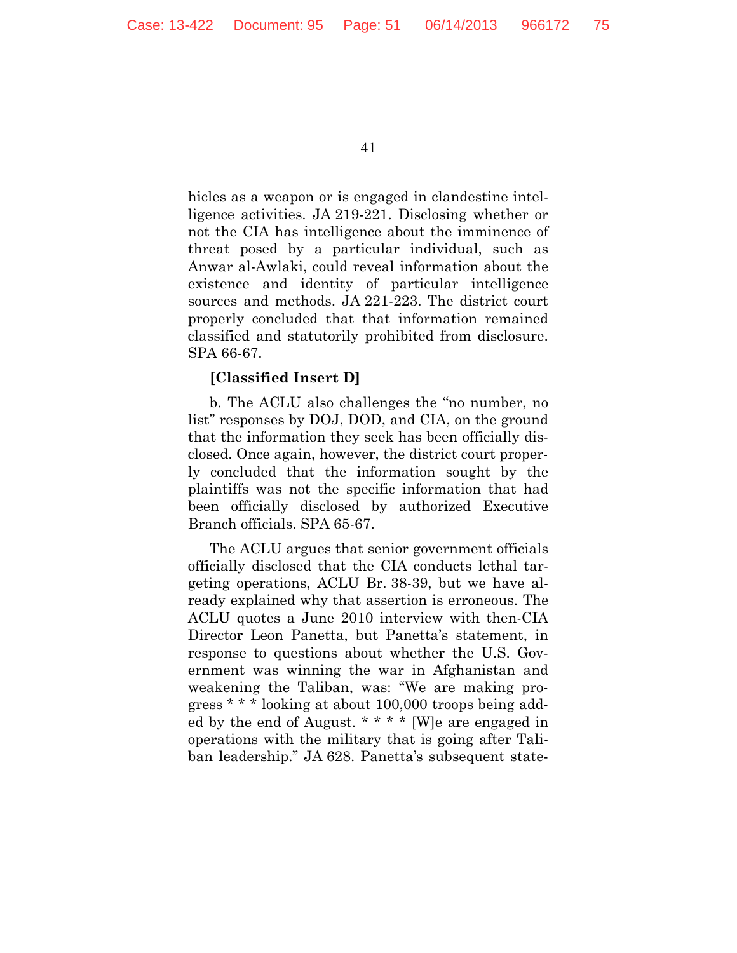hicles as a weapon or is engaged in clandestine intelligence activities. JA 219-221. Disclosing whether or not the CIA has intelligence about the imminence of threat posed by a particular individual, such as Anwar al-Awlaki, could reveal information about the existence and identity of particular intelligence sources and methods. JA 221-223. The district court properly concluded that that information remained classified and statutorily prohibited from disclosure. SPA 66-67.

### **[Classified Insert D]**

b. The ACLU also challenges the "no number, no list" responses by DOJ, DOD, and CIA, on the ground that the information they seek has been officially disclosed. Once again, however, the district court properly concluded that the information sought by the plaintiffs was not the specific information that had been officially disclosed by authorized Executive Branch officials. SPA 65-67.

The ACLU argues that senior government officials officially disclosed that the CIA conducts lethal targeting operations, ACLU Br. 38-39, but we have already explained why that assertion is erroneous. The ACLU quotes a June 2010 interview with then-CIA Director Leon Panetta, but Panetta's statement, in response to questions about whether the U.S. Government was winning the war in Afghanistan and weakening the Taliban, was: "We are making progress \* \* \* looking at about 100,000 troops being added by the end of August. \* \* \* \* [W]e are engaged in operations with the military that is going after Taliban leadership." JA 628. Panetta's subsequent state-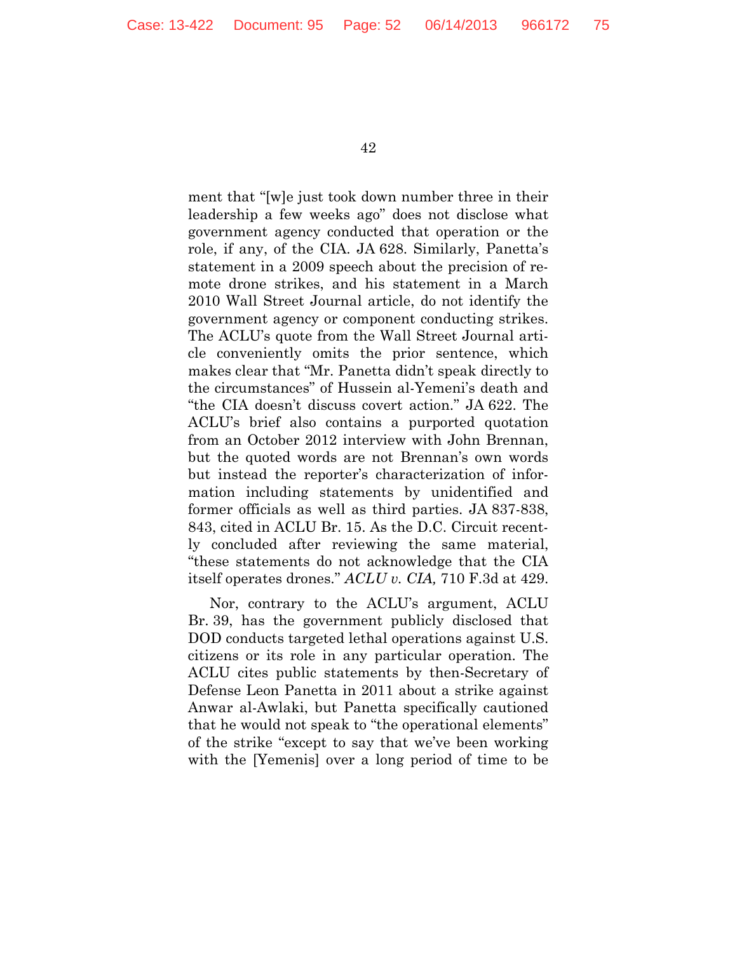ment that "[w]e just took down number three in their leadership a few weeks ago" does not disclose what government agency conducted that operation or the role, if any, of the CIA. JA 628. Similarly, Panetta's statement in a 2009 speech about the precision of remote drone strikes, and his statement in a March 2010 Wall Street Journal article, do not identify the government agency or component conducting strikes. The ACLU's quote from the Wall Street Journal article conveniently omits the prior sentence, which makes clear that "Mr. Panetta didn't speak directly to the circumstances" of Hussein al-Yemeni's death and "the CIA doesn't discuss covert action." JA 622. The ACLU's brief also contains a purported quotation from an October 2012 interview with John Brennan, but the quoted words are not Brennan's own words but instead the reporter's characterization of information including statements by unidentified and former officials as well as third parties. JA 837-838, 843, cited in ACLU Br. 15. As the D.C. Circuit recently concluded after reviewing the same material, "these statements do not acknowledge that the CIA itself operates drones." *ACLU v. CIA,* 710 F.3d at 429.

Nor, contrary to the ACLU's argument, ACLU Br. 39, has the government publicly disclosed that DOD conducts targeted lethal operations against U.S. citizens or its role in any particular operation. The ACLU cites public statements by then-Secretary of Defense Leon Panetta in 2011 about a strike against Anwar al-Awlaki, but Panetta specifically cautioned that he would not speak to "the operational elements" of the strike "except to say that we've been working with the [Yemenis] over a long period of time to be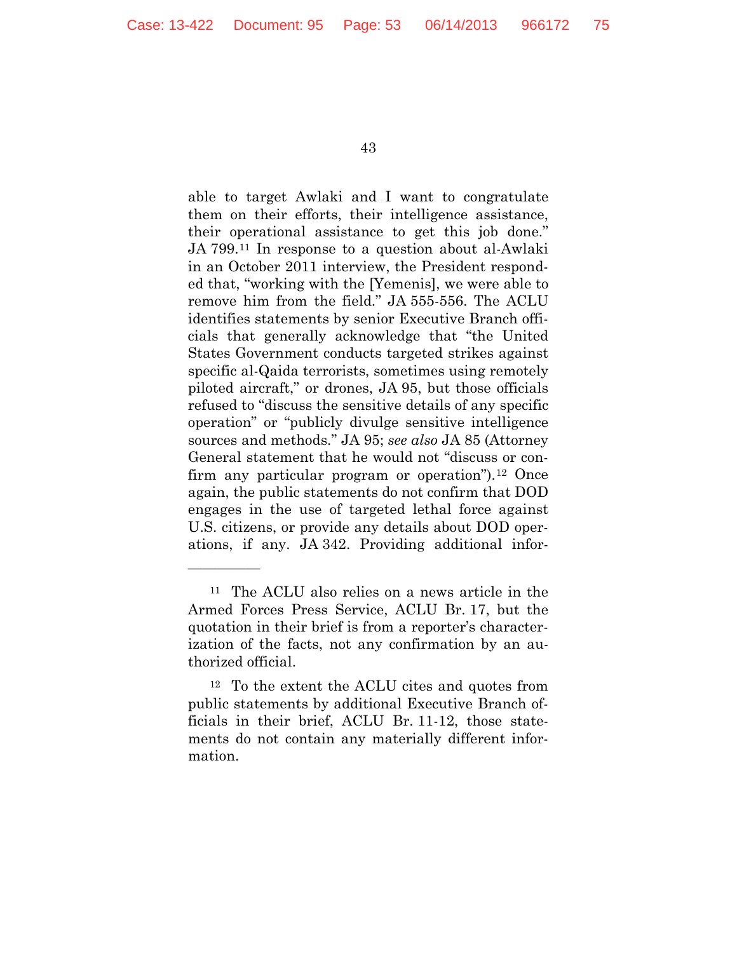able to target Awlaki and I want to congratulate them on their efforts, their intelligence assistance, their operational assistance to get this job done." JA 799.[11](#page-52-0) In response to a question about al-Awlaki in an October 2011 interview, the President responded that, "working with the [Yemenis], we were able to remove him from the field." JA 555-556. The ACLU identifies statements by senior Executive Branch officials that generally acknowledge that "the United States Government conducts targeted strikes against specific al-Qaida terrorists, sometimes using remotely piloted aircraft," or drones, JA 95, but those officials refused to "discuss the sensitive details of any specific operation" or "publicly divulge sensitive intelligence sources and methods." JA 95; *see also* JA 85 (Attorney General statement that he would not "discuss or con-firm any particular program or operation").<sup>[12](#page-52-1)</sup> Once again, the public statements do not confirm that DOD engages in the use of targeted lethal force against U.S. citizens, or provide any details about DOD operations, if any. JA 342. Providing additional infor-

—————

<span id="page-52-0"></span><sup>11</sup> The ACLU also relies on a news article in the Armed Forces Press Service, ACLU Br. 17, but the quotation in their brief is from a reporter's characterization of the facts, not any confirmation by an authorized official.

<span id="page-52-1"></span><sup>12</sup> To the extent the ACLU cites and quotes from public statements by additional Executive Branch officials in their brief, ACLU Br. 11-12, those statements do not contain any materially different information.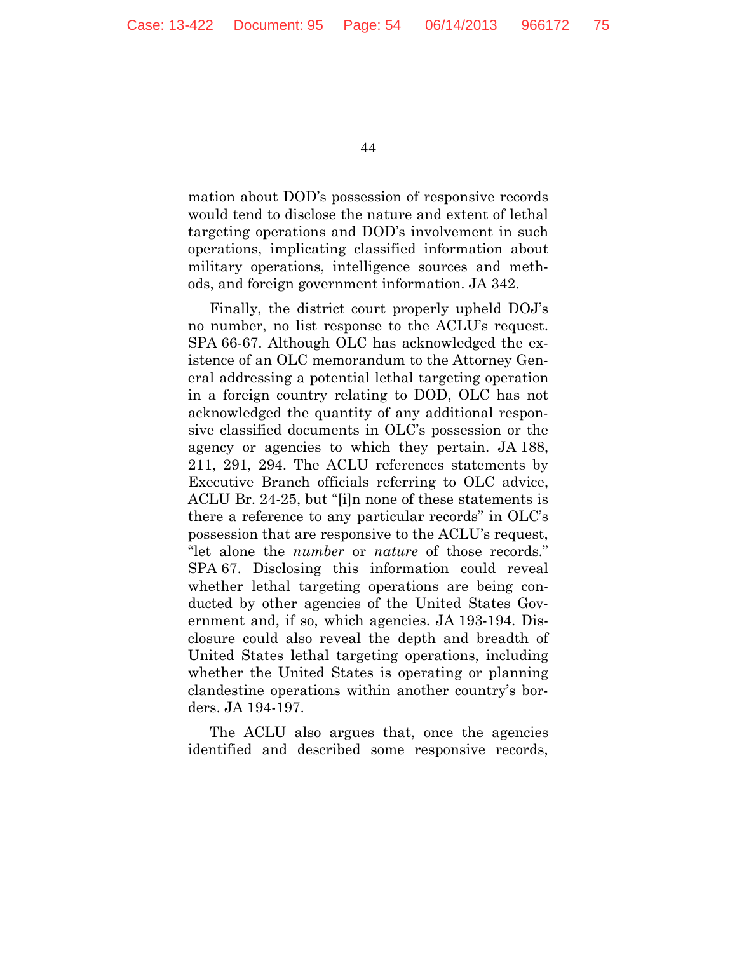mation about DOD's possession of responsive records would tend to disclose the nature and extent of lethal targeting operations and DOD's involvement in such operations, implicating classified information about military operations, intelligence sources and methods, and foreign government information. JA 342.

Finally, the district court properly upheld DOJ's no number, no list response to the ACLU's request. SPA 66-67. Although OLC has acknowledged the existence of an OLC memorandum to the Attorney General addressing a potential lethal targeting operation in a foreign country relating to DOD, OLC has not acknowledged the quantity of any additional responsive classified documents in OLC's possession or the agency or agencies to which they pertain. JA 188, 211, 291, 294. The ACLU references statements by Executive Branch officials referring to OLC advice, ACLU Br. 24-25, but "[i]n none of these statements is there a reference to any particular records" in OLC's possession that are responsive to the ACLU's request, "let alone the *number* or *nature* of those records." SPA 67. Disclosing this information could reveal whether lethal targeting operations are being conducted by other agencies of the United States Government and, if so, which agencies. JA 193-194. Disclosure could also reveal the depth and breadth of United States lethal targeting operations, including whether the United States is operating or planning clandestine operations within another country's borders. JA 194-197.

The ACLU also argues that, once the agencies identified and described some responsive records,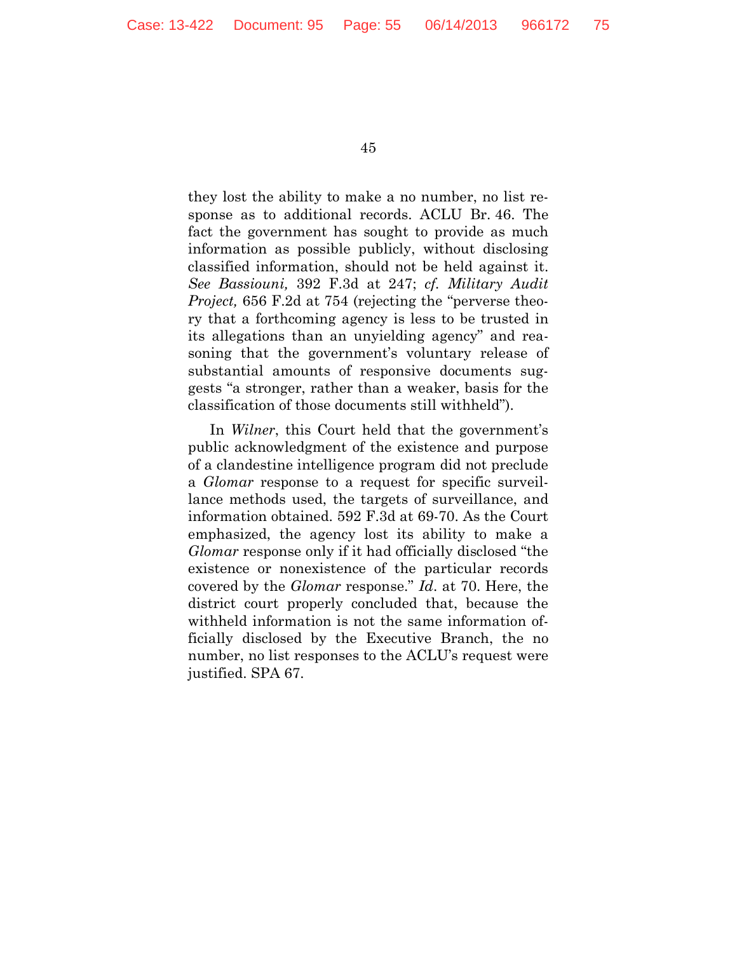they lost the ability to make a no number, no list response as to additional records. ACLU Br. 46. The fact the government has sought to provide as much information as possible publicly, without disclosing classified information, should not be held against it. *See Bassiouni,* 392 F.3d at 247; *cf. Military Audit Project,* 656 F.2d at 754 (rejecting the "perverse theory that a forthcoming agency is less to be trusted in its allegations than an unyielding agency" and reasoning that the government's voluntary release of substantial amounts of responsive documents suggests "a stronger, rather than a weaker, basis for the classification of those documents still withheld").

In *Wilner*, this Court held that the government's public acknowledgment of the existence and purpose of a clandestine intelligence program did not preclude a *Glomar* response to a request for specific surveillance methods used, the targets of surveillance, and information obtained. 592 F.3d at 69-70. As the Court emphasized, the agency lost its ability to make a *Glomar* response only if it had officially disclosed "the existence or nonexistence of the particular records covered by the *Glomar* response." *Id*. at 70. Here, the district court properly concluded that, because the withheld information is not the same information officially disclosed by the Executive Branch, the no number, no list responses to the ACLU's request were justified. SPA 67.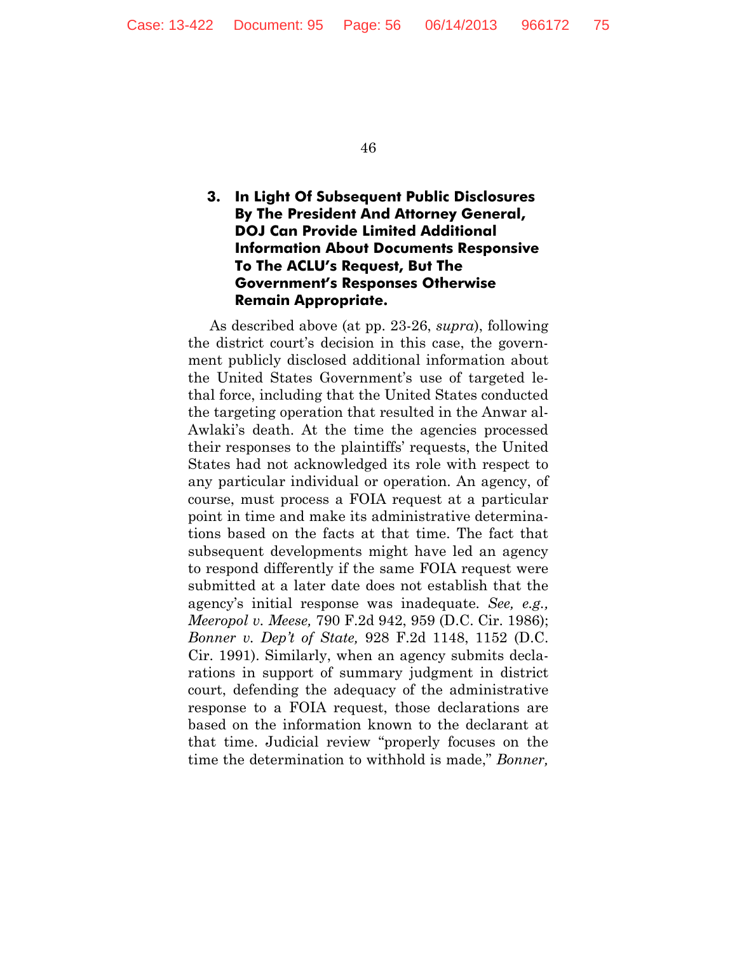# **3. In Light Of Subsequent Public Disclosures By The President And Attorney General, DOJ Can Provide Limited Additional Information About Documents Responsive To The ACLU's Request, But The Government's Responses Otherwise Remain Appropriate.**

As described above (at pp. 23-26, *supra*), following the district court's decision in this case, the government publicly disclosed additional information about the United States Government's use of targeted lethal force, including that the United States conducted the targeting operation that resulted in the Anwar al-Awlaki's death. At the time the agencies processed their responses to the plaintiffs' requests, the United States had not acknowledged its role with respect to any particular individual or operation. An agency, of course, must process a FOIA request at a particular point in time and make its administrative determinations based on the facts at that time. The fact that subsequent developments might have led an agency to respond differently if the same FOIA request were submitted at a later date does not establish that the agency's initial response was inadequate. *See, e.g., Meeropol v. Meese,* 790 F.2d 942, 959 (D.C. Cir. 1986); *Bonner v. Dep't of State,* 928 F.2d 1148, 1152 (D.C. Cir. 1991). Similarly, when an agency submits declarations in support of summary judgment in district court, defending the adequacy of the administrative response to a FOIA request, those declarations are based on the information known to the declarant at that time. Judicial review "properly focuses on the time the determination to withhold is made," *Bonner,*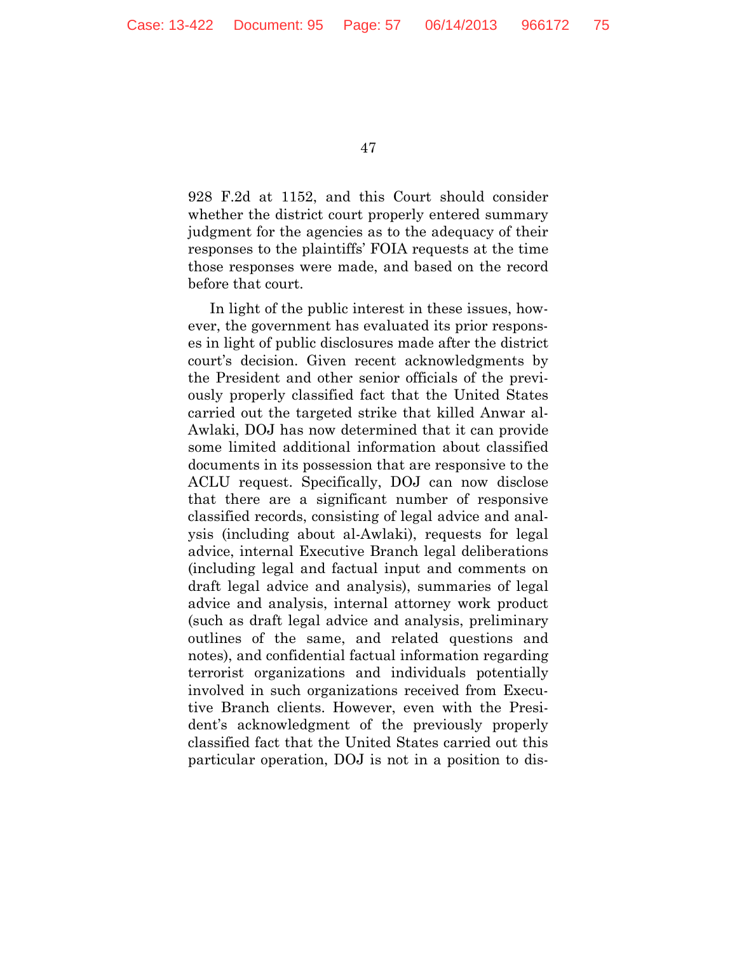928 F.2d at 1152, and this Court should consider whether the district court properly entered summary judgment for the agencies as to the adequacy of their responses to the plaintiffs' FOIA requests at the time those responses were made, and based on the record before that court.

In light of the public interest in these issues, however, the government has evaluated its prior responses in light of public disclosures made after the district court's decision. Given recent acknowledgments by the President and other senior officials of the previously properly classified fact that the United States carried out the targeted strike that killed Anwar al-Awlaki, DOJ has now determined that it can provide some limited additional information about classified documents in its possession that are responsive to the ACLU request. Specifically, DOJ can now disclose that there are a significant number of responsive classified records, consisting of legal advice and analysis (including about al-Awlaki), requests for legal advice, internal Executive Branch legal deliberations (including legal and factual input and comments on draft legal advice and analysis), summaries of legal advice and analysis, internal attorney work product (such as draft legal advice and analysis, preliminary outlines of the same, and related questions and notes), and confidential factual information regarding terrorist organizations and individuals potentially involved in such organizations received from Executive Branch clients. However, even with the President's acknowledgment of the previously properly classified fact that the United States carried out this particular operation, DOJ is not in a position to dis-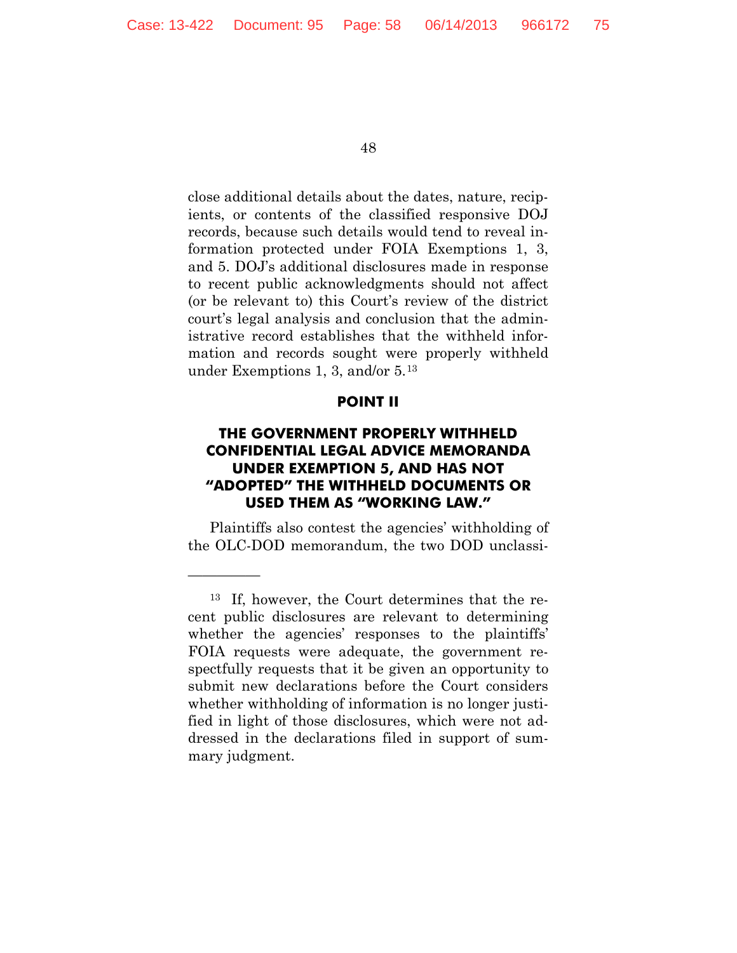close additional details about the dates, nature, recipients, or contents of the classified responsive DOJ records, because such details would tend to reveal information protected under FOIA Exemptions 1, 3, and 5. DOJ's additional disclosures made in response to recent public acknowledgments should not affect (or be relevant to) this Court's review of the district court's legal analysis and conclusion that the administrative record establishes that the withheld information and records sought were properly withheld under Exemptions 1, 3, and/or 5.[13](#page-57-0)

#### **POINT II**

## **THE GOVERNMENT PROPERLY WITHHELD CONFIDENTIAL LEGAL ADVICE MEMORANDA UNDER EXEMPTION 5, AND HAS NOT "ADOPTED" THE WITHHELD DOCUMENTS OR USED THEM AS "WORKING LAW."**

Plaintiffs also contest the agencies' withholding of the OLC-DOD memorandum, the two DOD unclassi-

—————

<span id="page-57-0"></span><sup>13</sup> If, however, the Court determines that the recent public disclosures are relevant to determining whether the agencies' responses to the plaintiffs' FOIA requests were adequate, the government respectfully requests that it be given an opportunity to submit new declarations before the Court considers whether withholding of information is no longer justified in light of those disclosures, which were not addressed in the declarations filed in support of summary judgment.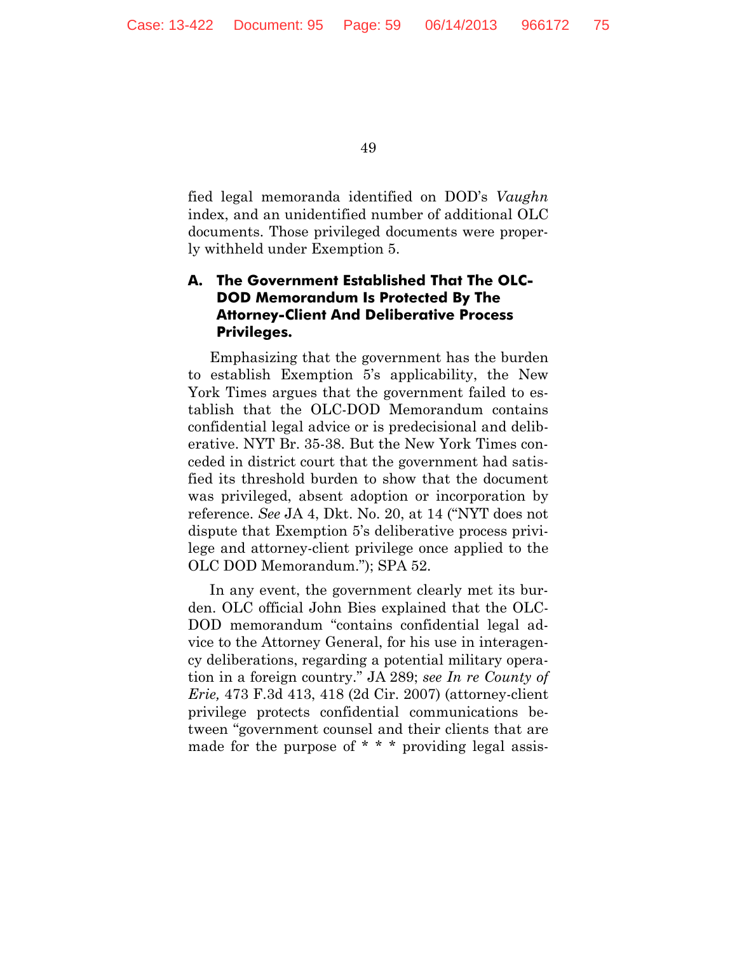fied legal memoranda identified on DOD's *Vaughn*  index, and an unidentified number of additional OLC documents. Those privileged documents were properly withheld under Exemption 5.

# **A. The Government Established That The OLC-DOD Memorandum Is Protected By The Attorney-Client And Deliberative Process Privileges.**

Emphasizing that the government has the burden to establish Exemption 5's applicability, the New York Times argues that the government failed to establish that the OLC-DOD Memorandum contains confidential legal advice or is predecisional and deliberative. NYT Br. 35-38. But the New York Times conceded in district court that the government had satisfied its threshold burden to show that the document was privileged, absent adoption or incorporation by reference. *See* JA 4, Dkt. No. 20, at 14 ("NYT does not dispute that Exemption 5's deliberative process privilege and attorney-client privilege once applied to the OLC DOD Memorandum."); SPA 52.

In any event, the government clearly met its burden. OLC official John Bies explained that the OLC-DOD memorandum "contains confidential legal advice to the Attorney General, for his use in interagency deliberations, regarding a potential military operation in a foreign country." JA 289; *see In re County of Erie,* 473 F.3d 413, 418 (2d Cir. 2007) (attorney-client privilege protects confidential communications between "government counsel and their clients that are made for the purpose of  $* * *$  providing legal assis-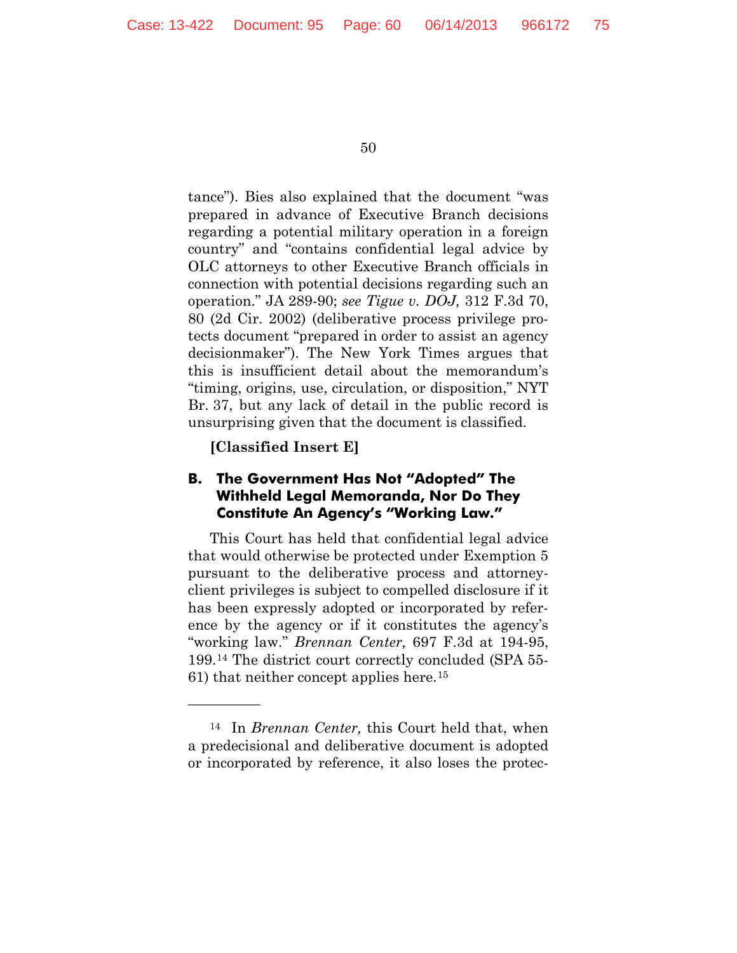tance"). Bies also explained that the document "was prepared in advance of Executive Branch decisions regarding a potential military operation in a foreign country" and "contains confidential legal advice by OLC attorneys to other Executive Branch officials in connection with potential decisions regarding such an operation." JA 289-90; *see Tigue v. DOJ,* 312 F.3d 70, 80 (2d Cir. 2002) (deliberative process privilege protects document "prepared in order to assist an agency decisionmaker"). The New York Times argues that this is insufficient detail about the memorandum's "timing, origins, use, circulation, or disposition," NYT Br. 37, but any lack of detail in the public record is unsurprising given that the document is classified.

**[Classified Insert E]**

—————

## <span id="page-59-1"></span>**B. The Government Has Not "Adopted" The Withheld Legal Memoranda, Nor Do They Constitute An Agency's "Working Law."**

This Court has held that confidential legal advice that would otherwise be protected under Exemption 5 pursuant to the deliberative process and attorneyclient privileges is subject to compelled disclosure if it has been expressly adopted or incorporated by reference by the agency or if it constitutes the agency's "working law." *Brennan Center,* 697 F.3d at 194-95, 199.[14](#page-59-0) The district court correctly concluded (SPA 55- 61) that neither concept applies here.[15](#page-59-1)

<span id="page-59-0"></span><sup>14</sup> In *Brennan Center,* this Court held that, when a predecisional and deliberative document is adopted or incorporated by reference, it also loses the protec-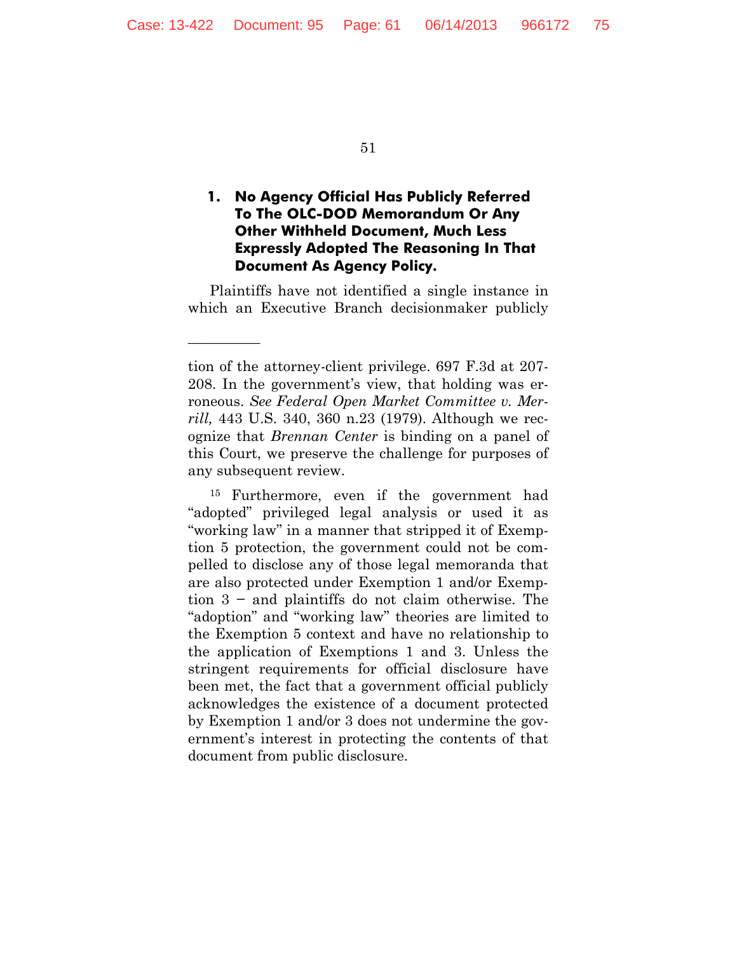—————

51

# **1. No Agency Official Has Publicly Referred To The OLC-DOD Memorandum Or Any Other Withheld Document, Much Less Expressly Adopted The Reasoning In That Document As Agency Policy.**

Plaintiffs have not identified a single instance in which an Executive Branch decisionmaker publicly

tion of the attorney-client privilege. 697 F.3d at 207- 208. In the government's view, that holding was erroneous. *See Federal Open Market Committee v. Merrill,* 443 U.S. 340, 360 n.23 (1979). Although we recognize that *Brennan Center* is binding on a panel of this Court, we preserve the challenge for purposes of any subsequent review.

<sup>15</sup> Furthermore, even if the government had "adopted" privileged legal analysis or used it as "working law" in a manner that stripped it of Exemption 5 protection, the government could not be compelled to disclose any of those legal memoranda that are also protected under Exemption 1 and/or Exemption 3 − and plaintiffs do not claim otherwise. The "adoption" and "working law" theories are limited to the Exemption 5 context and have no relationship to the application of Exemptions 1 and 3. Unless the stringent requirements for official disclosure have been met, the fact that a government official publicly acknowledges the existence of a document protected by Exemption 1 and/or 3 does not undermine the government's interest in protecting the contents of that document from public disclosure.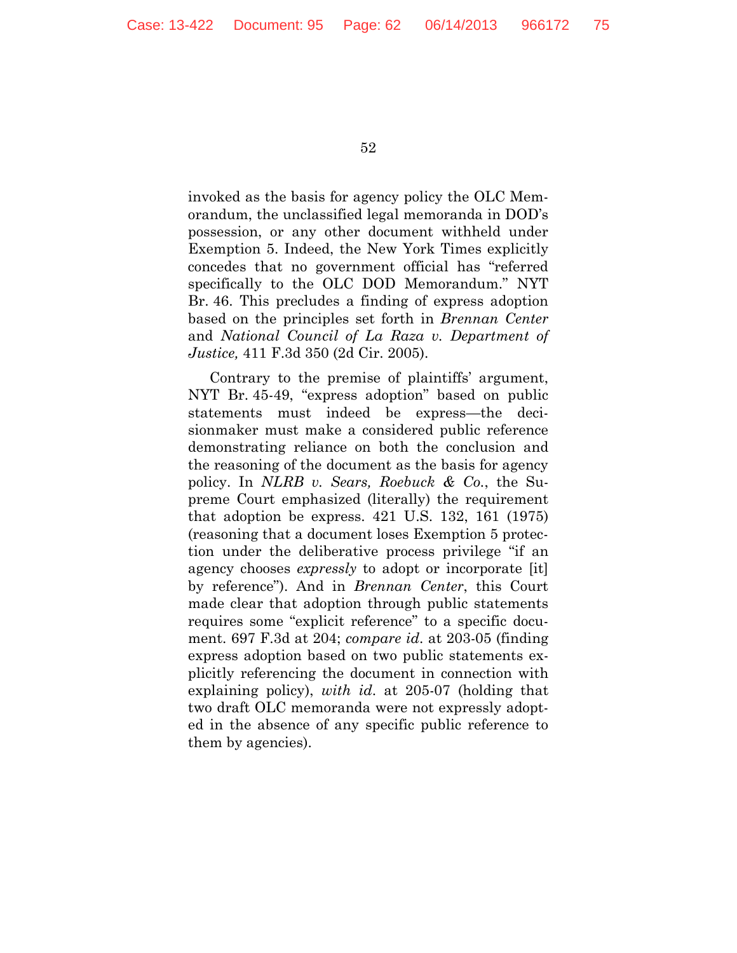invoked as the basis for agency policy the OLC Memorandum, the unclassified legal memoranda in DOD's possession, or any other document withheld under Exemption 5. Indeed, the New York Times explicitly concedes that no government official has "referred specifically to the OLC DOD Memorandum." NYT Br. 46. This precludes a finding of express adoption based on the principles set forth in *Brennan Center*  and *National Council of La Raza v. Department of Justice,* 411 F.3d 350 (2d Cir. 2005).

Contrary to the premise of plaintiffs' argument, NYT Br. 45-49, "express adoption" based on public statements must indeed be express—the decisionmaker must make a considered public reference demonstrating reliance on both the conclusion and the reasoning of the document as the basis for agency policy. In *NLRB v. Sears, Roebuck & Co.*, the Supreme Court emphasized (literally) the requirement that adoption be express. 421 U.S. 132, 161 (1975) (reasoning that a document loses Exemption 5 protection under the deliberative process privilege "if an agency chooses *expressly* to adopt or incorporate [it] by reference"). And in *Brennan Center*, this Court made clear that adoption through public statements requires some "explicit reference" to a specific document. 697 F.3d at 204; *compare id*. at 203-05 (finding express adoption based on two public statements explicitly referencing the document in connection with explaining policy), *with id*. at 205-07 (holding that two draft OLC memoranda were not expressly adopted in the absence of any specific public reference to them by agencies).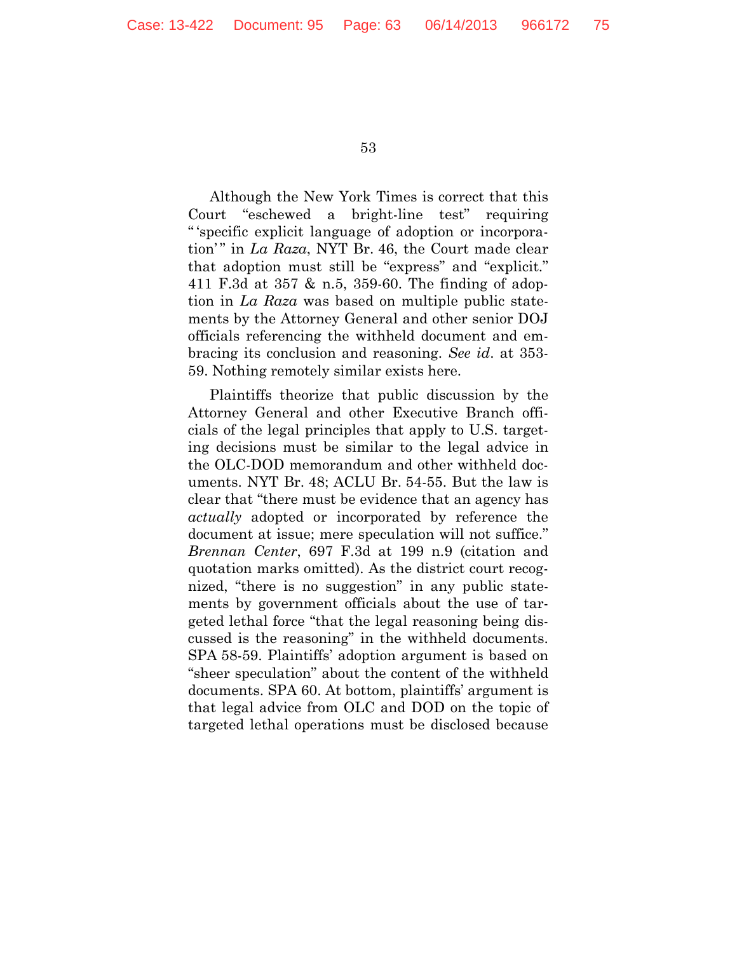Although the New York Times is correct that this Court "eschewed a bright-line test" requiring " 'specific explicit language of adoption or incorporation' " in *La Raza*, NYT Br. 46, the Court made clear that adoption must still be "express" and "explicit." 411 F.3d at 357 & n.5, 359-60. The finding of adoption in *La Raza* was based on multiple public statements by the Attorney General and other senior DOJ officials referencing the withheld document and embracing its conclusion and reasoning. *See id*. at 353- 59. Nothing remotely similar exists here.

Plaintiffs theorize that public discussion by the Attorney General and other Executive Branch officials of the legal principles that apply to U.S. targeting decisions must be similar to the legal advice in the OLC-DOD memorandum and other withheld documents. NYT Br. 48; ACLU Br. 54-55. But the law is clear that "there must be evidence that an agency has *actually* adopted or incorporated by reference the document at issue; mere speculation will not suffice." *Brennan Center*, 697 F.3d at 199 n.9 (citation and quotation marks omitted). As the district court recognized, "there is no suggestion" in any public statements by government officials about the use of targeted lethal force "that the legal reasoning being discussed is the reasoning" in the withheld documents. SPA 58-59. Plaintiffs' adoption argument is based on "sheer speculation" about the content of the withheld documents. SPA 60. At bottom, plaintiffs' argument is that legal advice from OLC and DOD on the topic of targeted lethal operations must be disclosed because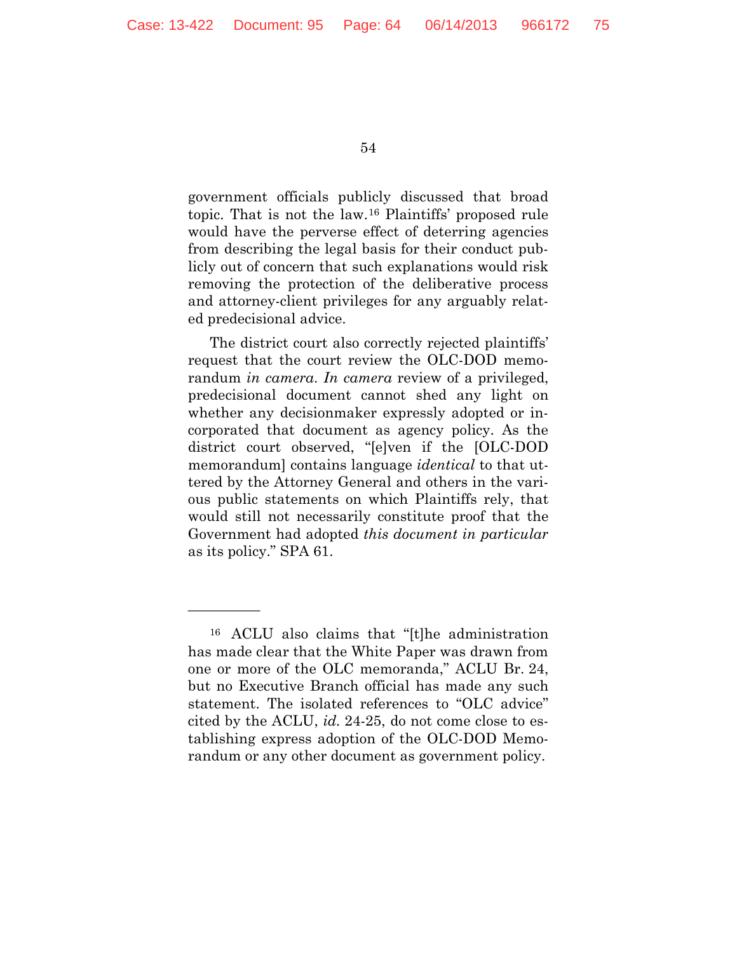government officials publicly discussed that broad topic. That is not the law.[16](#page-63-0) Plaintiffs' proposed rule would have the perverse effect of deterring agencies from describing the legal basis for their conduct publicly out of concern that such explanations would risk removing the protection of the deliberative process and attorney-client privileges for any arguably related predecisional advice.

The district court also correctly rejected plaintiffs' request that the court review the OLC-DOD memorandum *in camera*. *In camera* review of a privileged, predecisional document cannot shed any light on whether any decisionmaker expressly adopted or incorporated that document as agency policy. As the district court observed, "[e]ven if the [OLC-DOD memorandum] contains language *identical* to that uttered by the Attorney General and others in the various public statements on which Plaintiffs rely, that would still not necessarily constitute proof that the Government had adopted *this document in particular* as its policy." SPA 61.

—————

<span id="page-63-0"></span><sup>16</sup> ACLU also claims that "[t]he administration has made clear that the White Paper was drawn from one or more of the OLC memoranda," ACLU Br. 24, but no Executive Branch official has made any such statement. The isolated references to "OLC advice" cited by the ACLU, *id.* 24-25, do not come close to establishing express adoption of the OLC-DOD Memorandum or any other document as government policy.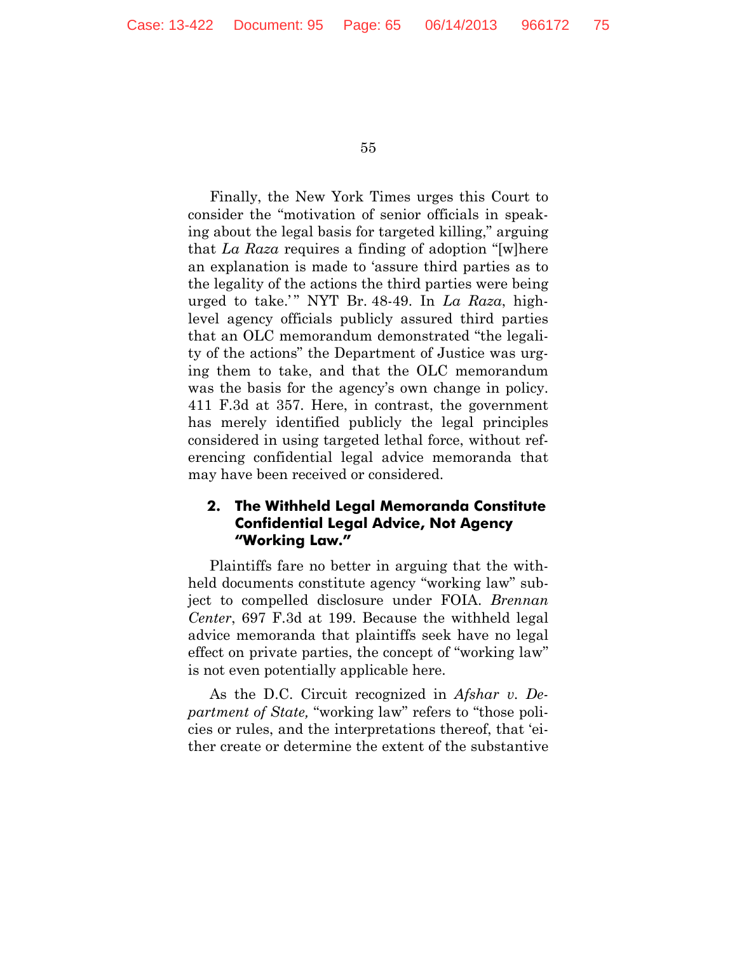Finally, the New York Times urges this Court to consider the "motivation of senior officials in speaking about the legal basis for targeted killing," arguing that *La Raza* requires a finding of adoption "[w]here an explanation is made to 'assure third parties as to the legality of the actions the third parties were being urged to take.'" NYT Br. 48-49. In *La Raza*, highlevel agency officials publicly assured third parties that an OLC memorandum demonstrated "the legality of the actions" the Department of Justice was urging them to take, and that the OLC memorandum was the basis for the agency's own change in policy. 411 F.3d at 357. Here, in contrast, the government has merely identified publicly the legal principles considered in using targeted lethal force, without referencing confidential legal advice memoranda that may have been received or considered.

## **2. The Withheld Legal Memoranda Constitute Confidential Legal Advice, Not Agency "Working Law."**

Plaintiffs fare no better in arguing that the withheld documents constitute agency "working law" subject to compelled disclosure under FOIA. *Brennan Center*, 697 F.3d at 199. Because the withheld legal advice memoranda that plaintiffs seek have no legal effect on private parties, the concept of "working law" is not even potentially applicable here.

As the D.C. Circuit recognized in *Afshar v. Department of State,* "working law" refers to "those policies or rules, and the interpretations thereof, that 'either create or determine the extent of the substantive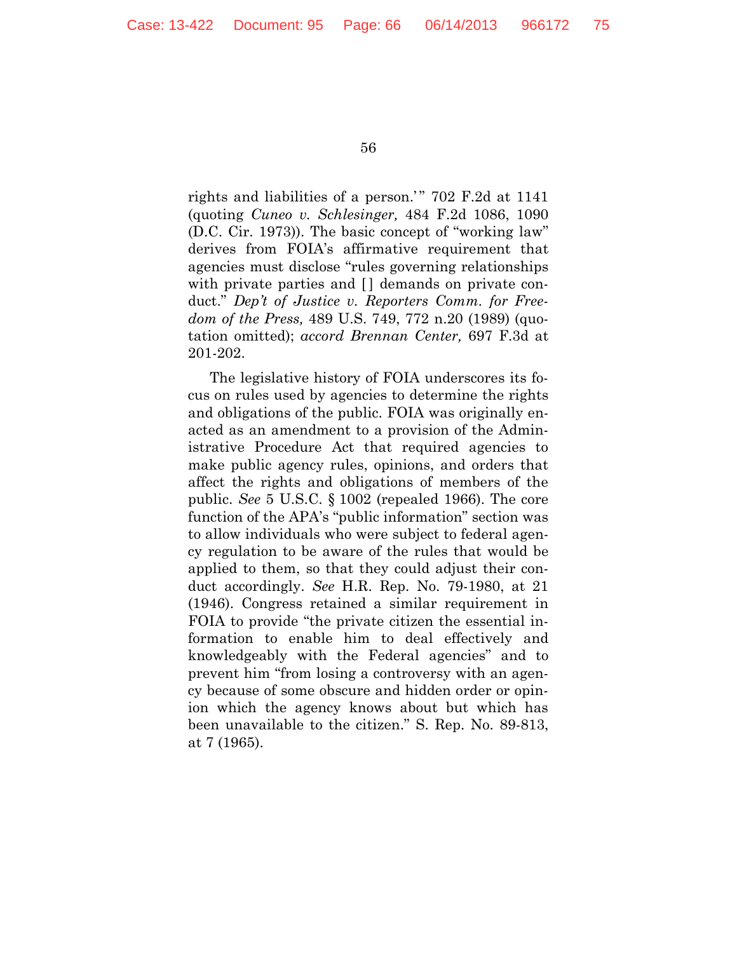rights and liabilities of a person.'" 702 F.2d at 1141 (quoting *Cuneo v. Schlesinger,* 484 F.2d 1086, 1090 (D.C. Cir. 1973)). The basic concept of "working law" derives from FOIA's affirmative requirement that agencies must disclose "rules governing relationships with private parties and [] demands on private conduct." *Dep't of Justice v. Reporters Comm. for Freedom of the Press,* 489 U.S. 749, 772 n.20 (1989) (quotation omitted); *accord Brennan Center,* 697 F.3d at 201-202.

The legislative history of FOIA underscores its focus on rules used by agencies to determine the rights and obligations of the public. FOIA was originally enacted as an amendment to a provision of the Administrative Procedure Act that required agencies to make public agency rules, opinions, and orders that affect the rights and obligations of members of the public. *See* 5 U.S.C. § 1002 (repealed 1966). The core function of the APA's "public information" section was to allow individuals who were subject to federal agency regulation to be aware of the rules that would be applied to them, so that they could adjust their conduct accordingly. *See* H.R. Rep. No. 79-1980, at 21 (1946). Congress retained a similar requirement in FOIA to provide "the private citizen the essential information to enable him to deal effectively and knowledgeably with the Federal agencies" and to prevent him "from losing a controversy with an agency because of some obscure and hidden order or opinion which the agency knows about but which has been unavailable to the citizen." S. Rep. No. 89-813, at 7 (1965).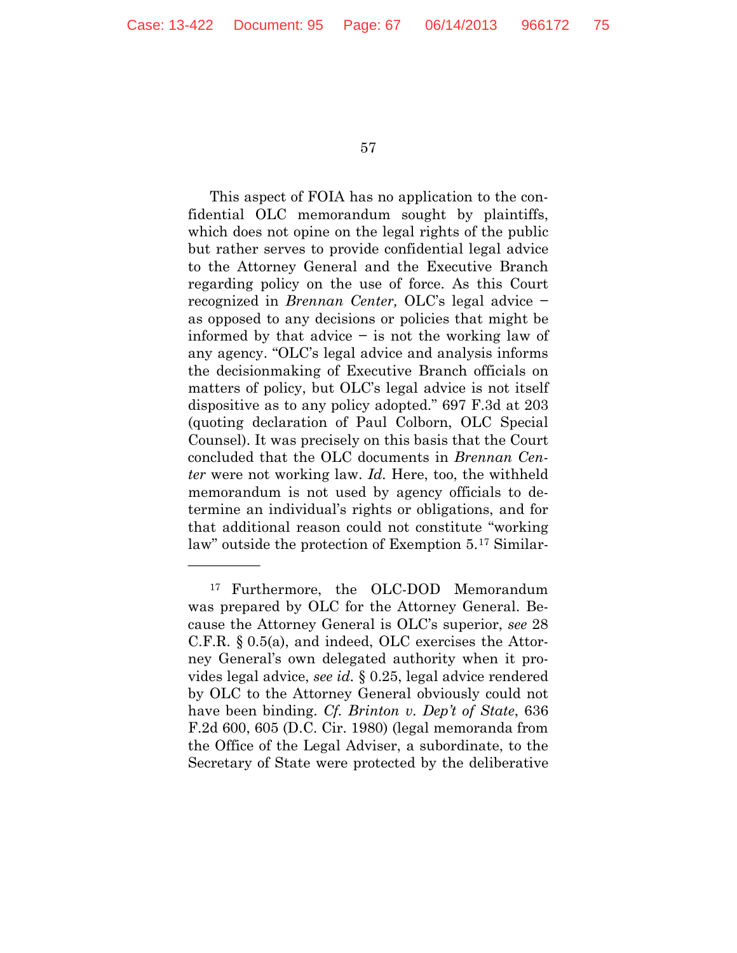—————

57

This aspect of FOIA has no application to the confidential OLC memorandum sought by plaintiffs, which does not opine on the legal rights of the public but rather serves to provide confidential legal advice to the Attorney General and the Executive Branch regarding policy on the use of force. As this Court recognized in *Brennan Center,* OLC's legal advice − as opposed to any decisions or policies that might be informed by that advice − is not the working law of any agency. "OLC's legal advice and analysis informs the decisionmaking of Executive Branch officials on matters of policy, but OLC's legal advice is not itself dispositive as to any policy adopted." 697 F.3d at 203 (quoting declaration of Paul Colborn, OLC Special Counsel). It was precisely on this basis that the Court concluded that the OLC documents in *Brennan Center* were not working law. *Id.* Here, too, the withheld memorandum is not used by agency officials to determine an individual's rights or obligations, and for that additional reason could not constitute "working law" outside the protection of Exemption 5.[17](#page-66-0) Similar-

<span id="page-66-0"></span><sup>17</sup> Furthermore, the OLC-DOD Memorandum was prepared by OLC for the Attorney General. Because the Attorney General is OLC's superior, *see* 28 C.F.R. § 0.5(a), and indeed, OLC exercises the Attorney General's own delegated authority when it provides legal advice, *see id.* § 0.25, legal advice rendered by OLC to the Attorney General obviously could not have been binding. *Cf. Brinton v. Dep't of State*, 636 F.2d 600, 605 (D.C. Cir. 1980) (legal memoranda from the Office of the Legal Adviser, a subordinate, to the Secretary of State were protected by the deliberative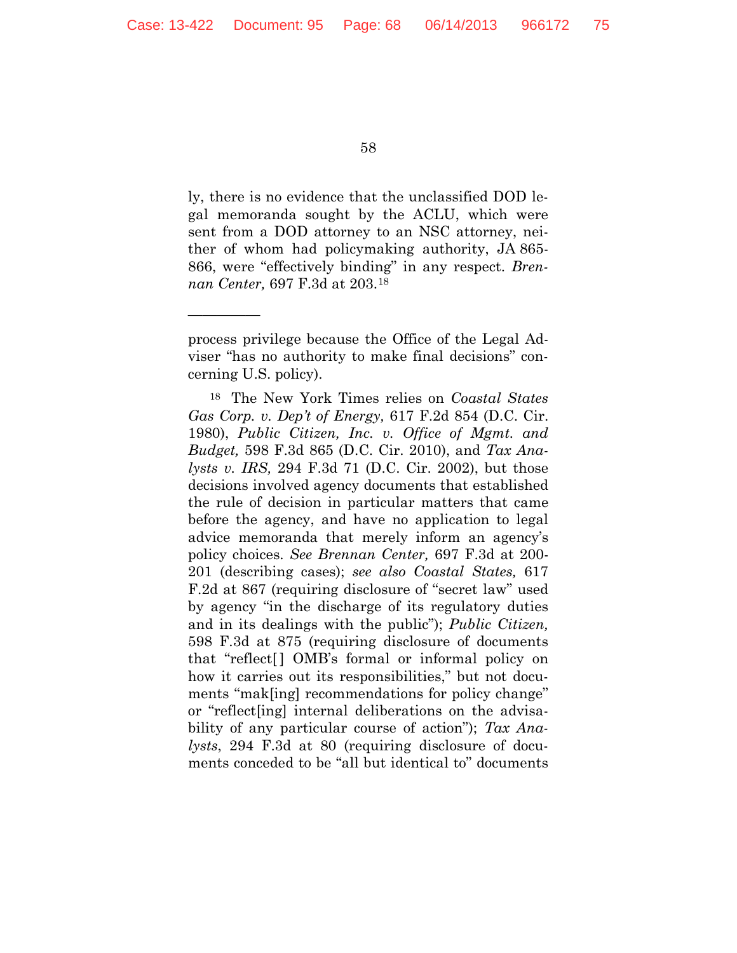—————

58

ly, there is no evidence that the unclassified DOD legal memoranda sought by the ACLU, which were sent from a DOD attorney to an NSC attorney, neither of whom had policymaking authority, JA 865- 866, were "effectively binding" in any respect. *Brennan Center,* 697 F.3d at 203.[18](#page-67-0)

<span id="page-67-0"></span><sup>18</sup> The New York Times relies on *Coastal States Gas Corp. v. Dep't of Energy,* 617 F.2d 854 (D.C. Cir. 1980), *Public Citizen, Inc. v. Office of Mgmt. and Budget,* 598 F.3d 865 (D.C. Cir. 2010), and *Tax Analysts v. IRS,* 294 F.3d 71 (D.C. Cir. 2002), but those decisions involved agency documents that established the rule of decision in particular matters that came before the agency, and have no application to legal advice memoranda that merely inform an agency's policy choices. *See Brennan Center,* 697 F.3d at 200- 201 (describing cases); *see also Coastal States,* 617 F.2d at 867 (requiring disclosure of "secret law" used by agency "in the discharge of its regulatory duties and in its dealings with the public"); *Public Citizen,* 598 F.3d at 875 (requiring disclosure of documents that "reflect[ ] OMB's formal or informal policy on how it carries out its responsibilities," but not documents "mak[ing] recommendations for policy change" or "reflect[ing] internal deliberations on the advisability of any particular course of action"); *Tax Analysts*, 294 F.3d at 80 (requiring disclosure of documents conceded to be "all but identical to" documents

process privilege because the Office of the Legal Adviser "has no authority to make final decisions" concerning U.S. policy).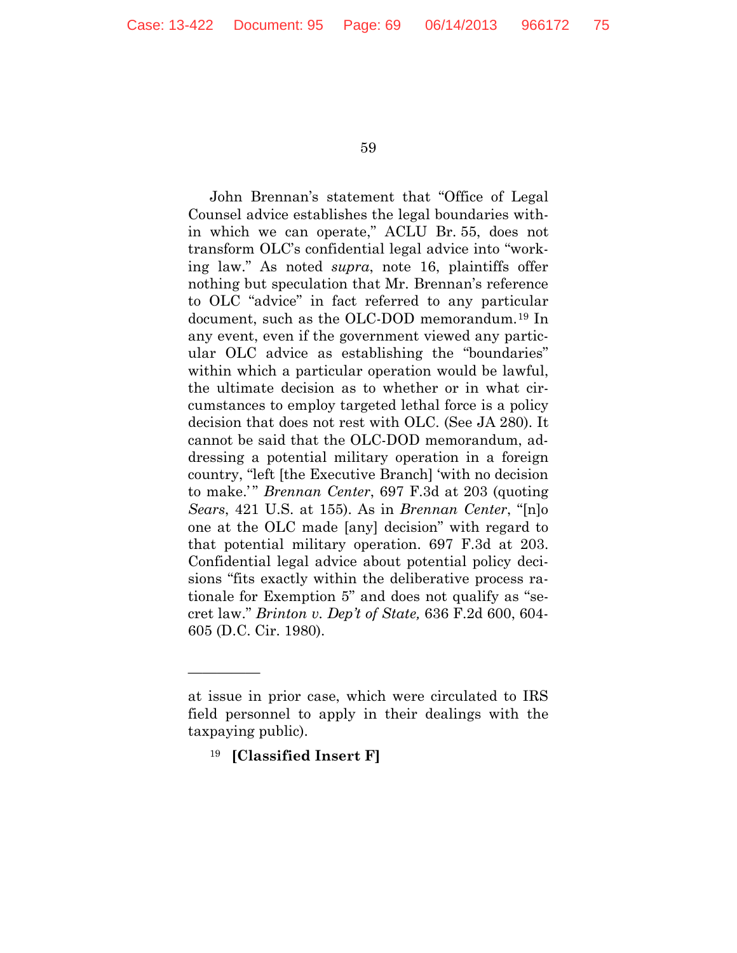John Brennan's statement that "Office of Legal Counsel advice establishes the legal boundaries within which we can operate," ACLU Br. 55, does not transform OLC's confidential legal advice into "working law." As noted *supra*, note 16, plaintiffs offer nothing but speculation that Mr. Brennan's reference to OLC "advice" in fact referred to any particular document, such as the OLC-DOD memorandum.[19](#page-68-0) In any event, even if the government viewed any particular OLC advice as establishing the "boundaries" within which a particular operation would be lawful, the ultimate decision as to whether or in what circumstances to employ targeted lethal force is a policy decision that does not rest with OLC. (See JA 280). It cannot be said that the OLC-DOD memorandum, addressing a potential military operation in a foreign country, "left [the Executive Branch] 'with no decision to make.'" *Brennan Center*, 697 F.3d at 203 (quoting *Sears*, 421 U.S. at 155). As in *Brennan Center*, "[n]o one at the OLC made [any] decision" with regard to that potential military operation. 697 F.3d at 203. Confidential legal advice about potential policy decisions "fits exactly within the deliberative process rationale for Exemption 5" and does not qualify as "secret law." *Brinton v. Dep't of State,* 636 F.2d 600, 604- 605 (D.C. Cir. 1980).

—————

<span id="page-68-0"></span>at issue in prior case, which were circulated to IRS field personnel to apply in their dealings with the taxpaying public).

<sup>19</sup> **[Classified Insert F]**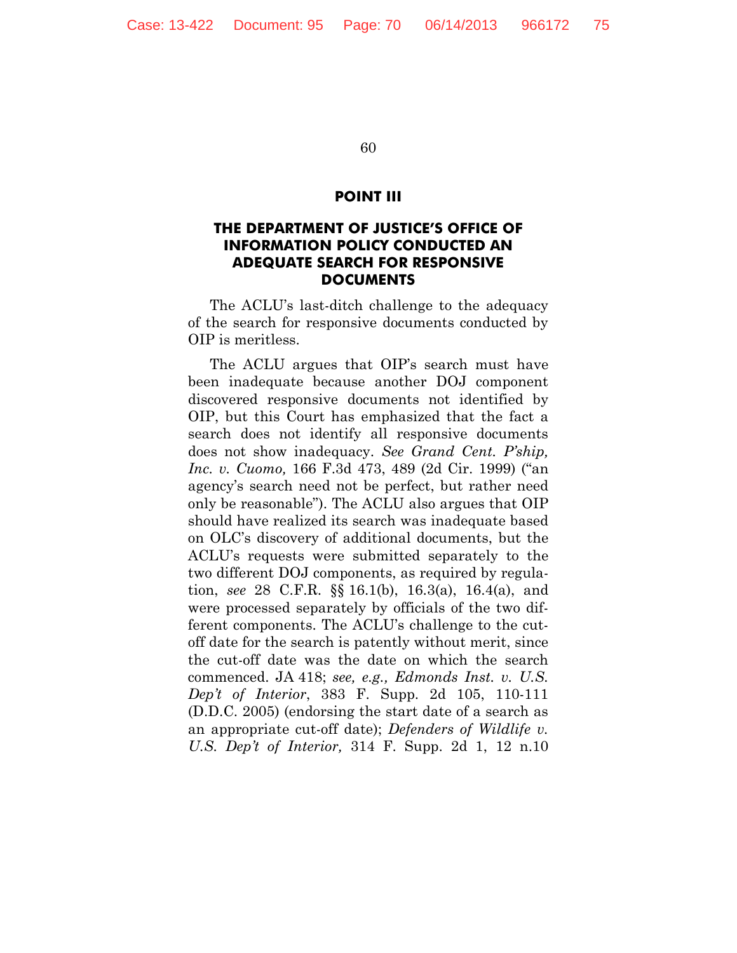#### **POINT III**

## **THE DEPARTMENT OF JUSTICE'S OFFICE OF INFORMATION POLICY CONDUCTED AN ADEQUATE SEARCH FOR RESPONSIVE DOCUMENTS**

The ACLU's last-ditch challenge to the adequacy of the search for responsive documents conducted by OIP is meritless.

The ACLU argues that OIP's search must have been inadequate because another DOJ component discovered responsive documents not identified by OIP, but this Court has emphasized that the fact a search does not identify all responsive documents does not show inadequacy. *See Grand Cent. P'ship, Inc. v. Cuomo,* 166 F.3d 473, 489 (2d Cir. 1999) ("an agency's search need not be perfect, but rather need only be reasonable"). The ACLU also argues that OIP should have realized its search was inadequate based on OLC's discovery of additional documents, but the ACLU's requests were submitted separately to the two different DOJ components, as required by regulation, *see* 28 C.F.R. §§ 16.1(b), 16.3(a), 16.4(a), and were processed separately by officials of the two different components. The ACLU's challenge to the cutoff date for the search is patently without merit, since the cut-off date was the date on which the search commenced. JA 418; *see, e.g., Edmonds Inst. v. U.S. Dep't of Interior*, 383 F. Supp. 2d 105, 110-111 (D.D.C. 2005) (endorsing the start date of a search as an appropriate cut-off date); *Defenders of Wildlife v. U.S. Dep't of Interior,* 314 F. Supp. 2d 1, 12 n.10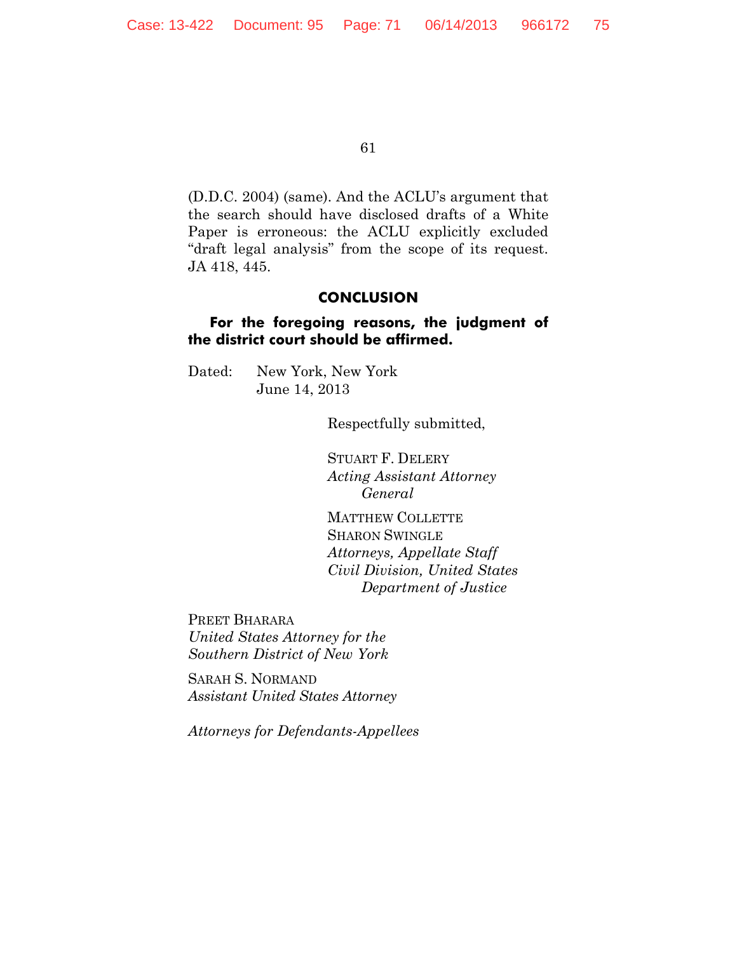(D.D.C. 2004) (same). And the ACLU's argument that the search should have disclosed drafts of a White Paper is erroneous: the ACLU explicitly excluded "draft legal analysis" from the scope of its request. JA 418, 445.

#### **CONCLUSION**

#### **For the foregoing reasons, the judgment of the district court should be affirmed.**

Dated: New York, New York June 14, 2013

Respectfully submitted,

STUART F. DELERY *Acting Assistant Attorney General*

MATTHEW COLLETTE SHARON SWINGLE *Attorneys, Appellate Staff Civil Division, United States Department of Justice*

PREET BHARARA *United States Attorney for the Southern District of New York*

SARAH S. NORMAND *Assistant United States Attorney*

*Attorneys for Defendants-Appellees*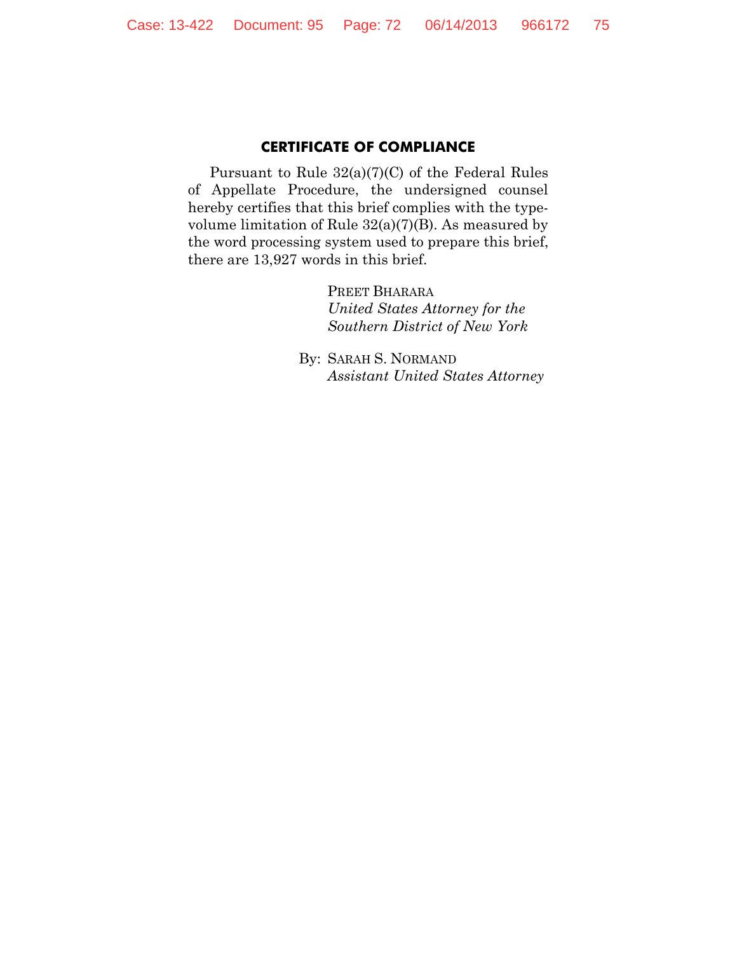#### **CERTIFICATE OF COMPLIANCE**

Pursuant to Rule 32(a)(7)(C) of the Federal Rules of Appellate Procedure, the undersigned counsel hereby certifies that this brief complies with the typevolume limitation of Rule 32(a)(7)(B). As measured by the word processing system used to prepare this brief, there are 13,927 words in this brief.

> PREET BHARARA *United States Attorney for the Southern District of New York*

By: SARAH S. NORMAND *Assistant United States Attorney*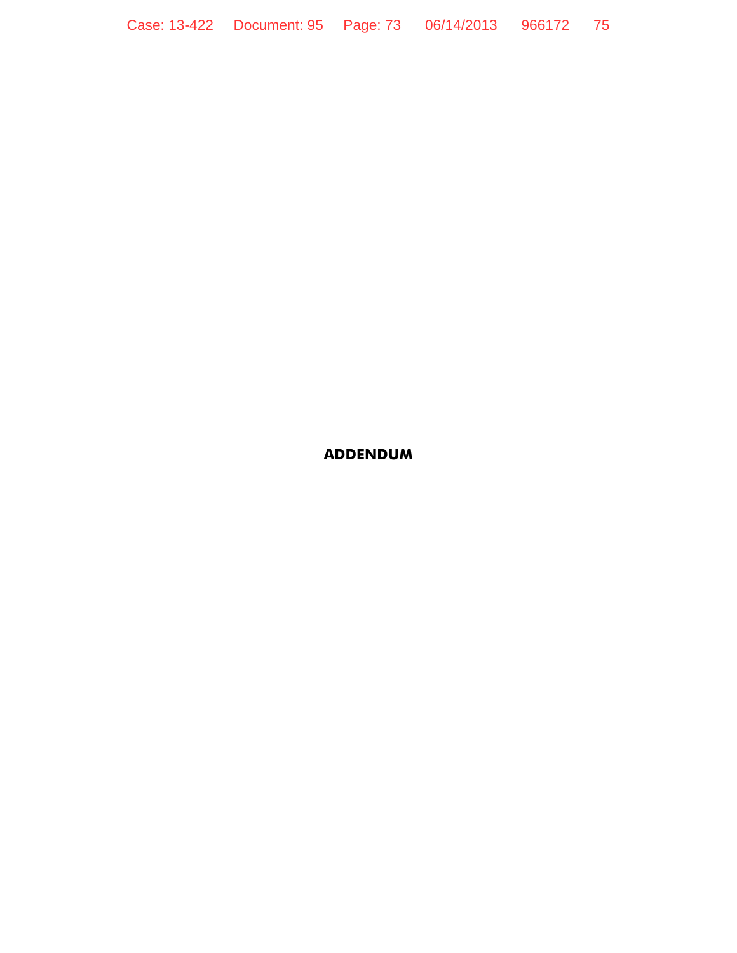Case: 13-422 Document: 95 Page: 73 06/14/2013 966172 75

# **ADDENDUM**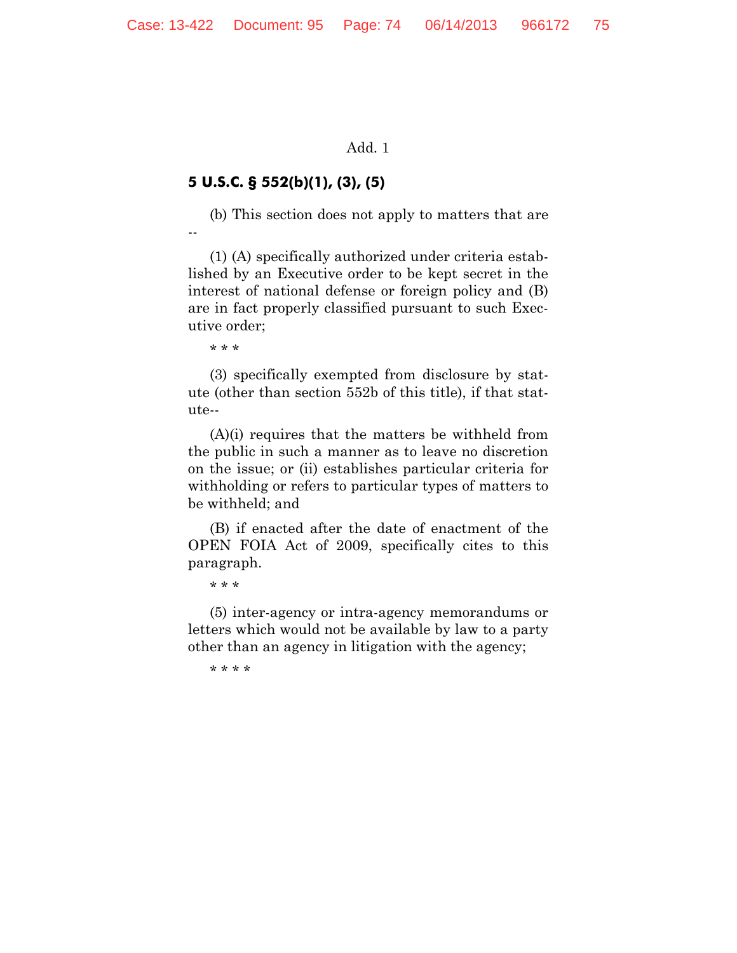#### Add. 1

## **5 U.S.C. § 552(b)(1), (3), (5)**

(b) This section does not apply to matters that are --

(1) (A) specifically authorized under criteria established by an Executive order to be kept secret in the interest of national defense or foreign policy and (B) are in fact properly classified pursuant to such Executive order;

\* \* \*

(3) specifically exempted from disclosure by statute (other than section 552b of this title), if that statute--

(A)(i) requires that the matters be withheld from the public in such a manner as to leave no discretion on the issue; or (ii) establishes particular criteria for withholding or refers to particular types of matters to be withheld; and

(B) if enacted after the date of enactment of the OPEN FOIA Act of 2009, specifically cites to this paragraph.

\* \* \*

(5) inter-agency or intra-agency memorandums or letters which would not be available by law to a party other than an agency in litigation with the agency;

\* \* \* \*